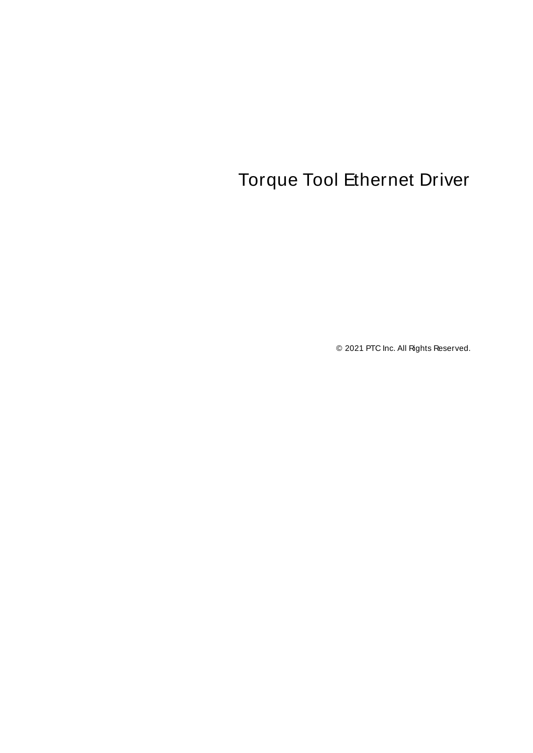# <span id="page-0-0"></span>Torque Tool Ethernet Driver

© 2021 PTC Inc. All Rights Reserved.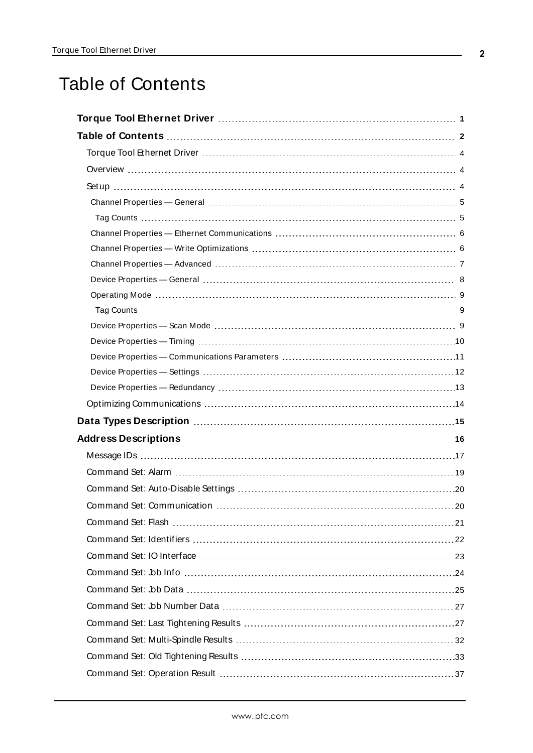# <span id="page-1-0"></span>Table of Contents

| Data Types Description manufacture and the control of the USA of the USA of the USA of the USA of the USA of t |
|----------------------------------------------------------------------------------------------------------------|
|                                                                                                                |
|                                                                                                                |
|                                                                                                                |
|                                                                                                                |
|                                                                                                                |
|                                                                                                                |
|                                                                                                                |
|                                                                                                                |
|                                                                                                                |
|                                                                                                                |
|                                                                                                                |
|                                                                                                                |
|                                                                                                                |
|                                                                                                                |
|                                                                                                                |
|                                                                                                                |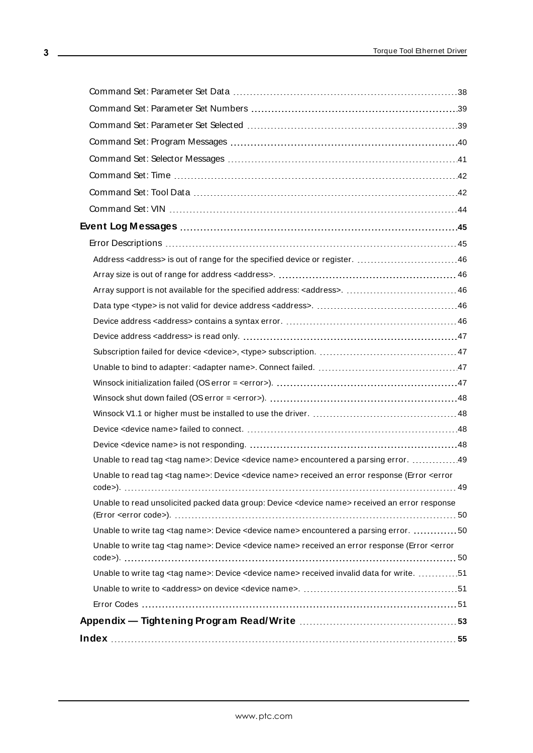| Unable to read tag <tag name="">: Device <device name=""> encountered a parsing error. 49</device></tag>                                     |  |
|----------------------------------------------------------------------------------------------------------------------------------------------|--|
| Unable to read tag <tag name="">: Device <device name=""> received an error response (Error <error< th=""><th></th></error<></device></tag>  |  |
| Unable to read unsolicited packed data group: Device <device name=""> received an error response</device>                                    |  |
| Unable to write tag <tag name="">: Device <device name=""> encountered a parsing error. 50</device></tag>                                    |  |
| Unable to write tag <tag name="">: Device <device name=""> received an error response (Error <error< th=""><th></th></error<></device></tag> |  |
| Unable to write tag <tag name="">: Device <device name=""> received invalid data for write. 51</device></tag>                                |  |
|                                                                                                                                              |  |
|                                                                                                                                              |  |
|                                                                                                                                              |  |
|                                                                                                                                              |  |
|                                                                                                                                              |  |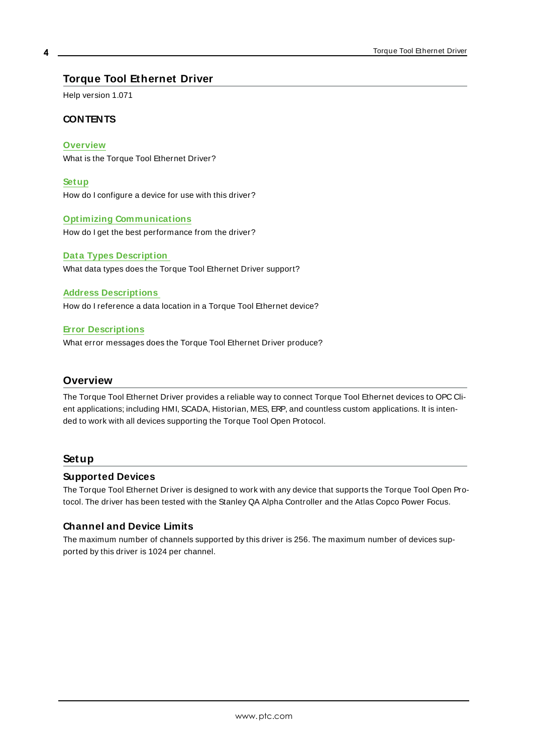# <span id="page-3-0"></span>**Torque Tool Ethernet Driver**

Help version 1.071

## **CONTENTS**

**[Overview](#page-3-1)**

What is the Torque Tool Ethernet Driver?

**[Setup](#page-3-2)** How do I configure a device for use with this driver?

#### **Optimizing [Communications](#page-13-0)**

How do I get the best performance from the driver?

## **Data Types [Description](#page-14-0)** What data types does the Torque Tool Ethernet Driver support?

#### **Address [Descriptions](#page-15-0)**

How do I reference a data location in a Torque Tool Ethernet device?

#### **Error [Descriptions](#page-44-1)**

What error messages does the Torque Tool Ethernet Driver produce?

## <span id="page-3-1"></span>**Overview**

The Torque Tool Ethernet Driver provides a reliable way to connect Torque Tool Ethernet devices to OPC Client applications; including HMI, SCADA, Historian, MES, ERP, and countless custom applications. It is intended to work with all devices supporting the Torque Tool Open Protocol.

## <span id="page-3-2"></span>**Setup**

## **Supported Devices**

The Torque Tool Ethernet Driver is designed to work with any device that supports the Torque Tool Open Protocol. The driver has been tested with the Stanley QA Alpha Controller and the Atlas Copco Power Focus.

## **Channel and Device Limits**

The maximum number of channels supported by this driver is 256. The maximum number of devices supported by this driver is 1024 per channel.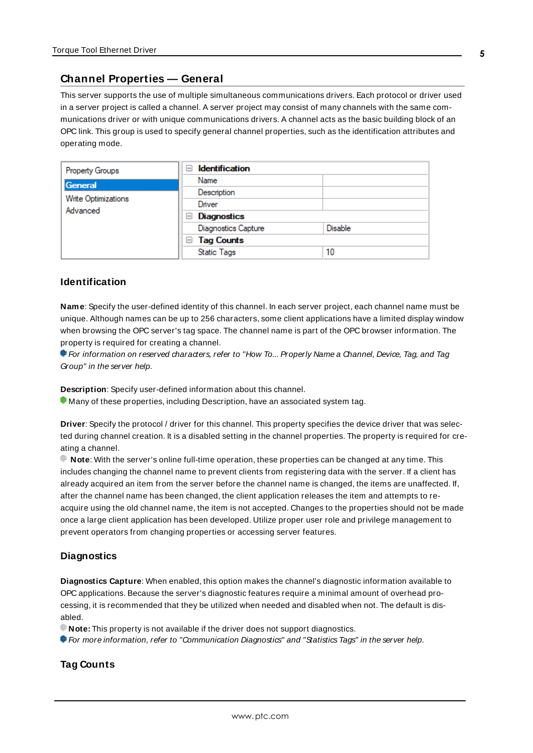## <span id="page-4-0"></span>**Channel Properties — General**

This server supports the use of multiple simultaneous communications drivers. Each protocol or driver used in a server project is called a channel. A server project may consist of many channels with the same communications driver or with unique communications drivers. A channel acts as the basic building block of an OPC link. This group is used to specify general channel properties, such as the identification attributes and operating mode.

| Property Groups     | <b>Identification</b><br>н |                |
|---------------------|----------------------------|----------------|
| General             | Name                       |                |
| Write Optimizations | Description                |                |
| Advanced            | Driver                     |                |
|                     | Diagnostics<br>$=$         |                |
|                     | <b>Diagnostics Capture</b> | <b>Disable</b> |
|                     | $\Box$ Tag Counts          |                |
|                     | <b>Static Tags</b>         | 10             |

#### <span id="page-4-3"></span>**Identification**

**Name**: Specify the user-defined identity of this channel. In each server project, each channel name must be unique. Although names can be up to 256 characters, some client applications have a limited display window when browsing the OPC server's tag space. The channel name is part of the OPC browser information. The property is required for creating a channel.

For information on reserved characters, refer to "How To... Properly Name a Channel, Device, Tag, and Tag Group" in the server help.

**Description**: Specify user-defined information about this channel.

Many of these properties, including Description, have an associated system tag.

**Driver**: Specify the protocol / driver for this channel. This property specifies the device driver that was selected during channel creation. It is a disabled setting in the channel properties. The property is required for creating a channel.

**Note**: With the server's online full-time operation, these properties can be changed at any time. This includes changing the channel name to prevent clients from registering data with the server. If a client has already acquired an item from the server before the channel name is changed, the items are unaffected. If, after the channel name has been changed, the client application releases the item and attempts to reacquire using the old channel name, the item is not accepted. Changes to the properties should not be made once a large client application has been developed. Utilize proper user role and privilege management to prevent operators from changing properties or accessing server features.

## <span id="page-4-2"></span>**Diagnostics**

**Diagnostics Capture**: When enabled, this option makes the channel's diagnostic information available to OPC applications. Because the server's diagnostic features require a minimal amount of overhead processing, it is recommended that they be utilized when needed and disabled when not. The default is disabled.

**Note:** This property is not available if the driver does not support diagnostics.

<span id="page-4-1"></span>For more information, refer to "Communication Diagnostics" and "Statistics Tags" in the server help.

## **Tag Counts**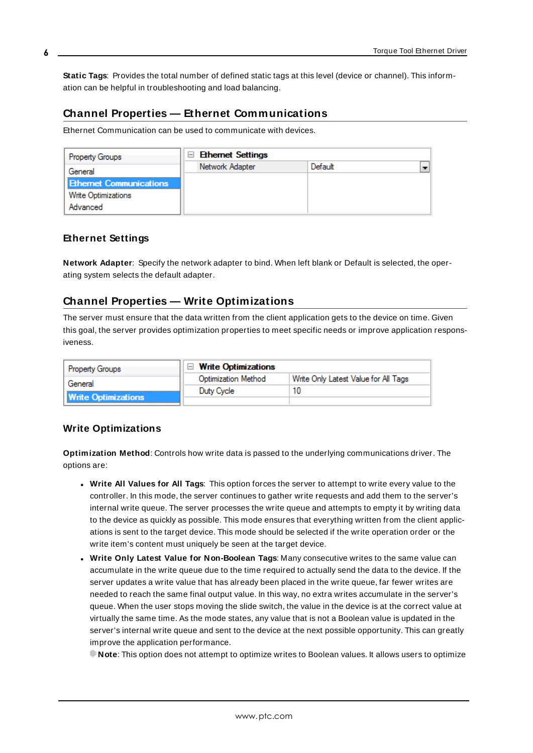**Static Tags**: Provides the total number of defined static tags at this level (device or channel). This information can be helpful in troubleshooting and load balancing.

# <span id="page-5-0"></span>**Channel Properties — Ethernet Communications**

Ethernet Communication can be used to communicate with devices.

| <b>Property Groups</b>         | <b>□ Ethernet Settings</b> |         |  |
|--------------------------------|----------------------------|---------|--|
| General                        | Network Adapter            | Default |  |
| <b>Ethernet Communications</b> |                            |         |  |
| <b>Write Optimizations</b>     |                            |         |  |
| Advanced                       |                            |         |  |

## <span id="page-5-4"></span><span id="page-5-3"></span>**Ethernet Settings**

**Network Adapter**: Specify the network adapter to bind. When left blank or Default is selected, the operating system selects the default adapter.

# <span id="page-5-1"></span>**Channel Properties — Write Optimizations**

The server must ensure that the data written from the client application gets to the device on time. Given this goal, the server provides optimization properties to meet specific needs or improve application responsiveness.

| <b>Property Groups</b>     | $\Box$ Write Optimizations |                                      |
|----------------------------|----------------------------|--------------------------------------|
| General                    | <b>Optimization Method</b> | Write Only Latest Value for All Tags |
|                            | Duty Cycle                 | 10                                   |
| <b>Write Optimizations</b> |                            |                                      |

## <span id="page-5-2"></span>**Write Optimizations**

<span id="page-5-5"></span>**Optimization Method**: Controls how write data is passed to the underlying communications driver. The options are:

- <span id="page-5-6"></span><sup>l</sup> **Write All Values for All Tags**: This option forces the server to attempt to write every value to the controller. In this mode, the server continues to gather write requests and add them to the server's internal write queue. The server processes the write queue and attempts to empty it by writing data to the device as quickly as possible. This mode ensures that everything written from the client applications is sent to the target device. This mode should be selected if the write operation order or the write item's content must uniquely be seen at the target device.
- <span id="page-5-7"></span><sup>l</sup> **Write Only Latest Value for Non-Boolean Tags**: Many consecutive writes to the same value can accumulate in the write queue due to the time required to actually send the data to the device. If the server updates a write value that has already been placed in the write queue, far fewer writes are needed to reach the same final output value. In this way, no extra writes accumulate in the server's queue. When the user stops moving the slide switch, the value in the device is at the correct value at virtually the same time. As the mode states, any value that is not a Boolean value is updated in the server's internal write queue and sent to the device at the next possible opportunity. This can greatly improve the application performance.

**Note**: This option does not attempt to optimize writes to Boolean values. It allows users to optimize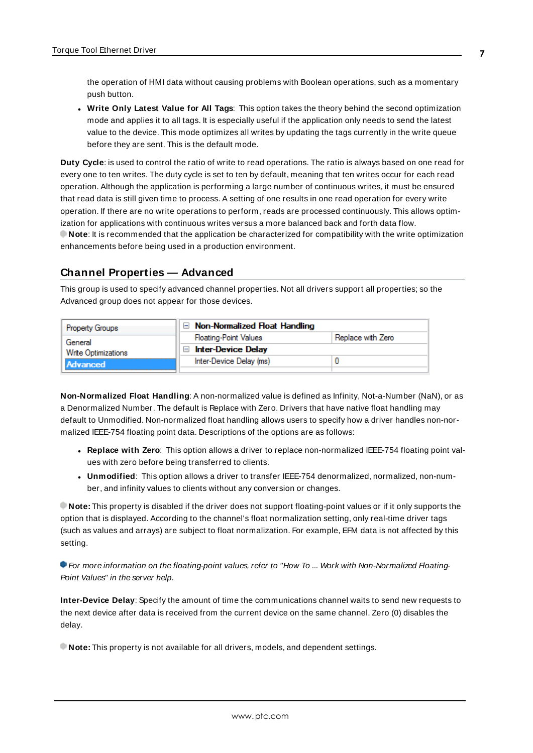<span id="page-6-6"></span>the operation of HMI data without causing problems with Boolean operations, such as a momentary push button.

**.** Write Only Latest Value for All Tags: This option takes the theory behind the second optimization mode and applies it to all tags. It is especially useful if the application only needs to send the latest value to the device. This mode optimizes all writes by updating the tags currently in the write queue before they are sent. This is the default mode.

<span id="page-6-1"></span>**Duty Cycle**: is used to control the ratio of write to read operations. The ratio is always based on one read for every one to ten writes. The duty cycle is set to ten by default, meaning that ten writes occur for each read operation. Although the application is performing a large number of continuous writes, it must be ensured that read data is still given time to process. A setting of one results in one read operation for every write operation. If there are no write operations to perform, reads are processed continuously. This allows optimization for applications with continuous writes versus a more balanced back and forth data flow. **Note**: It is recommended that the application be characterized for compatibility with the write optimization enhancements before being used in a production environment.

## <span id="page-6-0"></span>**Channel Properties — Advanced**

This group is used to specify advanced channel properties. Not all drivers support all properties; so the Advanced group does not appear for those devices.

| <b>Property Groups</b>     | Non-Normalized Float Handling |                   |
|----------------------------|-------------------------------|-------------------|
| General                    | <b>Floating-Point Values</b>  | Replace with Zero |
| <b>Write Optimizations</b> | <b>Inter-Device Delay</b>     |                   |
| Advanced                   | Inter-Device Delay (ms)       |                   |
|                            |                               |                   |

<span id="page-6-3"></span>**Non-Normalized Float Handling**: A non-normalized value is defined as Infinity, Not-a-Number (NaN), or as a Denormalized Number. The default is Replace with Zero. Drivers that have native float handling may default to Unmodified. Non-normalized float handling allows users to specify how a driver handles non-normalized IEEE-754 floating point data. Descriptions of the options are as follows:

- <span id="page-6-4"></span><sup>l</sup> **Replace with Zero**: This option allows a driver to replace non-normalized IEEE-754 floating point values with zero before being transferred to clients.
- <span id="page-6-5"></span><sup>l</sup> **Unmodified**: This option allows a driver to transfer IEEE-754 denormalized, normalized, non-number, and infinity values to clients without any conversion or changes.

**Note:** This property is disabled if the driver does not support floating-point values or if it only supports the option that is displayed. According to the channel's float normalization setting, only real-time driver tags (such as values and arrays) are subject to float normalization. For example, EFM data is not affected by this setting.

For more information on the floating-point values, refer to "How To ... Work with Non-Normalized Floating-Point Values" in the server help.

<span id="page-6-2"></span>**Inter-Device Delay**: Specify the amount of time the communications channel waits to send new requests to the next device after data is received from the current device on the same channel. Zero (0) disables the delay.

**Note:** This property is not available for all drivers, models, and dependent settings.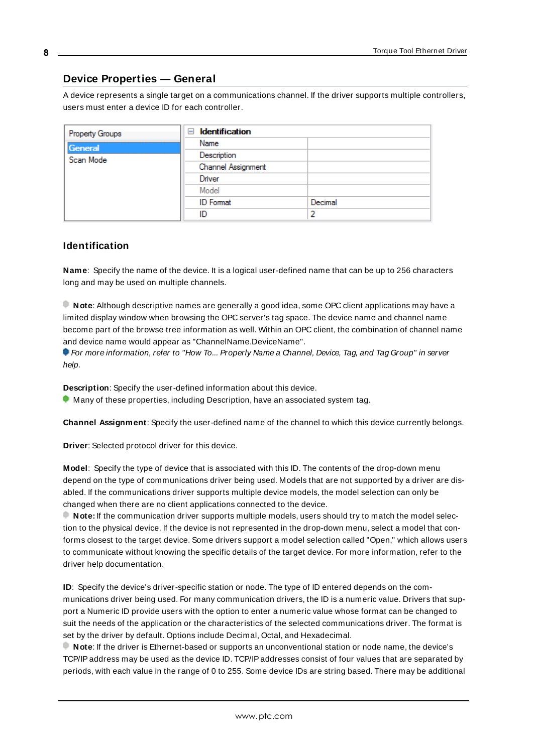# <span id="page-7-0"></span>**Device Properties — General**

A device represents a single target on a communications channel. If the driver supports multiple controllers, users must enter a device ID for each controller.

| Property Groups | <b>Identification</b><br>н |         |
|-----------------|----------------------------|---------|
| General         | Name                       |         |
| Scan Mode       | Description                |         |
|                 | Channel Assignment         |         |
|                 | Driver                     |         |
|                 | Model                      |         |
|                 | <b>ID</b> Format           | Decimal |
|                 | ID                         |         |

## <span id="page-7-6"></span><span id="page-7-4"></span>**Identification**

**Name**: Specify the name of the device. It is a logical user-defined name that can be up to 256 characters long and may be used on multiple channels.

**Note**: Although descriptive names are generally a good idea, some OPC client applications may have a limited display window when browsing the OPC server's tag space. The device name and channel name become part of the browse tree information as well. Within an OPC client, the combination of channel name and device name would appear as "ChannelName.DeviceName".

For more information, refer to "How To... Properly Name a Channel, Device, Tag, and Tag Group" in server help.

**Description**: Specify the user-defined information about this device.

<span id="page-7-1"></span>**Many of these properties, including Description, have an associated system tag.** 

<span id="page-7-2"></span>**Channel Assignment**: Specify the user-defined name of the channel to which this device currently belongs.

<span id="page-7-5"></span>**Driver**: Selected protocol driver for this device.

**Model**: Specify the type of device that is associated with this ID. The contents of the drop-down menu depend on the type of communications driver being used. Models that are not supported by a driver are disabled. If the communications driver supports multiple device models, the model selection can only be changed when there are no client applications connected to the device.

**Note:** If the communication driver supports multiple models, users should try to match the model selection to the physical device. If the device is not represented in the drop-down menu, select a model that conforms closest to the target device. Some drivers support a model selection called "Open," which allows users to communicate without knowing the specific details of the target device. For more information, refer to the driver help documentation.

<span id="page-7-3"></span>**ID**: Specify the device's driver-specific station or node. The type of ID entered depends on the communications driver being used. For many communication drivers, the ID is a numeric value. Drivers that support a Numeric ID provide users with the option to enter a numeric value whose format can be changed to suit the needs of the application or the characteristics of the selected communications driver. The format is set by the driver by default. Options include Decimal, Octal, and Hexadecimal.

**Note**: If the driver is Ethernet-based or supports an unconventional station or node name, the device's TCP/IPaddress may be used as the device ID. TCP/IPaddresses consist of four values that are separated by periods, with each value in the range of 0 to 255. Some device IDs are string based. There may be additional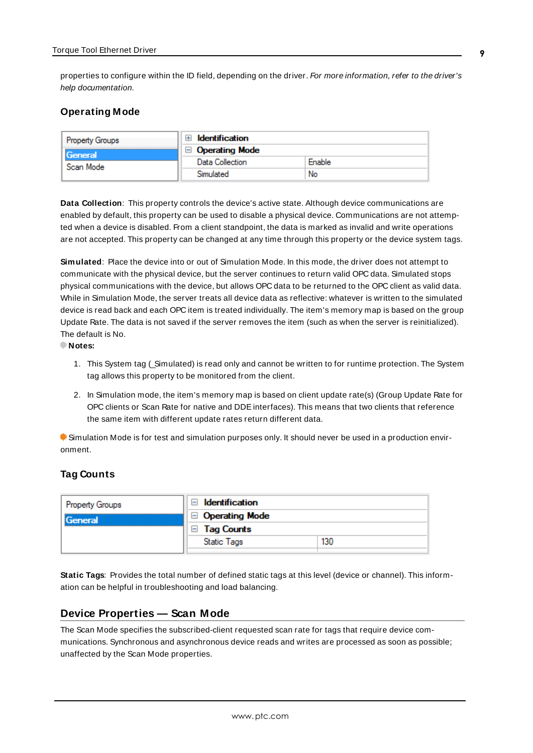properties to configure within the ID field, depending on the driver. For more information, refer to the driver's help documentation.

## <span id="page-8-0"></span>**Operating Mode**

| Property Groups | <b>Identification</b> |        |
|-----------------|-----------------------|--------|
| <b>General</b>  | <b>Operating Mode</b> |        |
| Scan Mode       | Data Collection       | Enable |
|                 | Simulated             | No     |

<span id="page-8-3"></span>**Data Collection**: This property controls the device's active state. Although device communications are enabled by default, this property can be used to disable a physical device. Communications are not attempted when a device is disabled. From a client standpoint, the data is marked as invalid and write operations are not accepted. This property can be changed at any time through this property or the device system tags.

<span id="page-8-4"></span>**Simulated**: Place the device into or out of Simulation Mode. In this mode, the driver does not attempt to communicate with the physical device, but the server continues to return valid OPC data. Simulated stops physical communications with the device, but allows OPC data to be returned to the OPC client as valid data. While in Simulation Mode, the server treats all device data as reflective: whatever is written to the simulated device is read back and each OPC item is treated individually. The item's memory map is based on the group Update Rate. The data is not saved if the server removes the item (such as when the server is reinitialized). The default is No.

**Notes:**

- 1. This System tag (\_Simulated) is read only and cannot be written to for runtime protection. The System tag allows this property to be monitored from the client.
- 2. In Simulation mode, the item's memory map is based on client update rate(s) (Group Update Rate for OPC clients or Scan Rate for native and DDEinterfaces). This means that two clients that reference the same item with different update rates return different data.

 Simulation Mode is for test and simulation purposes only. It should never be used in a production environment.

## <span id="page-8-1"></span>**Tag Counts**

| <b>Property Groups</b> | Identification        |     |
|------------------------|-----------------------|-----|
| General                | $\Box$ Operating Mode |     |
|                        | <b>Tag Counts</b>     |     |
|                        | <b>Static Tags</b>    | 130 |
|                        |                       |     |

**Static Tags**: Provides the total number of defined static tags at this level (device or channel). This information can be helpful in troubleshooting and load balancing.

## <span id="page-8-2"></span>**Device Properties — Scan Mode**

The Scan Mode specifies the subscribed-client requested scan rate for tags that require device communications. Synchronous and asynchronous device reads and writes are processed as soon as possible; unaffected by the Scan Mode properties.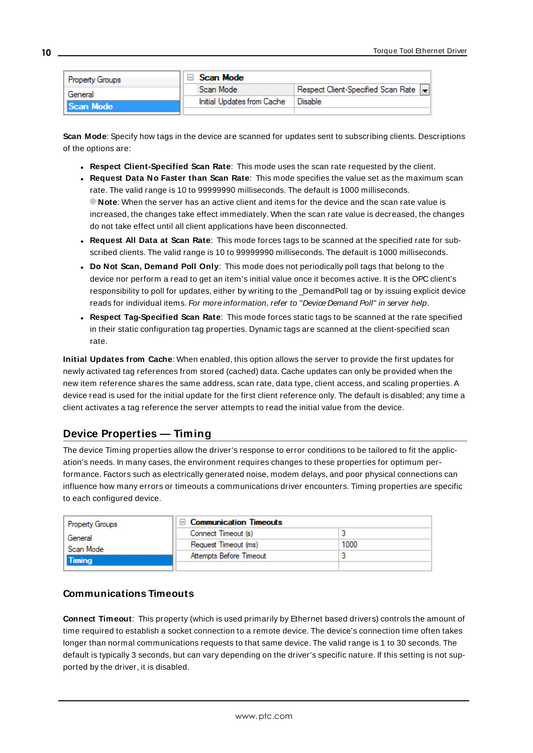| <b>Property Groups</b> | Scan Mode                  |                                    |
|------------------------|----------------------------|------------------------------------|
| General                | Scan Mode                  | Respect Client-Specified Scan Rate |
| <b>Scan Mode</b>       | Initial Updates from Cache | Disable                            |
|                        |                            |                                    |

<span id="page-9-6"></span>**Scan Mode**: Specify how tags in the device are scanned for updates sent to subscribing clients. Descriptions of the options are:

- <sup>l</sup> **Respect Client-Specified Scan Rate**: This mode uses the scan rate requested by the client.
- <sup>l</sup> **Request Data No Faster than Scan Rate**: This mode specifies the value set as the maximum scan rate. The valid range is 10 to 99999990 milliseconds. The default is 1000 milliseconds. **Note**: When the server has an active client and items for the device and the scan rate value is increased, the changes take effect immediately. When the scan rate value is decreased, the changes do not take effect until all client applications have been disconnected.
- <sup>l</sup> **Request All Data at Scan Rate**: This mode forces tags to be scanned at the specified rate for subscribed clients. The valid range is 10 to 99999990 milliseconds. The default is 1000 milliseconds.
- <span id="page-9-3"></span><sup>l</sup> **Do Not Scan, Demand Poll Only**: This mode does not periodically poll tags that belong to the device nor perform a read to get an item's initial value once it becomes active. It is the OPC client's responsibility to poll for updates, either by writing to the \_DemandPoll tag or by issuing explicit device reads for individual items. For more information, refer to "Device Demand Poll" in server help.
- <span id="page-9-5"></span><sup>l</sup> **Respect Tag-Specified Scan Rate**: This mode forces static tags to be scanned at the rate specified in their static configuration tag properties. Dynamic tags are scanned at the client-specified scan rate.

<span id="page-9-4"></span>**Initial Updates from Cache**: When enabled, this option allows the server to provide the first updates for newly activated tag references from stored (cached) data. Cache updates can only be provided when the new item reference shares the same address, scan rate, data type, client access, and scaling properties. A device read is used for the initial update for the first client reference only. The default is disabled; any time a client activates a tag reference the server attempts to read the initial value from the device.

# <span id="page-9-1"></span><span id="page-9-0"></span>**Device Properties — Timing**

The device Timing properties allow the driver's response to error conditions to be tailored to fit the application's needs. In many cases, the environment requires changes to these properties for optimum performance. Factors such as electrically generated noise, modem delays, and poor physical connections can influence how many errors or timeouts a communications driver encounters. Timing properties are specific to each configured device.

| Property Groups | □ Communication Timeouts |      |
|-----------------|--------------------------|------|
| General         | Connect Timeout (s)      |      |
| Scan Mode       | Request Timeout (ms)     | 1000 |
| <b>Timina</b>   | Attempts Before Timeout  |      |
|                 |                          |      |

## <span id="page-9-2"></span>**Communications Timeouts**

**Connect Timeout**: This property (which is used primarily by Ethernet based drivers) controls the amount of time required to establish a socket connection to a remote device. The device's connection time often takes longer than normal communications requests to that same device. The valid range is 1 to 30 seconds. The default is typically 3 seconds, but can vary depending on the driver's specific nature. If this setting is not supported by the driver, it is disabled.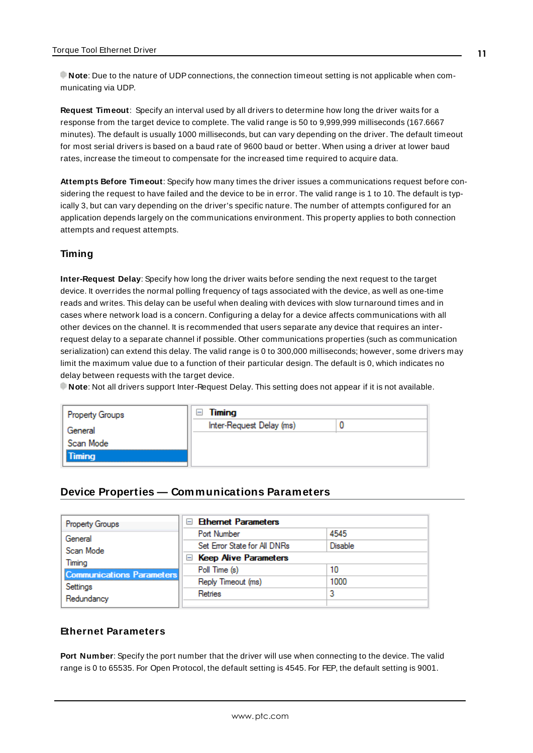**Note**: Due to the nature of UDPconnections, the connection timeout setting is not applicable when communicating via UDP.

<span id="page-10-2"></span>**Request Timeout**: Specify an interval used by all drivers to determine how long the driver waits for a response from the target device to complete. The valid range is 50 to 9,999,999 milliseconds (167.6667 minutes). The default is usually 1000 milliseconds, but can vary depending on the driver. The default timeout for most serial drivers is based on a baud rate of 9600 baud or better. When using a driver at lower baud rates, increase the timeout to compensate for the increased time required to acquire data.

<span id="page-10-1"></span>**Attempts Before Timeout**: Specify how many times the driver issues a communications request before considering the request to have failed and the device to be in error. The valid range is 1 to 10. The default is typically 3, but can vary depending on the driver's specific nature. The number of attempts configured for an application depends largely on the communications environment. This property applies to both connection attempts and request attempts.

## **Timing**

**Inter-Request Delay**: Specify how long the driver waits before sending the next request to the target device. It overrides the normal polling frequency of tags associated with the device, as well as one-time reads and writes. This delay can be useful when dealing with devices with slow turnaround times and in cases where network load is a concern. Configuring a delay for a device affects communications with all other devices on the channel. It is recommended that users separate any device that requires an interrequest delay to a separate channel if possible. Other communications properties (such as communication serialization) can extend this delay. The valid range is 0 to 300,000 milliseconds; however, some drivers may limit the maximum value due to a function of their particular design. The default is 0, which indicates no delay between requests with the target device.

**Note**: Not all drivers support Inter-Request Delay. This setting does not appear if it is not available.

| Property Groups | Timing<br>$\leftarrow$   |  |
|-----------------|--------------------------|--|
| General         | Inter-Request Delay (ms) |  |
| Scan Mode       |                          |  |
| Timing          |                          |  |

## <span id="page-10-0"></span>**Device Properties — Communications Parameters**

| <b>Property Groups</b>                                               | <b>Ethernet Parameters</b><br>$\blacksquare$ |                |  |  |
|----------------------------------------------------------------------|----------------------------------------------|----------------|--|--|
| General                                                              | Port Number                                  | 4545           |  |  |
| Scan Mode                                                            | Set Error State for All DNRs                 | <b>Disable</b> |  |  |
| Timing<br><b>Communications Parameters</b><br>Settings<br>Redundancy | E Keep Alive Parameters                      |                |  |  |
|                                                                      | Poll Time (s)                                | 10             |  |  |
|                                                                      | Reply Timeout (ms)                           | 1000           |  |  |
|                                                                      | Retries                                      |                |  |  |
|                                                                      |                                              |                |  |  |

# **Ethernet Parameters**

**Port Number**: Specify the port number that the driver will use when connecting to the device. The valid range is 0 to 65535. For Open Protocol, the default setting is 4545. For FEP, the default setting is 9001.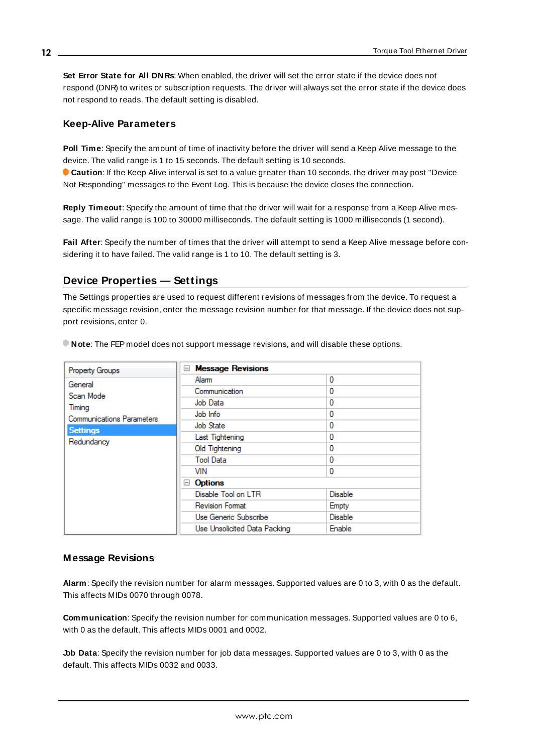**Set Error State for All DNRs**: When enabled, the driver will set the error state if the device does not respond (DNR) to writes or subscription requests. The driver will always set the error state if the device does not respond to reads. The default setting is disabled.

## **Keep-Alive Parameters**

**Poll Time**: Specify the amount of time of inactivity before the driver will send a Keep Alive message to the device. The valid range is 1 to 15 seconds. The default setting is 10 seconds.

**Caution**: If the Keep Alive interval is set to a value greater than 10 seconds, the driver may post "Device" Not Responding" messages to the Event Log. This is because the device closes the connection.

**Reply Timeout**: Specify the amount of time that the driver will wait for a response from a Keep Alive message. The valid range is 100 to 30000 milliseconds. The default setting is 1000 milliseconds (1 second).

**Fail After**: Specify the number of times that the driver will attempt to send a Keep Alive message before considering it to have failed. The valid range is 1 to 10. The default setting is 3.

# <span id="page-11-0"></span>**Device Properties — Settings**

The Settings properties are used to request different revisions of messages from the device. To request a specific message revision, enter the message revision number for that message. If the device does not support revisions, enter 0.

| Property Groups                  | <b>Message Revisions</b><br>$-$ |                |
|----------------------------------|---------------------------------|----------------|
| General                          | Alarm                           | 0              |
| Scan Mode                        | Communication                   | 0              |
| Timing                           | Job Data                        | 0              |
| <b>Communications Parameters</b> | Job Info                        | 0              |
| <b>Settings</b>                  | Job State                       | 0              |
| Redundancy                       | Last Tightening                 | 0              |
|                                  | Old Tightening                  | 0              |
|                                  | <b>Tool Data</b>                | 0              |
|                                  | VIN                             | 0              |
|                                  | Options<br>$=$                  |                |
|                                  | Disable Tool on LTR             | Disable        |
|                                  | <b>Revision Format</b>          | Empty          |
|                                  | Use Generic Subscribe           | <b>Disable</b> |
|                                  | Use Unsolicited Data Packing    | Enable         |

**Note**: The FEP model does not support message revisions, and will disable these options.

## **Message Revisions**

**Alarm**: Specify the revision number for alarm messages. Supported values are 0 to 3, with 0 as the default. This affects MIDs 0070 through 0078.

**Communication**: Specify the revision number for communication messages. Supported values are 0 to 6, with 0 as the default. This affects MIDs 0001 and 0002.

**Job Data**: Specify the revision number for job data messages. Supported values are 0 to 3, with 0 as the default. This affects MIDs 0032 and 0033.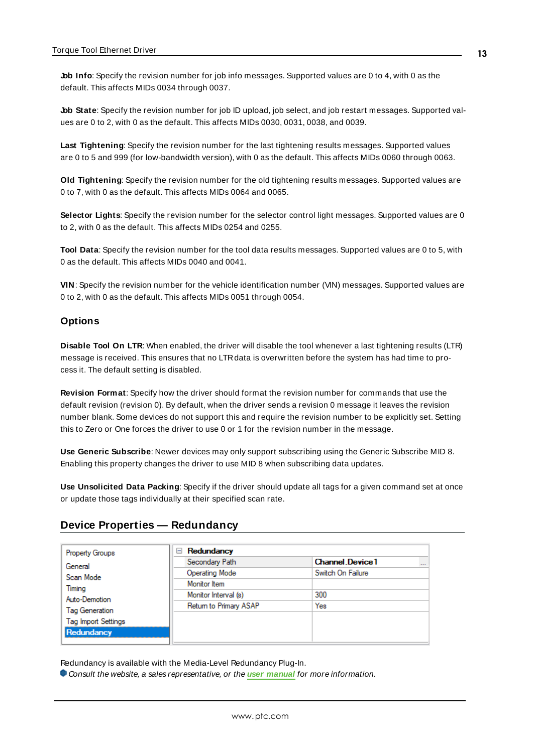**Job Info**: Specify the revision number for job info messages. Supported values are 0 to 4, with 0 as the default. This affects MIDs 0034 through 0037.

**Job State**: Specify the revision number for job ID upload, job select, and job restart messages. Supported values are 0 to 2, with 0 as the default. This affects MIDs 0030, 0031, 0038, and 0039.

**Last Tightening**: Specify the revision number for the last tightening results messages. Supported values are 0 to 5 and 999 (for low-bandwidth version), with 0 as the default. This affects MIDs 0060 through 0063.

**Old Tightening**: Specify the revision number for the old tightening results messages. Supported values are 0 to 7, with 0 as the default. This affects MIDs 0064 and 0065.

**Selector Lights**: Specify the revision number for the selector control light messages. Supported values are 0 to 2, with 0 as the default. This affects MIDs 0254 and 0255.

**Tool Data**: Specify the revision number for the tool data results messages. Supported values are 0 to 5, with 0 as the default. This affects MIDs 0040 and 0041.

**VIN**: Specify the revision number for the vehicle identification number (VIN) messages. Supported values are 0 to 2, with 0 as the default. This affects MIDs 0051 through 0054.

#### **Options**

**Disable Tool On LTR**: When enabled, the driver will disable the tool whenever a last tightening results (LTR) message is received. This ensures that no LTRdata is overwritten before the system has had time to process it. The default setting is disabled.

**Revision Format**: Specify how the driver should format the revision number for commands that use the default revision (revision 0). By default, when the driver sends a revision 0 message it leaves the revision number blank. Some devices do not support this and require the revision number to be explicitly set. Setting this to Zero or One forces the driver to use 0 or 1 for the revision number in the message.

**Use Generic Subscribe**: Newer devices may only support subscribing using the Generic Subscribe MID 8. Enabling this property changes the driver to use MID 8 when subscribing data updates.

**Use Unsolicited Data Packing**: Specify if the driver should update all tags for a given command set at once or update those tags individually at their specified scan rate.

## <span id="page-12-0"></span>**Device Properties — Redundancy**

| <b>Property Groups</b>                          | Redundancy<br>$=$      |                                    |
|-------------------------------------------------|------------------------|------------------------------------|
| General<br>Scan Mode<br>Timing<br>Auto-Demotion | Secondary Path         | <b>Channel Device1</b><br>$\cdots$ |
|                                                 | Operating Mode         | Switch On Failure                  |
|                                                 | Monitor Item           |                                    |
|                                                 | Monitor Interval (s)   | 300                                |
|                                                 | Return to Primary ASAP | Yes                                |
| Tag Generation                                  |                        |                                    |
| <b>Tag Import Settings</b>                      |                        |                                    |
| Redundancy                                      |                        |                                    |

Redundancy is available with the Media-Level Redundancy Plug-In.

Consult the website, a sales representative, or the **user [manual](https://www.kepware.com/getattachment/35461efd-b53a-4219-a109-a89fad20b230/media-level-redundancy-manual.pdf)** for more information.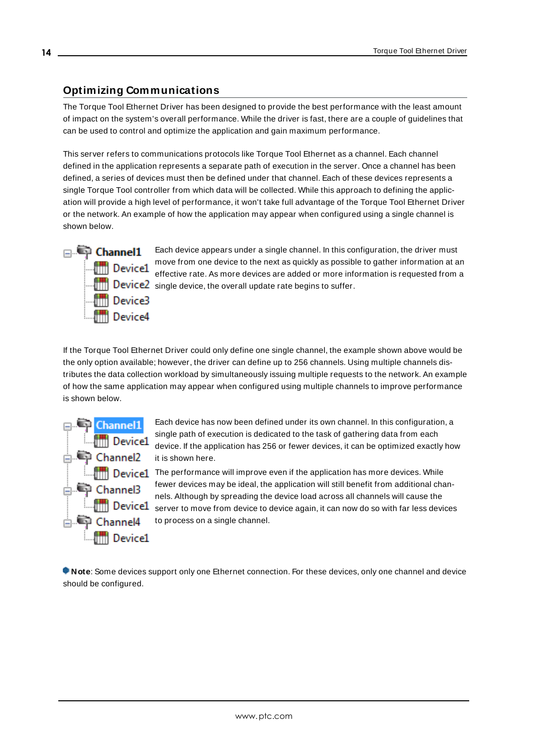# <span id="page-13-0"></span>**Optimizing Communications**

The Torque Tool Ethernet Driver has been designed to provide the best performance with the least amount of impact on the system's overall performance. While the driver is fast, there are a couple of guidelines that can be used to control and optimize the application and gain maximum performance.

This server refers to communications protocols like Torque Tool Ethernet as a channel. Each channel defined in the application represents a separate path of execution in the server. Once a channel has been defined, a series of devices must then be defined under that channel. Each of these devices represents a single Torque Tool controller from which data will be collected. While this approach to defining the application will provide a high level of performance, it won't take full advantage of the Torque Tool Ethernet Driver or the network. An example of how the application may appear when configured using a single channel is shown below.



**Channel1** Each device appears under a single channel. In this configuration, the driver must move from one device to the next as quickly as possible to gather information at an **EFFECT CONSUMED FIGURE CONSUMED SERVICES**<br>Effective rate. As more devices are added or more information is requested from a **Filler** Device2 single device, the overall update rate begins to suffer.

If the Torque Tool Ethernet Driver could only define one single channel, the example shown above would be the only option available; however, the driver can define up to 256 channels. Using multiple channels distributes the data collection workload by simultaneously issuing multiple requests to the network. An example of how the same application may appear when configured using multiple channels to improve performance is shown below.



Each device has now been defined under its own channel. In this configuration, a single path of execution is dedicated to the task of gathering data from each device. If the application has 256 or fewer devices, it can be optimized exactly how it is shown here.

The performance will improve even if the application has more devices. While fewer devices may be ideal, the application will still benefit from additional channels. Although by spreading the device load across all channels will cause the **Server to move from device to device again, it can now do so with far less devices** to process on a single channel.

**Note**: Some devices support only one Ethernet connection. For these devices, only one channel and device should be configured.

**14**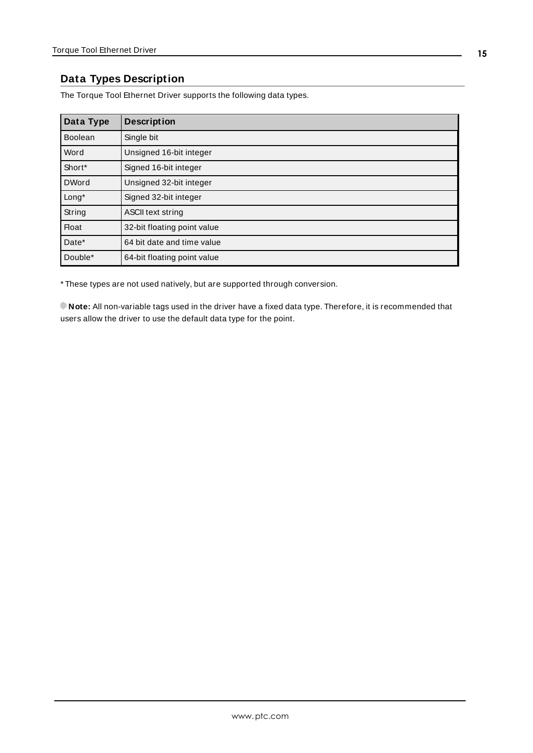# <span id="page-14-0"></span>**Data Types Description**

The Torque Tool Ethernet Driver supports the following data types.

| Data Type      | <b>Description</b>          |
|----------------|-----------------------------|
| <b>Boolean</b> | Single bit                  |
| Word           | Unsigned 16-bit integer     |
| Short*         | Signed 16-bit integer       |
| <b>DWord</b>   | Unsigned 32-bit integer     |
| Long*          | Signed 32-bit integer       |
| String         | ASCII text string           |
| <b>Float</b>   | 32-bit floating point value |
| Date*          | 64 bit date and time value  |
| Double*        | 64-bit floating point value |

\* These types are not used natively, but are supported through conversion.

**Note:** All non-variable tags used in the driver have a fixed data type. Therefore, it is recommended that users allow the driver to use the default data type for the point.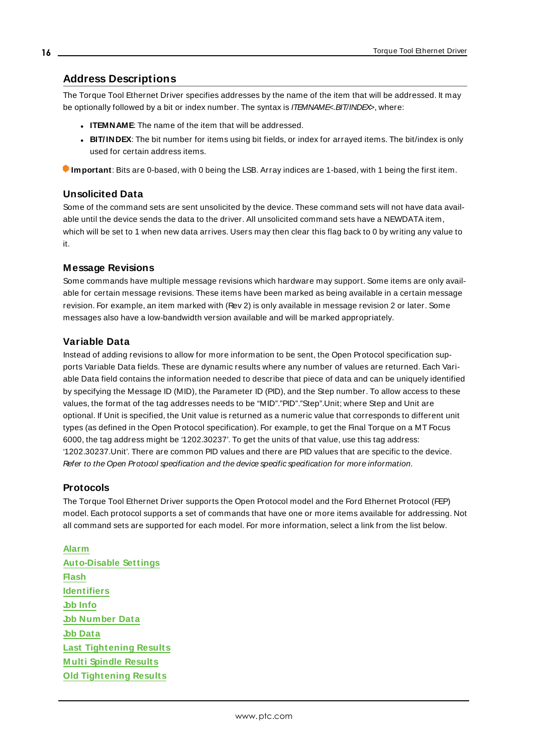## <span id="page-15-0"></span>**Address Descriptions**

The Torque Tool Ethernet Driver specifies addresses by the name of the item that will be addressed. It may be optionally followed by a bit or index number. The syntax is *ITEMNAME<br/>s.BIT/INDE* $\leq$ , where:

- **.** ITEMNAME: The name of the item that will be addressed.
- **BIT/INDEX:** The bit number for items using bit fields, or index for arrayed items. The bit/index is only used for certain address items.

**Important**: Bits are 0-based, with 0 being the LSB. Array indices are 1-based, with 1 being the first item.

#### **Unsolicited Data**

Some of the command sets are sent unsolicited by the device. These command sets will not have data available until the device sends the data to the driver. All unsolicited command sets have a NEWDATA item, which will be set to 1 when new data arrives. Users may then clear this flag back to 0 by writing any value to it.

#### **Message Revisions**

Some commands have multiple message revisions which hardware may support. Some items are only available for certain message revisions. These items have been marked as being available in a certain message revision. For example, an item marked with (Rev 2) is only available in message revision 2 or later. Some messages also have a low-bandwidth version available and will be marked appropriately.

#### **Variable Data**

Instead of adding revisions to allow for more information to be sent, the Open Protocol specification supports Variable Data fields. These are dynamic results where any number of values are returned. Each Variable Data field contains the information needed to describe that piece of data and can be uniquely identified by specifying the Message ID (MID), the Parameter ID (PID), and the Step number. To allow access to these values, the format of the tag addresses needs to be "MID"."PID"."Step".Unit; where Step and Unit are optional. If Unit is specified, the Unit value is returned as a numeric value that corresponds to different unit types (as defined in the Open Protocol specification). For example, to get the Final Torque on a MT Focus 6000, the tag address might be '1202.30237'. To get the units of that value, use this tag address: '1202.30237.Unit'. There are common PID values and there are PID values that are specific to the device. Refer to the Open Protocol specification and the device specific specification for more information.

#### **Protocols**

The Torque Tool Ethernet Driver supports the Open Protocol model and the Ford Ethernet Protocol (FEP) model. Each protocol supports a set of commands that have one or more items available for addressing. Not all command sets are supported for each model. For more information, select a link from the list below.

#### **[Alarm](#page-18-0)**

**[Auto-Disable](#page-19-0) Settings [Flash](#page-20-0) [Identifiers](#page-21-0) Job [Info](#page-23-0) Job [Number](#page-26-0) Data Job [Data](#page-24-0) Last [Tightening](#page-26-1) Results M ulti Spindle [Results](#page-31-0) Old [Tightening](#page-32-0) Results**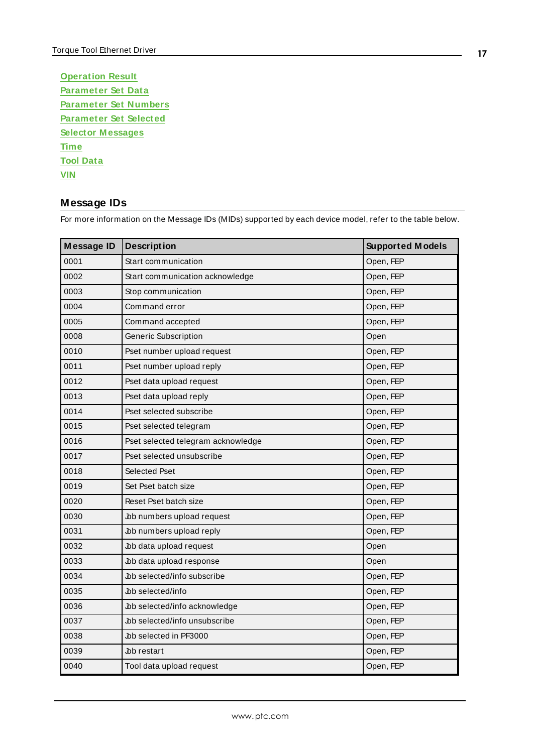| <b>Operation Result</b>       |
|-------------------------------|
| <b>Parameter Set Data</b>     |
| <b>Parameter Set Numbers</b>  |
| <b>Parameter Set Selected</b> |
|                               |
| <b>Selector Messages</b>      |
| <b>Time</b>                   |
| <b>Tool Data</b>              |

## <span id="page-16-0"></span>**Message IDs**

**Message ID** Description **Supported Models** 0001 Start communication Contraction Contraction Contraction Contraction Contraction Contraction Contraction Contraction Contraction Contraction Contraction Contraction Contraction Contraction Contraction Contraction Contr 0002 Start communication acknowledge CODE CODE STATEP 0003 Stop communication Superintendent Control of Copen, FEP 0004 Command error Command error Command executive Command executive Command executive Command executive Comm 0005 Command accepted Command accepted Command Command Command Command Command Command Command Command Command Command Command Command Command Command Command Command Command Command Command Command Command Command Command 0008 Generic Subscription Contract Contract Contract Contract Contract Contract Contract Contract Contract Contract Contract Contract Contract Contract Contract Contract Contract Contract Contract Contract Contract Contrac 0010 Pset number upload request Department of Deen, FEP 0011 Pset number upload reply example of the contract of the period open, FEP 0012 Pset data upload request Pset of the Pset data upload request Pseudonal Pseudonal Pseudonal Pseudonal Pse 0013 Pset data upload reply example of the contract of the Open, FEP 0014 Pset selected subscribe **Department of Contact Selected** subscribe **Open**, FEP 0015 **Pset selected telegram Department of the Second Second Pset selected telegram Department of the Second S** 0016 Pset selected telegram acknowledge **Demanuel School** Open, FEP 0017 Pset selected unsubscribe **Department of Convention** Open, FEP 0018 Selected Pset Contract Contract Contract Contract Contract Contract Contract Contract Contract Contract Contract Contract Contract Contract Contract Contract Contract Contract Contract Contract Contract Contract Contr 0019 Set Pset batch size **Open, FEP** 0020 Reset Pset batch size **CONFER** Open, FEP 0030 bb numbers upload request by a state of the Depen, FEP 0031 bb numbers upload reply b and the contract of  $\Box$  Open, FEP 0032 bb data upload request behind the contract of the period open behind the contract of  $\log$ 0033 bb data upload response between the control open 0034 bb selected/info subscribe and contact the open, FEP 0035 bb selected/info b and the contract of the Department of the Open, FEP 0036 bb selected/info acknowledge open, FEP 0037 bb selected/info unsubscribe Open, FEP 0038 bb selected in PF3000 b b contract to the Department of the Department of the Department of the Department of the Department of the Department of the Department of the Department of the Department of the Department of 0039 **Job restart Community Community** Open, FEP 0040 Tool data upload request Contact Contact Contact Contact Contact Open, FEP

For more information on the Message IDs (MIDs) supported by each device model, refer to the table below.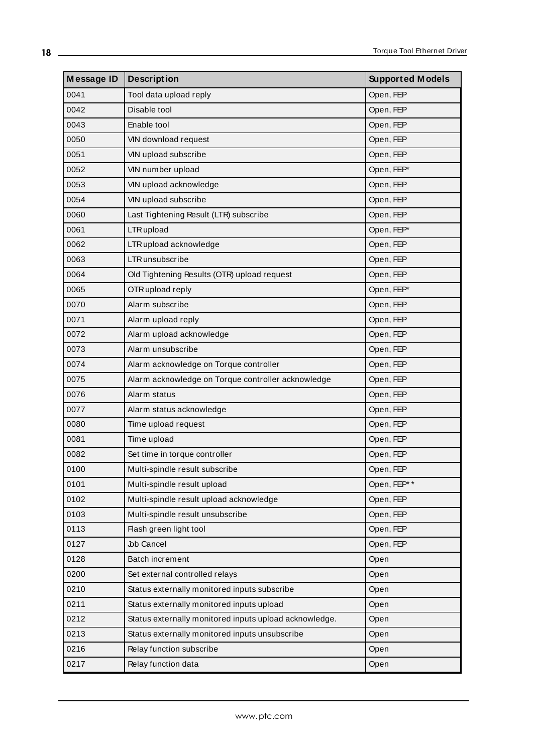| <b>Message ID</b> | <b>Description</b>                                     | <b>Supported Models</b> |
|-------------------|--------------------------------------------------------|-------------------------|
| 0041              | Tool data upload reply                                 | Open, FEP               |
| 0042              | Disable tool                                           | Open, FEP               |
| 0043              | Enable tool                                            | Open, FEP               |
| 0050              | VIN download request                                   | Open, FEP               |
| 0051              | VIN upload subscribe                                   | Open, FEP               |
| 0052              | VIN number upload                                      | Open, FEP*              |
| 0053              | VIN upload acknowledge                                 | Open, FEP               |
| 0054              | VIN upload subscribe                                   | Open, FEP               |
| 0060              | Last Tightening Result (LTR) subscribe                 | Open, FEP               |
| 0061              | LTR upload                                             | Open, FEP*              |
| 0062              | LTR upload acknowledge                                 | Open, FEP               |
| 0063              | LTR unsubscribe                                        | Open, FEP               |
| 0064              | Old Tightening Results (OTR) upload request            | Open, FEP               |
| 0065              | OTR upload reply                                       | Open, FEP*              |
| 0070              | Alarm subscribe                                        | Open, FEP               |
| 0071              | Alarm upload reply                                     | Open, FEP               |
| 0072              | Alarm upload acknowledge                               | Open, FEP               |
| 0073              | Alarm unsubscribe                                      | Open, FEP               |
| 0074              | Alarm acknowledge on Torque controller                 | Open, FEP               |
| 0075              | Alarm acknowledge on Torque controller acknowledge     | Open, FEP               |
| 0076              | Alarm status                                           | Open, FEP               |
| 0077              | Alarm status acknowledge                               | Open, FEP               |
| 0080              | Time upload request                                    | Open, FEP               |
| 0081              | Time upload                                            | Open, FEP               |
| 0082              | Set time in torque controller                          | Open, FEP               |
| 0100              | Multi-spindle result subscribe                         | Open, FEP               |
| 0101              | Multi-spindle result upload                            | Open, FEP**             |
| 0102              | Multi-spindle result upload acknowledge                | Open, FEP               |
| 0103              | Multi-spindle result unsubscribe                       | Open, FEP               |
| 0113              | Flash green light tool                                 | Open, FEP               |
| 0127              | <b>Jbb Cancel</b>                                      | Open, FEP               |
| 0128              | Batch increment                                        | Open                    |
| 0200              | Set external controlled relays                         | Open                    |
| 0210              | Status externally monitored inputs subscribe           | Open                    |
| 0211              | Status externally monitored inputs upload              | Open                    |
| 0212              | Status externally monitored inputs upload acknowledge. | Open                    |
| 0213              | Status externally monitored inputs unsubscribe         | Open                    |
| 0216              | Relay function subscribe                               | Open                    |
| 0217              | Relay function data                                    | Open                    |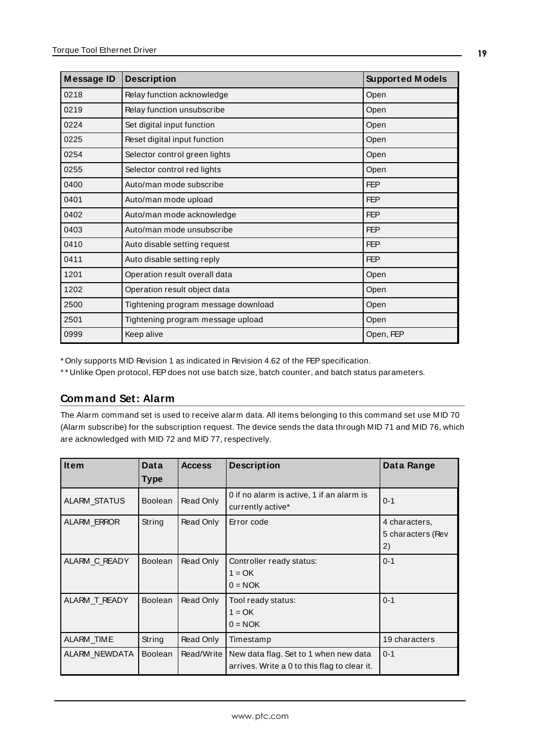| Message ID | <b>Description</b>                  | <b>Supported Models</b> |
|------------|-------------------------------------|-------------------------|
| 0218       | Relay function acknowledge          | Open                    |
| 0219       | Relay function unsubscribe          | Open                    |
| 0224       | Set digital input function          | Open                    |
| 0225       | Reset digital input function        | Open                    |
| 0254       | Selector control green lights       | Open                    |
| 0255       | Selector control red lights         | Open                    |
| 0400       | Auto/man mode subscribe             | <b>FEP</b>              |
| 0401       | Auto/man mode upload                | <b>FEP</b>              |
| 0402       | Auto/man mode acknowledge           | <b>FEP</b>              |
| 0403       | Auto/man mode unsubscribe           | <b>FEP</b>              |
| 0410       | Auto disable setting request        | <b>FEP</b>              |
| 0411       | Auto disable setting reply          | <b>FEP</b>              |
| 1201       | Operation result overall data       | Open                    |
| 1202       | Operation result object data        | Open                    |
| 2500       | Tightening program message download | Open                    |
| 2501       | Tightening program message upload   | Open                    |
| 0999       | Keep alive                          | Open, FEP               |

\* Only supports MID Revision 1 as indicated in Revision 4.62 of the FEPspecification.

<span id="page-18-0"></span>\*\* Unlike Open protocol, FEP does not use batch size, batch counter, and batch status parameters.

## **Command Set: Alarm**

The Alarm command set is used to receive alarm data. All items belonging to this command set use MID 70 (Alarm subscribe) for the subscription request. The device sends the data through MID 71 and MID 76, which are acknowledged with MID 72 and MID 77, respectively.

<span id="page-18-6"></span><span id="page-18-5"></span><span id="page-18-4"></span><span id="page-18-3"></span><span id="page-18-2"></span><span id="page-18-1"></span>

| <b>Item</b>         | Data           | <b>Access</b> | <b>Description</b>                                                                    | Data Range                               |
|---------------------|----------------|---------------|---------------------------------------------------------------------------------------|------------------------------------------|
|                     | <b>Type</b>    |               |                                                                                       |                                          |
| <b>ALARM STATUS</b> | <b>Boolean</b> | Read Only     | 0 if no alarm is active, 1 if an alarm is<br>currently active*                        | $0 - 1$                                  |
| <b>ALARM ERROR</b>  | String         | Read Only     | Error code                                                                            | 4 characters,<br>5 characters (Rev<br>2) |
| ALARM C READY       | <b>Boolean</b> | Read Only     | Controller ready status:<br>$1 = OK$<br>$0 = NOK$                                     | $0 - 1$                                  |
| ALARM T READY       | <b>Boolean</b> | Read Only     | Tool ready status:<br>$1 = OK$<br>$0 = NOK$                                           | $0 - 1$                                  |
| ALARM_TIME          | String         | Read Only     | Timestamp                                                                             | 19 characters                            |
| ALARM_NEWDATA       | <b>Boolean</b> | Read/Write    | New data flag. Set to 1 when new data<br>arrives. Write a 0 to this flag to clear it. | $0 - 1$                                  |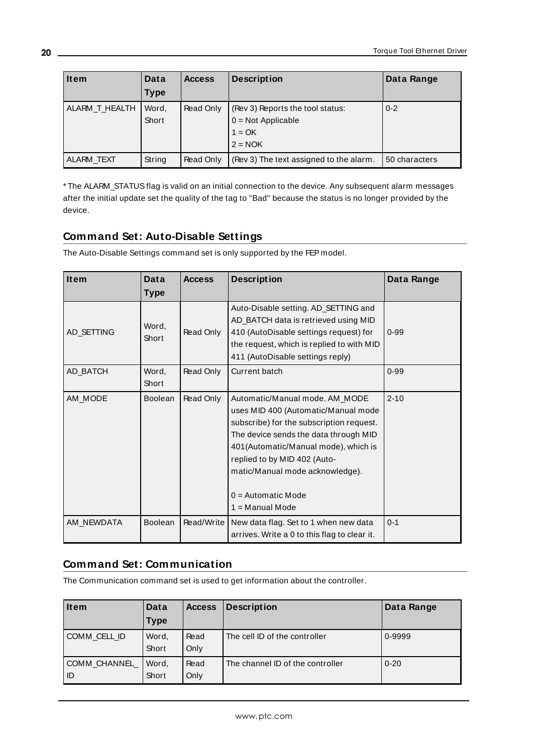<span id="page-19-4"></span>

| <b>Item</b>    | Data           | <b>Access</b> | <b>Description</b>                                                                | Data Range    |
|----------------|----------------|---------------|-----------------------------------------------------------------------------------|---------------|
|                | Type           |               |                                                                                   |               |
| ALARM T HEALTH | Word,<br>Short | Read Only     | (Rev 3) Reports the tool status:<br>$0 = Not Applicable$<br>$1 = OK$<br>$2 = NOK$ | $0 - 2$       |
| ALARM TEXT     | String         | Read Only     | (Rev 3) The text assigned to the alarm.                                           | 50 characters |

<span id="page-19-5"></span>\* The ALARM\_STATUSflag is valid on an initial connection to the device. Any subsequent alarm messages after the initial update set the quality of the tag to "Bad" because the status is no longer provided by the device.

# <span id="page-19-0"></span>**Command Set: Auto-Disable Settings**

The Auto-Disable Settings command set is only supported by the FEP model.

<span id="page-19-6"></span><span id="page-19-3"></span><span id="page-19-2"></span>

| <b>Item</b> | Data<br><b>Type</b> | <b>Access</b> | <b>Description</b>                                                                                                                                                                                                                                                                                                 | Data Range |
|-------------|---------------------|---------------|--------------------------------------------------------------------------------------------------------------------------------------------------------------------------------------------------------------------------------------------------------------------------------------------------------------------|------------|
| AD_SETTING  | Word,<br>Short      | Read Only     | Auto-Disable setting. AD_SETTING and<br>AD_BATCH data is retrieved using MID<br>410 (AutoDisable settings request) for<br>the request, which is replied to with MID<br>411 (AutoDisable settings reply)                                                                                                            | $0 - 99$   |
| AD BATCH    | Word,<br>Short      | Read Only     | Current batch                                                                                                                                                                                                                                                                                                      | $0 - 99$   |
| AM_MODE     | <b>Boolean</b>      | Read Only     | Automatic/Manual mode. AM_MODE<br>uses MID 400 (Automatic/Manual mode<br>subscribe) for the subscription request.<br>The device sends the data through MID<br>401(Automatic/Manual mode), which is<br>replied to by MID 402 (Auto-<br>matic/Manual mode acknowledge).<br>$0 =$ Automatic Mode<br>$1 =$ Manual Mode | $2 - 10$   |
| AM_NEWDATA  | Boolean             | Read/Write    | New data flag. Set to 1 when new data<br>arrives. Write a 0 to this flag to clear it.                                                                                                                                                                                                                              | $0 - 1$    |

## <span id="page-19-7"></span><span id="page-19-1"></span>**Command Set: Communication**

The Communication command set is used to get information about the controller.

<span id="page-19-9"></span><span id="page-19-8"></span>

| Item                 | Data           | <b>Access</b> | <b>Description</b>               | Data Range |
|----------------------|----------------|---------------|----------------------------------|------------|
|                      | <b>Type</b>    |               |                                  |            |
| COMM CELL ID         | Word,<br>Short | Read<br>Only  | The cell ID of the controller    | 0-9999     |
| COMM_CHANNEL<br>l ID | Word,<br>Short | Read<br>Only  | The channel ID of the controller | $0 - 20$   |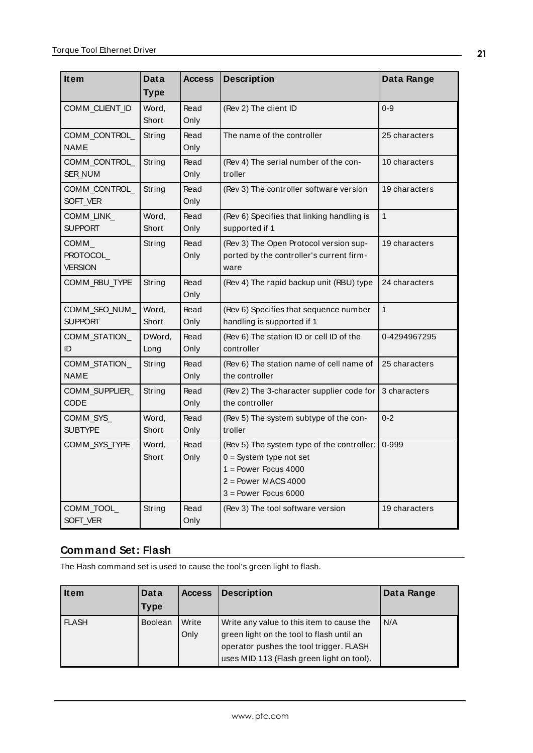<span id="page-20-8"></span><span id="page-20-7"></span><span id="page-20-6"></span><span id="page-20-5"></span><span id="page-20-4"></span><span id="page-20-3"></span><span id="page-20-2"></span><span id="page-20-1"></span>

| <b>Item</b>                              | Data<br><b>Type</b> | <b>Access</b> | <b>Description</b>                                                                                                                                   | Data Range    |
|------------------------------------------|---------------------|---------------|------------------------------------------------------------------------------------------------------------------------------------------------------|---------------|
| COMM_CLIENT_ID                           | Word,<br>Short      | Read<br>Only  | (Rev 2) The client ID                                                                                                                                | $0 - 9$       |
| COMM_CONTROL_<br><b>NAME</b>             | String              | Read<br>Only  | The name of the controller                                                                                                                           | 25 characters |
| COMM_CONTROL_<br><b>SER NUM</b>          | String              | Read<br>Only  | (Rev 4) The serial number of the con-<br>troller                                                                                                     | 10 characters |
| COMM_CONTROL_<br>SOFT_VER                | String              | Read<br>Only  | (Rev 3) The controller software version                                                                                                              | 19 characters |
| COMM_LINK_<br><b>SUPPORT</b>             | Word,<br>Short      | Read<br>Only  | (Rev 6) Specifies that linking handling is<br>supported if 1                                                                                         | $\mathbf{1}$  |
| $COMM_{-}$<br>PROTOCOL<br><b>VERSION</b> | String              | Read<br>Only  | (Rev 3) The Open Protocol version sup-<br>ported by the controller's current firm-<br>ware                                                           | 19 characters |
| COMM_RBU_TYPE                            | String              | Read<br>Only  | (Rev 4) The rapid backup unit (RBU) type                                                                                                             | 24 characters |
| COMM_SEO_NUM_<br><b>SUPPORT</b>          | Word,<br>Short      | Read<br>Only  | (Rev 6) Specifies that sequence number<br>handling is supported if 1                                                                                 | $\mathbf{1}$  |
| COMM_STATION_<br>ID                      | DWord,<br>Long      | Read<br>Only  | (Rev 6) The station ID or cell ID of the<br>controller                                                                                               | 0-4294967295  |
| COMM_STATION_<br><b>NAME</b>             | String              | Read<br>Only  | (Rev 6) The station name of cell name of<br>the controller                                                                                           | 25 characters |
| COMM_SUPPLIER_<br><b>CODE</b>            | String              | Read<br>Only  | (Rev 2) The 3-character supplier code for<br>the controller                                                                                          | 3 characters  |
| COMM SYS<br><b>SUBTYPE</b>               | Word,<br>Short      | Read<br>Only  | (Rev 5) The system subtype of the con-<br>troller                                                                                                    | $0 - 2$       |
| COMM_SYS_TYPE                            | Word,<br>Short      | Read<br>Only  | (Rev 5) The system type of the controller:<br>$0 = System$ type not set<br>$1 = Power$ Focus 4000<br>$2 = Power$ MACS 4000<br>$3 = Power$ Focus 6000 | 0-999         |
| COMM_TOOL_<br>SOFT_VER                   | String              | Read<br>Only  | (Rev 3) The tool software version                                                                                                                    | 19 characters |

# <span id="page-20-14"></span><span id="page-20-13"></span><span id="page-20-12"></span><span id="page-20-11"></span><span id="page-20-10"></span><span id="page-20-9"></span><span id="page-20-0"></span>**Command Set: Flash**

The Flash command set is used to cause the tool's green light to flash.

<span id="page-20-15"></span>

| <b>Item</b>  | Data           | <b>Access</b> | <b>Description</b>                        | Data Range |
|--------------|----------------|---------------|-------------------------------------------|------------|
|              | Type           |               |                                           |            |
| <b>FLASH</b> | <b>Boolean</b> | Write         | Write any value to this item to cause the | N/A        |
|              |                | Only          | green light on the tool to flash until an |            |
|              |                |               | operator pushes the tool trigger. FLASH   |            |
|              |                |               | uses MID 113 (Flash green light on tool). |            |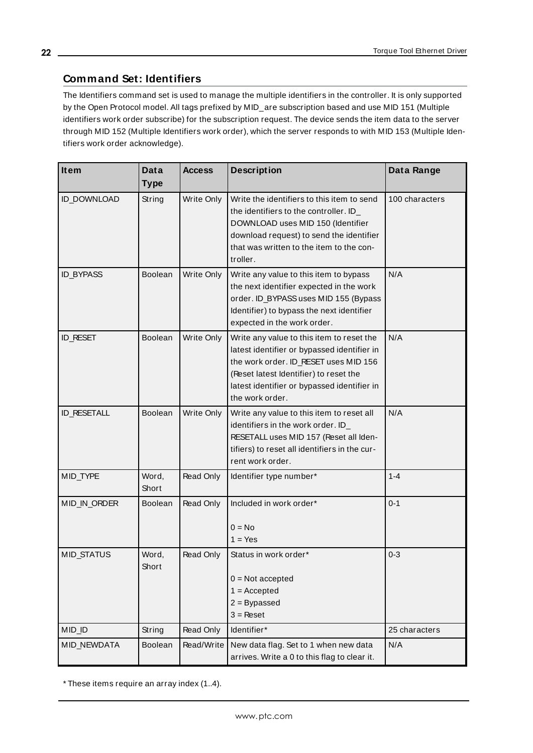# <span id="page-21-0"></span>**Command Set: Identifiers**

The Identifiers command set is used to manage the multiple identifiers in the controller. It is only supported by the Open Protocol model. All tags prefixed by MID\_are subscription based and use MID 151 (Multiple identifiers work order subscribe) for the subscription request. The device sends the item data to the server through MID 152 (Multiple Identifiers work order), which the server responds to with MID 153 (Multiple Identifiers work order acknowledge).

<span id="page-21-4"></span><span id="page-21-3"></span><span id="page-21-2"></span><span id="page-21-1"></span>

| <b>Item</b>        | Data           | <b>Access</b> | <b>Description</b>                                                                                                                                                                                                                            | Data Range     |
|--------------------|----------------|---------------|-----------------------------------------------------------------------------------------------------------------------------------------------------------------------------------------------------------------------------------------------|----------------|
|                    | <b>Type</b>    |               |                                                                                                                                                                                                                                               |                |
| ID_DOWNLOAD        | String         | Write Only    | Write the identifiers to this item to send<br>the identifiers to the controller. ID_<br>DOWNLOAD uses MID 150 (Identifier<br>download request) to send the identifier<br>that was written to the item to the con-<br>troller.                 | 100 characters |
| <b>ID_BYPASS</b>   | <b>Boolean</b> | Write Only    | Write any value to this item to bypass<br>the next identifier expected in the work<br>order. ID_BYPASS uses MID 155 (Bypass<br>Identifier) to bypass the next identifier<br>expected in the work order.                                       | N/A            |
| <b>ID_RESET</b>    | <b>Boolean</b> | Write Only    | Write any value to this item to reset the<br>latest identifier or bypassed identifier in<br>the work order. ID_RESET uses MID 156<br>(Reset latest Identifier) to reset the<br>latest identifier or bypassed identifier in<br>the work order. | N/A            |
| <b>ID_RESETALL</b> | Boolean        | Write Only    | Write any value to this item to reset all<br>identifiers in the work order. ID_<br>RESETALL uses MID 157 (Reset all Iden-<br>tifiers) to reset all identifiers in the cur-<br>rent work order.                                                | N/A            |
| MID_TYPE           | Word,<br>Short | Read Only     | ldentifier type number*                                                                                                                                                                                                                       | $1 - 4$        |
| MID_IN_ORDER       | <b>Boolean</b> | Read Only     | Included in work order*<br>$0 = No$<br>$1 = Yes$                                                                                                                                                                                              | $0 - 1$        |
| MID_STATUS         | Word,<br>Short | Read Only     | Status in work order*<br>$0 = Not accepted$<br>$1 =$ Accepted<br>$2 = By passed$<br>$3 =$ Reset                                                                                                                                               | $0 - 3$        |
| MID_ID             | String         | Read Only     | Identifier*                                                                                                                                                                                                                                   | 25 characters  |
| MID_NEWDATA        | Boolean        | Read/Write    | New data flag. Set to 1 when new data<br>arrives. Write a 0 to this flag to clear it.                                                                                                                                                         | N/A            |

<span id="page-21-9"></span><span id="page-21-8"></span><span id="page-21-7"></span><span id="page-21-6"></span><span id="page-21-5"></span>\* These items require an array index (1..4).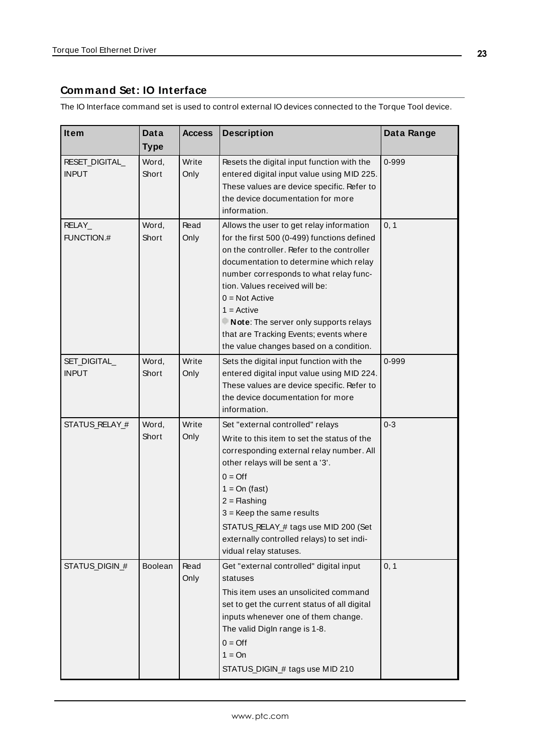# <span id="page-22-0"></span>**Command Set: IO Interface**

The IO Interface command set is used to control external IO devices connected to the Torque Tool device.

<span id="page-22-5"></span><span id="page-22-4"></span><span id="page-22-3"></span><span id="page-22-2"></span><span id="page-22-1"></span>

| <b>Item</b>                    | Data           | <b>Access</b> | <b>Description</b>                                                                                                                                                                                                                                                                                                                                                                                                            | Data Range |
|--------------------------------|----------------|---------------|-------------------------------------------------------------------------------------------------------------------------------------------------------------------------------------------------------------------------------------------------------------------------------------------------------------------------------------------------------------------------------------------------------------------------------|------------|
|                                | <b>Type</b>    |               |                                                                                                                                                                                                                                                                                                                                                                                                                               |            |
| RESET_DIGITAL_<br><b>INPUT</b> | Word,<br>Short | Write<br>Only | Resets the digital input function with the<br>entered digital input value using MID 225.<br>These values are device specific. Refer to<br>the device documentation for more<br>information.                                                                                                                                                                                                                                   | 0-999      |
| RELAY_<br>FUNCTION.#           | Word,<br>Short | Read<br>Only  | Allows the user to get relay information<br>for the first 500 (0-499) functions defined<br>on the controller. Refer to the controller<br>documentation to determine which relay<br>number corresponds to what relay func-<br>tion. Values received will be:<br>$0 = Not$ Active<br>$1 =$ Active<br>Note: The server only supports relays<br>that are Tracking Events; events where<br>the value changes based on a condition. | 0, 1       |
| SET_DIGITAL<br><b>INPUT</b>    | Word,<br>Short | Write<br>Only | Sets the digital input function with the<br>entered digital input value using MID 224.<br>These values are device specific. Refer to<br>the device documentation for more<br>information.                                                                                                                                                                                                                                     | 0-999      |
| STATUS_RELAY_#                 | Word,<br>Short | Write<br>Only | Set "external controlled" relays<br>Write to this item to set the status of the<br>corresponding external relay number. All<br>other relays will be sent a '3'.<br>$0 = \text{Off}$<br>$1 = On (fast)$<br>$2 =$ Flashing<br>$3$ = Keep the same results<br>STATUS_RELAY_# tags use MID 200 (Set<br>externally controlled relays) to set indi-<br>vidual relay statuses.                                                       | $0 - 3$    |
| STATUS_DIGIN_#                 | Boolean        | Read<br>Only  | Get "external controlled" digital input<br>statuses<br>This item uses an unsolicited command<br>set to get the current status of all digital<br>inputs whenever one of them change.<br>The valid Digln range is 1-8.<br>$0 = \text{Off}$<br>$1 = On$<br>STATUS_DIGIN_# tags use MID 210                                                                                                                                       | 0, 1       |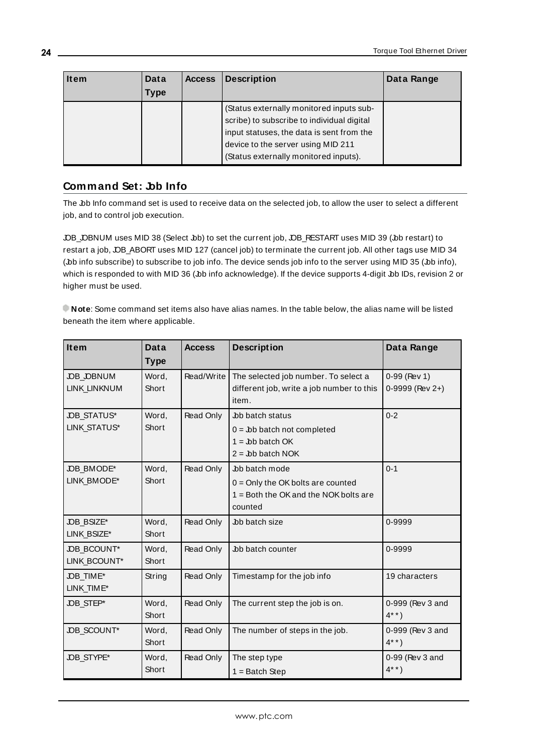| <b>Item</b> | Data<br>Type | <b>Access</b> | <b>Description</b>                                                                                                                                                                                                 | Data Range |
|-------------|--------------|---------------|--------------------------------------------------------------------------------------------------------------------------------------------------------------------------------------------------------------------|------------|
|             |              |               | (Status externally monitored inputs sub-<br>scribe) to subscribe to individual digital<br>input statuses, the data is sent from the<br>device to the server using MID 211<br>(Status externally monitored inputs). |            |

## <span id="page-23-0"></span>**Command Set: Job Info**

The Job Info command set is used to receive data on the selected job, to allow the user to select a different job, and to control job execution.

JOB\_JOBNUM uses MID 38 (Select Job) to set the current job, JOB\_RESTART uses MID 39 (Job restart) to restart a job, JOB\_ABORT uses MID 127 (cancel job) to terminate the current job. All other tags use MID 34 (bb info subscribe) to subscribe to job info. The device sends job info to the server using MID 35 (bb info), which is responded to with MID 36 (Jb info acknowledge). If the device supports 4-digit Jb IDs, revision 2 or higher must be used.

**Note**: Some command set items also have alias names. In the table below, the alias name will be listed beneath the item where applicable.

<span id="page-23-9"></span><span id="page-23-8"></span><span id="page-23-7"></span><span id="page-23-6"></span><span id="page-23-5"></span><span id="page-23-4"></span><span id="page-23-3"></span><span id="page-23-2"></span><span id="page-23-1"></span>

| Item                | <b>Data</b> | <b>Access</b> | <b>Description</b>                        | Data Range       |
|---------------------|-------------|---------------|-------------------------------------------|------------------|
|                     | <b>Type</b> |               |                                           |                  |
| <b>JOB JOBNUM</b>   | Word,       | Read/Write    | The selected job number. To select a      | $0-99$ (Rev 1)   |
| <b>LINK LINKNUM</b> | Short       |               | different job, write a job number to this | 0-9999 (Rev 2+)  |
|                     |             |               | item.                                     |                  |
| <b>JOB STATUS*</b>  | Word,       | Read Only     | Job batch status                          | $0 - 2$          |
| <b>LINK STATUS*</b> | Short       |               | $0 =$ Jb batch not completed              |                  |
|                     |             |               | $1 =$ Job batch OK                        |                  |
|                     |             |               | $2 =$ Job batch NOK                       |                  |
| JOB_BMODE*          | Word.       | Read Only     | Job batch mode                            | $0 - 1$          |
| LINK BMODE*         | Short       |               | $0 =$ Only the OK bolts are counted       |                  |
|                     |             |               | $1 =$ Both the OK and the NOK bolts are   |                  |
|                     |             |               | counted                                   |                  |
| JOB_BSIZE*          | Word,       | Read Only     | <b>Job batch size</b>                     | 0-9999           |
| LINK BSIZE*         | Short       |               |                                           |                  |
| <b>JOB BCOUNT*</b>  | Word,       | Read Only     | Job batch counter                         | 0-9999           |
| LINK BCOUNT*        | Short       |               |                                           |                  |
| JOB_TIME*           | String      | Read Only     | Timestamp for the job info                | 19 characters    |
| LINK_TIME*          |             |               |                                           |                  |
| JOB_STEP*           | Word,       | Read Only     | The current step the job is on.           | 0-999 (Rev 3 and |
|                     | Short       |               |                                           | $4***$           |
| JOB_SCOUNT*         | Word,       | Read Only     | The number of steps in the job.           | 0-999 (Rev 3 and |
|                     | Short       |               |                                           | $4***$ )         |
| JOB_STYPE*          | Word,       | Read Only     | The step type                             | 0-99 (Rev 3 and  |
|                     | Short       |               | $1 =$ Batch Step                          | $4^{* *}$ )      |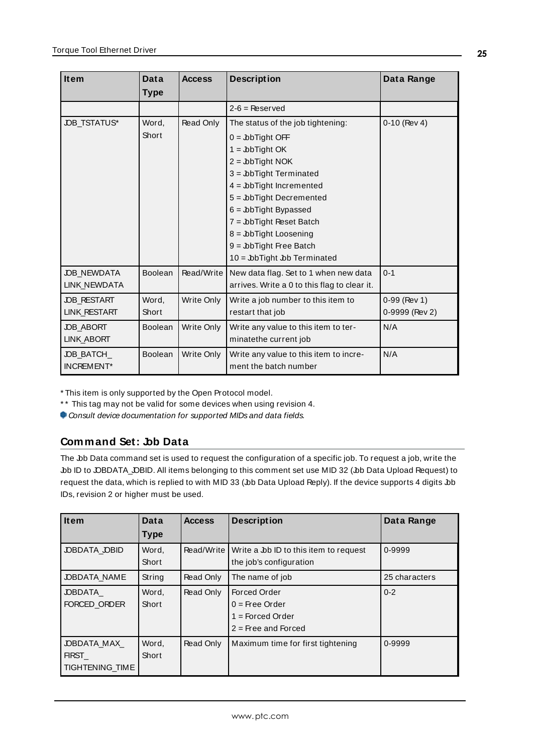<span id="page-24-5"></span>

| Item                | Data           | <b>Access</b> | <b>Description</b>                           | Data Range     |
|---------------------|----------------|---------------|----------------------------------------------|----------------|
|                     | <b>Type</b>    |               |                                              |                |
|                     |                |               | $2-6$ = Reserved                             |                |
| <b>JOB_TSTATUS*</b> | Word,          | Read Only     | The status of the job tightening:            | $0-10$ (Rev 4) |
|                     | Short          |               | $0 =$ JbTight OFF                            |                |
|                     |                |               | $1 =$ JbTight OK                             |                |
|                     |                |               | $2 =$ JobTight NOK                           |                |
|                     |                |               | $3 =$ JobTight Terminated                    |                |
|                     |                |               | $4 =$ JobTight Incremented                   |                |
|                     |                |               | $5 =$ JobTight Decremented                   |                |
|                     |                |               | $6 =$ JbTight Bypassed                       |                |
|                     |                |               | $7 =$ Job Tight Reset Batch                  |                |
|                     |                |               | $8 =$ JobTight Loosening                     |                |
|                     |                |               | $9 =$ JbTight Free Batch                     |                |
|                     |                |               | $10 =$ JbTight JbD Terminated                |                |
| <b>JOB NEWDATA</b>  | <b>Boolean</b> | Read/Write    | New data flag. Set to 1 when new data        | $0 - 1$        |
| <b>LINK NEWDATA</b> |                |               | arrives. Write a 0 to this flag to clear it. |                |
| <b>JOB RESTART</b>  | Word,          | Write Only    | Write a job number to this item to           | $0-99$ (Rev 1) |
| <b>LINK RESTART</b> | Short          |               | restart that job                             | 0-9999 (Rev 2) |
| <b>JOB_ABORT</b>    | <b>Boolean</b> | Write Only    | Write any value to this item to ter-         | N/A            |
| <b>LINK ABORT</b>   |                |               | minatethe current job                        |                |
| <b>JOB BATCH</b>    | <b>Boolean</b> | Write Only    | Write any value to this item to incre-       | N/A            |
| INCREMENT*          |                |               | ment the batch number                        |                |

<span id="page-24-4"></span><span id="page-24-3"></span><span id="page-24-2"></span><span id="page-24-1"></span>\* This item is only supported by the Open Protocol model.

\*\* This tag may not be valid for some devices when using revision 4.

<span id="page-24-0"></span>Consult device documentation for supported MIDs and data fields.

# **Command Set: Job Data**

The Jbb Data command set is used to request the configuration of a specific job. To request a job, write the Job ID to JOBDATA\_JOBID. All items belonging to this comment set use MID 32 (Job Data Upload Request) to request the data, which is replied to with MID 33 (bb Data Upload Reply). If the device supports 4 digits bb IDs, revision 2 or higher must be used.

<span id="page-24-9"></span><span id="page-24-8"></span><span id="page-24-7"></span><span id="page-24-6"></span>

| <b>Item</b>                                           | Data<br>Type   | <b>Access</b> | <b>Description</b>                                                              | Data Range    |
|-------------------------------------------------------|----------------|---------------|---------------------------------------------------------------------------------|---------------|
| JOBDATA JOBID                                         | Word,<br>Short | Read/Write I  | Write a Job ID to this item to request<br>the job's configuration               | 0-9999        |
| <b>JOBDATA NAME</b>                                   | String         | Read Only     | The name of job                                                                 | 25 characters |
| <b>JOBDATA</b><br>FORCED ORDER                        | Word,<br>Short | Read Only     | Forced Order<br>$0 =$ Free Order<br>$1 =$ Forced Order<br>$2 =$ Free and Forced | $0 - 2$       |
| <b>JOBDATA MAX</b><br><b>FIRST</b><br>TIGHTENING TIME | Word,<br>Short | Read Only     | Maximum time for first tightening                                               | 0-9999        |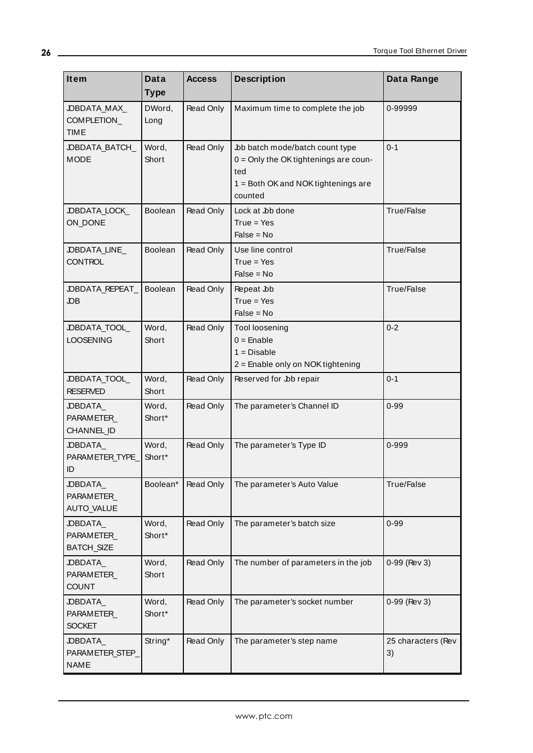<span id="page-25-13"></span><span id="page-25-12"></span><span id="page-25-11"></span><span id="page-25-10"></span><span id="page-25-9"></span><span id="page-25-8"></span><span id="page-25-7"></span><span id="page-25-6"></span><span id="page-25-5"></span><span id="page-25-4"></span><span id="page-25-3"></span><span id="page-25-2"></span><span id="page-25-1"></span><span id="page-25-0"></span>

| Item                                       | Data            | <b>Access</b> | <b>Description</b>                                                                                                                  | Data Range               |
|--------------------------------------------|-----------------|---------------|-------------------------------------------------------------------------------------------------------------------------------------|--------------------------|
|                                            | <b>Type</b>     |               |                                                                                                                                     |                          |
| JOBDATA_MAX_<br>COMPLETION_<br><b>TIME</b> | DWord,<br>Long  | Read Only     | Maximum time to complete the job                                                                                                    | 0-99999                  |
| JOBDATA_BATCH_<br><b>MODE</b>              | Word,<br>Short  | Read Only     | Job batch mode/batch count type<br>$0 =$ Only the OK tightenings are coun-<br>ted<br>1 = Both OK and NOK tightenings are<br>counted | $0 - 1$                  |
| JOBDATA_LOCK_<br>ON_DONE                   | <b>Boolean</b>  | Read Only     | Lock at Job done<br>$True = Yes$<br>$False = No$                                                                                    | True/False               |
| JOBDATA_LINE<br><b>CONTROL</b>             | Boolean         | Read Only     | Use line control<br>$True = Yes$<br>$False = No$                                                                                    | True/False               |
| JOBDATA_REPEAT_<br><b>JOB</b>              | <b>Boolean</b>  | Read Only     | Repeat Jb<br>$True = Yes$<br>$False = No$                                                                                           | True/False               |
| JOBDATA_TOOL<br><b>LOOSENING</b>           | Word,<br>Short  | Read Only     | <b>Tool loosening</b><br>$0 =$ Enable<br>$1 = Disable$<br>2 = Enable only on NOK tightening                                         | $0 - 2$                  |
| JOBDATA_TOOL<br><b>RESERVED</b>            | Word,<br>Short  | Read Only     | Reserved for Job repair                                                                                                             | $0 - 1$                  |
| JOBDATA<br>PARAMETER<br>CHANNEL_ID         | Word,<br>Short* | Read Only     | The parameter's Channel ID                                                                                                          | $0 - 99$                 |
| JOBDATA<br>PARAMETER_TYPE_<br>ID           | Word,<br>Short* | Read Only     | The parameter's Type ID                                                                                                             | 0-999                    |
| JOBDATA<br>PARAMETER_<br><b>AUTO_VALUE</b> | Boolean*        | Read Only     | The parameter's Auto Value                                                                                                          | True/False               |
| JOBDATA_<br>PARAMETER<br><b>BATCH_SIZE</b> | Word,<br>Short* | Read Only     | The parameter's batch size                                                                                                          | $0 - 99$                 |
| JOBDATA<br>PARAMETER_<br><b>COUNT</b>      | Word,<br>Short  | Read Only     | The number of parameters in the job                                                                                                 | 0-99 (Rev 3)             |
| JOBDATA<br>PARAMETER_<br><b>SOCKET</b>     | Word,<br>Short* | Read Only     | The parameter's socket number                                                                                                       | 0-99 (Rev 3)             |
| JOBDATA<br>PARAMETER_STEP_<br><b>NAME</b>  | String*         | Read Only     | The parameter's step name                                                                                                           | 25 characters (Rev<br>3) |

**26**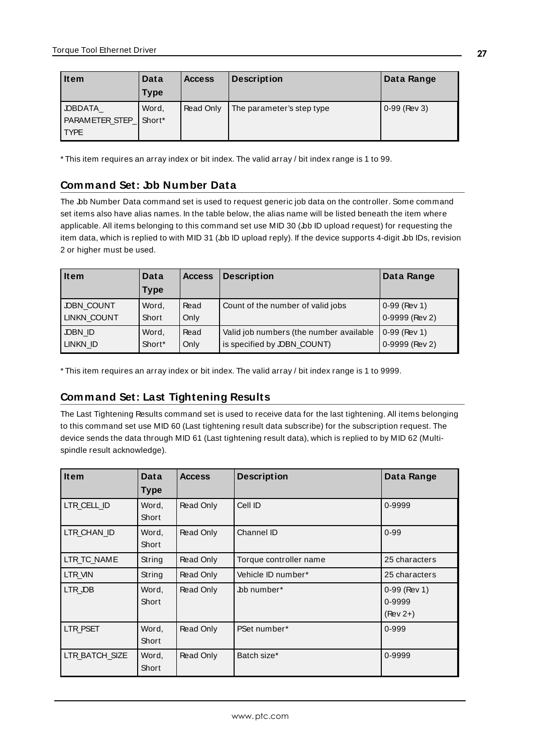<span id="page-26-2"></span>

| <b>Item</b>     | Data   | <b>Access</b> | <b>Description</b>        | Data Range     |
|-----------------|--------|---------------|---------------------------|----------------|
|                 | Type   |               |                           |                |
| <b>JOBDATA</b>  | Word,  | Read Only     | The parameter's step type | $0-99$ (Rev 3) |
| PARAMETER_STEP_ | Short* |               |                           |                |
| <b>TYPE</b>     |        |               |                           |                |

<span id="page-26-0"></span>\* This item requires an array index or bit index. The valid array / bit index range is 1 to 99.

# **Command Set: Job Number Data**

The Job Number Data command set is used to request generic job data on the controller. Some command set items also have alias names. In the table below, the alias name will be listed beneath the item where applicable. All items belonging to this command set use MID 30 (Job ID upload request) for requesting the item data, which is replied to with MID 31 (Job ID upload reply). If the device supports 4-digit Job IDs, revision 2 or higher must be used.

<span id="page-26-4"></span><span id="page-26-3"></span>

| <b>Item</b>       | Data   | <b>Access</b> | <b>Description</b>                      | Data Range     |
|-------------------|--------|---------------|-----------------------------------------|----------------|
|                   | Type   |               |                                         |                |
| <b>JOBN COUNT</b> | Word,  | Read          | Count of the number of valid jobs       | $0-99$ (Rev 1) |
| LINKN_COUNT       | Short  | Only          |                                         | 0-9999 (Rev 2) |
| JOBN ID           | Word,  | Read          | Valid job numbers (the number available | $0-99$ (Rev 1) |
| LINKN ID          | Short* | Only          | is specified by JOBN_COUNT)             | 0-9999 (Rev 2) |

<span id="page-26-1"></span>\* This item requires an array index or bit index. The valid array / bit index range is 1 to 9999.

# **Command Set: Last Tightening Results**

The Last Tightening Results command set is used to receive data for the last tightening. All items belonging to this command set use MID 60 (Last tightening result data subscribe) for the subscription request. The device sends the data through MID 61 (Last tightening result data), which is replied to by MID 62 (Multispindle result acknowledge).

<span id="page-26-11"></span><span id="page-26-10"></span><span id="page-26-9"></span><span id="page-26-8"></span><span id="page-26-7"></span><span id="page-26-6"></span><span id="page-26-5"></span>

| <b>Item</b>    | Data<br><b>Type</b> | <b>Access</b> | <b>Description</b>     | Data Range                             |
|----------------|---------------------|---------------|------------------------|----------------------------------------|
| LTR CELL ID    | Word,<br>Short      | Read Only     | Cell ID                | 0-9999                                 |
| LTR CHAN ID    | Word,<br>Short      | Read Only     | Channel ID             | $0 - 99$                               |
| LTR_TC_NAME    | String              | Read Only     | Torque controller name | 25 characters                          |
| LTR VIN        | String              | Read Only     | Vehicle ID number*     | 25 characters                          |
| LTR JOB        | Word.<br>Short      | Read Only     | bb number*             | $0-99$ (Rev 1)<br>0-9999<br>$(Rev 2+)$ |
| LTR PSET       | Word.<br>Short      | Read Only     | PSet number*           | 0-999                                  |
| LTR BATCH SIZE | Word,<br>Short      | Read Only     | Batch size*            | 0-9999                                 |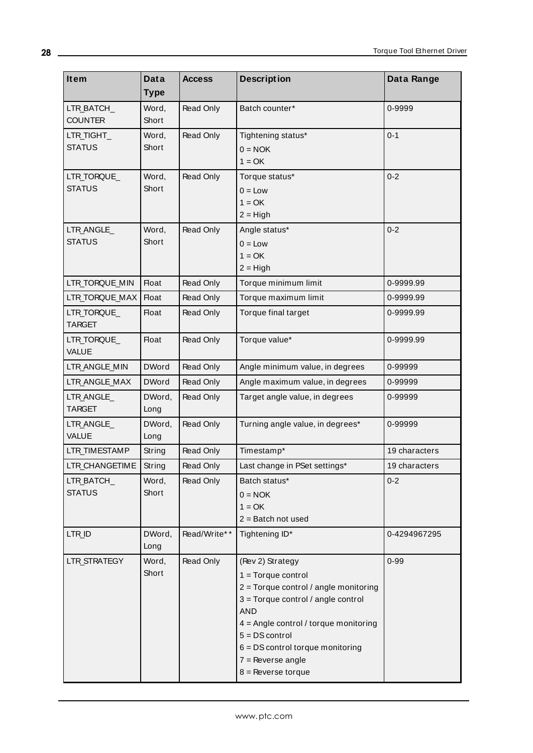<span id="page-27-16"></span><span id="page-27-15"></span><span id="page-27-14"></span><span id="page-27-13"></span><span id="page-27-12"></span><span id="page-27-11"></span><span id="page-27-10"></span><span id="page-27-9"></span><span id="page-27-8"></span><span id="page-27-7"></span><span id="page-27-6"></span><span id="page-27-5"></span><span id="page-27-4"></span><span id="page-27-3"></span><span id="page-27-2"></span><span id="page-27-1"></span><span id="page-27-0"></span>

| Item                         | Data           | <b>Access</b> | <b>Description</b>                                        | Data Range    |
|------------------------------|----------------|---------------|-----------------------------------------------------------|---------------|
|                              | <b>Type</b>    |               |                                                           |               |
| LTR_BATCH_                   | Word,          | Read Only     | Batch counter*                                            | 0-9999        |
| <b>COUNTER</b>               | Short          |               |                                                           |               |
| LTR_TIGHT_                   | Word,          | Read Only     | Tightening status*                                        | $0 - 1$       |
| <b>STATUS</b>                | Short          |               | $0 = NOK$                                                 |               |
|                              |                |               | $1 = OK$                                                  |               |
| LTR_TORQUE_<br><b>STATUS</b> | Word,<br>Short | Read Only     | Torque status*                                            | $0 - 2$       |
|                              |                |               | $0 = Low$<br>$1 = OK$                                     |               |
|                              |                |               | $2 = High$                                                |               |
| LTR_ANGLE_                   | Word,          | Read Only     | Angle status*                                             | $0 - 2$       |
| <b>STATUS</b>                | Short          |               | $0 = Low$                                                 |               |
|                              |                |               | $1 = OK$                                                  |               |
|                              |                |               | $2 = High$                                                |               |
| LTR_TORQUE_MIN               | <b>Float</b>   | Read Only     | Torque minimum limit                                      | 0-9999.99     |
| LTR TORQUE MAX               | <b>Float</b>   | Read Only     | Torque maximum limit                                      | 0-9999.99     |
| LTR_TORQUE                   | <b>Float</b>   | Read Only     | Torque final target                                       | 0-9999.99     |
| <b>TARGET</b>                |                |               |                                                           |               |
| LTR_TORQUE_                  | <b>Float</b>   | Read Only     | Torque value*                                             | 0-9999.99     |
| <b>VALUE</b>                 |                |               |                                                           |               |
| LTR_ANGLE_MIN                | <b>DWord</b>   | Read Only     | Angle minimum value, in degrees                           | 0-99999       |
| LTR_ANGLE_MAX                | <b>DWord</b>   | Read Only     | Angle maximum value, in degrees                           | 0-99999       |
| LTR ANGLE                    | DWord,         | Read Only     | Target angle value, in degrees                            | 0-99999       |
| <b>TARGET</b>                | Long           |               |                                                           |               |
| LTR_ANGLE_<br><b>VALUE</b>   | DWord,         | Read Only     | Turning angle value, in degrees*                          | 0-99999       |
|                              | Long           |               |                                                           |               |
| LTR_TIMESTAMP                | String         | Read Only     | Timestamp*                                                | 19 characters |
| LTR_CHANGETIME               | String         | Read Only     | Last change in PSet settings*                             | 19 characters |
| LTR_BATCH_<br><b>STATUS</b>  | Word,<br>Short | Read Only     | Batch status*                                             | $0 - 2$       |
|                              |                |               | $0 = NOK$<br>$1 = OK$                                     |               |
|                              |                |               | $2 =$ Batch not used                                      |               |
| LTR_ID                       | DWord,         | Read/Write**  | Tightening ID*                                            | 0-4294967295  |
|                              | Long           |               |                                                           |               |
| LTR_STRATEGY                 | Word,          | Read Only     | (Rev 2) Strategy                                          | $0 - 99$      |
|                              | Short          |               | $1 = Torque control$                                      |               |
|                              |                |               | $2 =$ Torque control / angle monitoring                   |               |
|                              |                |               | $3 =$ Torque control / angle control                      |               |
|                              |                |               | <b>AND</b>                                                |               |
|                              |                |               | 4 = Angle control / torque monitoring<br>$5 = DS control$ |               |
|                              |                |               | $6 = DS$ control torque monitoring                        |               |
|                              |                |               | $7 =$ Reverse angle                                       |               |
|                              |                |               | $8 =$ Reverse torque                                      |               |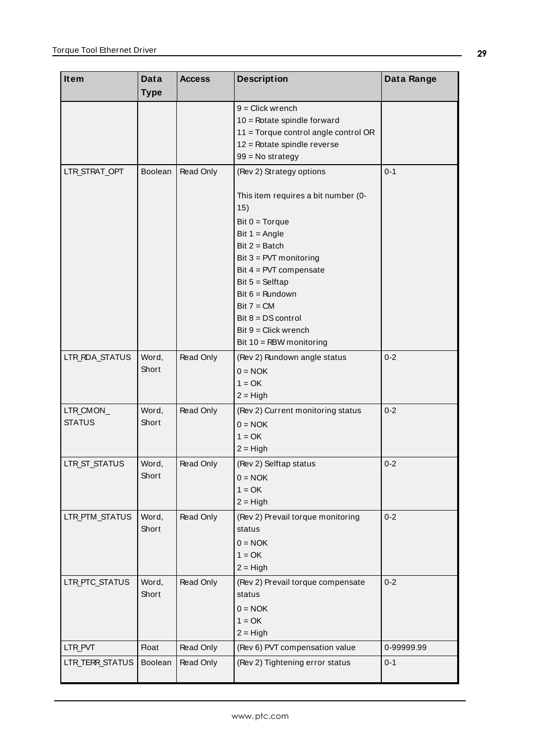<span id="page-28-7"></span><span id="page-28-6"></span><span id="page-28-5"></span><span id="page-28-4"></span><span id="page-28-3"></span><span id="page-28-2"></span><span id="page-28-1"></span><span id="page-28-0"></span>

| <b>Item</b>                | Data           | <b>Access</b> | <b>Description</b>                                                                                                                                                                                                                                                                                  | Data Range |
|----------------------------|----------------|---------------|-----------------------------------------------------------------------------------------------------------------------------------------------------------------------------------------------------------------------------------------------------------------------------------------------------|------------|
|                            | <b>Type</b>    |               |                                                                                                                                                                                                                                                                                                     |            |
|                            |                |               | $9 =$ Click wrench<br>$10 =$ Rotate spindle forward<br>11 = Torque control angle control OR<br>12 = Rotate spindle reverse<br>$99 = No$ strategy                                                                                                                                                    |            |
| LTR_STRAT_OPT              | <b>Boolean</b> | Read Only     | (Rev 2) Strategy options                                                                                                                                                                                                                                                                            | $0 - 1$    |
|                            |                |               | This item requires a bit number (0-<br>15)<br>Bit $0 = Torque$<br>Bit $1 = Angle$<br>$Bit 2 = Batch$<br>Bit $3 = PVT$ monitoring<br>Bit $4 = PVT$ compensate<br>Bit $5 =$ Selftap<br>Bit $6 =$ Rundown<br>$Bit 7 = CM$<br>Bit $8 = DS$ control<br>$Bit 9 = Click$ wrench<br>Bit 10 = RBW monitoring |            |
| LTR_RDA_STATUS             | Word,<br>Short | Read Only     | (Rev 2) Rundown angle status<br>$0 = NOK$<br>$1 = OK$<br>$2 = High$                                                                                                                                                                                                                                 | $0 - 2$    |
| LTR_CMON_<br><b>STATUS</b> | Word,<br>Short | Read Only     | (Rev 2) Current monitoring status<br>$0 = NOK$<br>$1 = OK$<br>$2 = High$                                                                                                                                                                                                                            | $0 - 2$    |
| LTR_ST_STATUS              | Word,<br>Short | Read Only     | (Rev 2) Selftap status<br>$0 = NOK$<br>$1 = OK$<br>$2 = High$                                                                                                                                                                                                                                       | $0 - 2$    |
| LTR_PTM_STATUS             | Word,<br>Short | Read Only     | (Rev 2) Prevail torque monitoring<br>status<br>$0 = NOK$<br>$1 = OK$<br>$2 = High$                                                                                                                                                                                                                  | $0 - 2$    |
| LTR_PTC_STATUS             | Word,<br>Short | Read Only     | (Rev 2) Prevail torque compensate<br>status<br>$0 = NOK$<br>$1 = OK$<br>$2 = High$                                                                                                                                                                                                                  | $0 - 2$    |
| LTR_PVT                    | <b>Float</b>   | Read Only     | (Rev 6) PVT compensation value                                                                                                                                                                                                                                                                      | 0-99999.99 |
| LTR_TERR_STATUS            | Boolean        | Read Only     | (Rev 2) Tightening error status                                                                                                                                                                                                                                                                     | $0 - 1$    |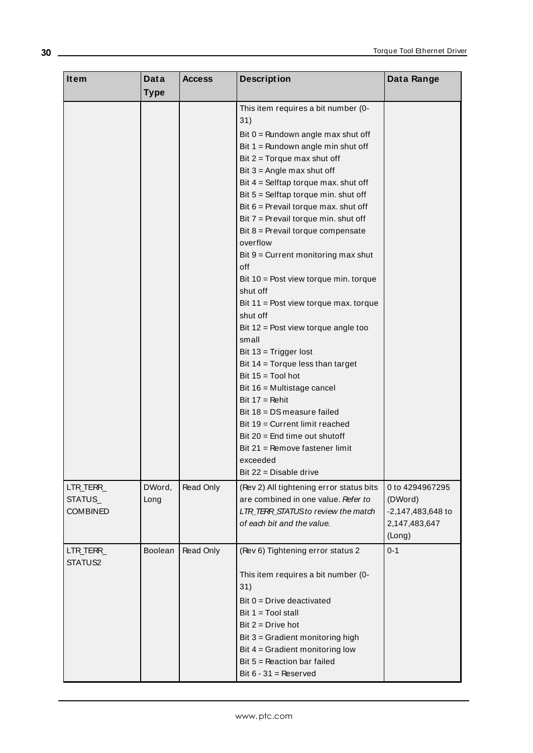<span id="page-29-1"></span><span id="page-29-0"></span>

| Item                 | <b>Data</b> | <b>Access</b> | <b>Description</b>                                                    | Data Range        |
|----------------------|-------------|---------------|-----------------------------------------------------------------------|-------------------|
|                      | <b>Type</b> |               |                                                                       |                   |
|                      |             |               | This item requires a bit number (0-<br>31)                            |                   |
|                      |             |               | Bit 0 = Rundown angle max shut off                                    |                   |
|                      |             |               | Bit $1 =$ Rundown angle min shut off                                  |                   |
|                      |             |               | Bit $2 =$ Torque max shut off                                         |                   |
|                      |             |               | Bit $3 =$ Angle max shut off                                          |                   |
|                      |             |               | Bit $4 =$ Selftap torque max. shut off                                |                   |
|                      |             |               | Bit 5 = Selftap torque min. shut off                                  |                   |
|                      |             |               | Bit $6$ = Prevail torque max. shut off                                |                   |
|                      |             |               | Bit $7$ = Prevail torque min. shut off                                |                   |
|                      |             |               | Bit 8 = Prevail torque compensate                                     |                   |
|                      |             |               | overflow                                                              |                   |
|                      |             |               | Bit 9 = Current monitoring max shut<br>off                            |                   |
|                      |             |               | Bit $10 =$ Post view torque min. torque<br>shut off                   |                   |
|                      |             |               | Bit $11$ = Post view torque max. torque<br>shut off                   |                   |
|                      |             |               | Bit $12$ = Post view torque angle too                                 |                   |
|                      |             |               | small                                                                 |                   |
|                      |             |               | Bit 13 = Trigger lost                                                 |                   |
|                      |             |               | Bit 14 = Torque less than target                                      |                   |
|                      |             |               | Bit $15 =$ Tool hot                                                   |                   |
|                      |             |               | Bit 16 = Multistage cancel                                            |                   |
|                      |             |               | Bit $17 =$ Rehit                                                      |                   |
|                      |             |               | Bit 18 = DS measure failed                                            |                   |
|                      |             |               | Bit 19 = Current limit reached                                        |                   |
|                      |             |               | Bit $20$ = End time out shutoff                                       |                   |
|                      |             |               | Bit 21 = Remove fastener limit                                        |                   |
|                      |             |               | exceeded                                                              |                   |
|                      |             |               | Bit 22 = Disable drive                                                |                   |
| LTR_TERR_            | DWord,      | Read Only     | (Rev 2) All tightening error status bits                              | 0 to 4294967295   |
| STATUS               | Long        |               | are combined in one value. Refer to                                   | (DWord)           |
| <b>COMBINED</b>      |             |               | LTR_TERR_STATUS to review the match                                   | -2,147,483,648 to |
|                      |             |               | of each bit and the value.                                            | 2,147,483,647     |
|                      |             |               |                                                                       | (Long)            |
| LTR_TERR_<br>STATUS2 | Boolean     | Read Only     | (Rev 6) Tightening error status 2                                     | $0 - 1$           |
|                      |             |               | This item requires a bit number (0-<br>31)                            |                   |
|                      |             |               |                                                                       |                   |
|                      |             |               | Bit $0 =$ Drive deactivated                                           |                   |
|                      |             |               | Bit $1 = Tool$ stall                                                  |                   |
|                      |             |               | Bit $2 = Drive hot$                                                   |                   |
|                      |             |               | Bit 3 = Gradient monitoring high<br>Bit $4 =$ Gradient monitoring low |                   |
|                      |             |               | Bit $5 =$ Reaction bar failed                                         |                   |
|                      |             |               | Bit $6 - 31$ = Reserved                                               |                   |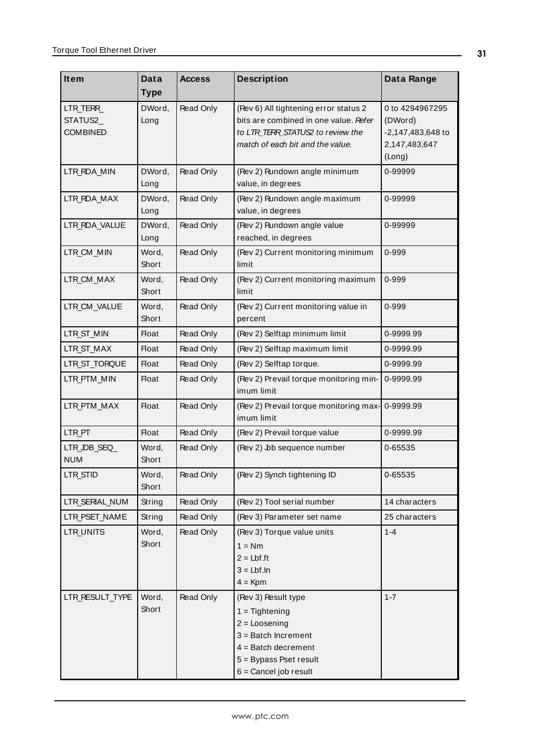<span id="page-30-18"></span><span id="page-30-17"></span><span id="page-30-16"></span><span id="page-30-15"></span><span id="page-30-14"></span><span id="page-30-13"></span><span id="page-30-12"></span><span id="page-30-11"></span><span id="page-30-10"></span><span id="page-30-9"></span><span id="page-30-8"></span><span id="page-30-7"></span><span id="page-30-6"></span><span id="page-30-5"></span><span id="page-30-4"></span><span id="page-30-3"></span><span id="page-30-2"></span><span id="page-30-1"></span><span id="page-30-0"></span>

| Item                                     | Data           | <b>Access</b>    | <b>Description</b>                                                                                                                                                | Data Range                                                                 |
|------------------------------------------|----------------|------------------|-------------------------------------------------------------------------------------------------------------------------------------------------------------------|----------------------------------------------------------------------------|
|                                          | <b>Type</b>    |                  |                                                                                                                                                                   |                                                                            |
| LTR_TERR_<br>STATUS2_<br><b>COMBINED</b> | DWord,<br>Long | Read Only        | (Rev 6) All tightening error status 2<br>bits are combined in one value. Refer<br>to LTR TERR STATUS2 to review the<br>match of each bit and the value.           | 0 to 4294967295<br>(DWord)<br>-2,147,483,648 to<br>2,147,483,647<br>(Long) |
| LTR_RDA_MIN                              | DWord,<br>Long | Read Only        | (Rev 2) Rundown angle minimum<br>value, in degrees                                                                                                                | 0-99999                                                                    |
| LTR_RDA_MAX                              | DWord,<br>Long | Read Only        | (Rev 2) Rundown angle maximum<br>value, in degrees                                                                                                                | 0-99999                                                                    |
| LTR_RDA_VALUE                            | DWord,<br>Long | Read Only        | (Rev 2) Rundown angle value<br>reached, in degrees                                                                                                                | 0-99999                                                                    |
| LTR_CM_MIN                               | Word,<br>Short | Read Only        | (Rev 2) Current monitoring minimum<br>limit                                                                                                                       | 0-999                                                                      |
| LTR_CM_MAX                               | Word,<br>Short | Read Only        | (Rev 2) Current monitoring maximum<br>limit                                                                                                                       | 0-999                                                                      |
| LTR_CM_VALUE                             | Word,<br>Short | Read Only        | (Rev 2) Current monitoring value in<br>percent                                                                                                                    | 0-999                                                                      |
| LTR_ST_MIN                               | <b>Float</b>   | Read Only        | (Rev 2) Selftap minimum limit                                                                                                                                     | 0-9999.99                                                                  |
| LTR_ST_MAX                               | <b>Float</b>   | Read Only        | (Rev 2) Selftap maximum limit                                                                                                                                     | 0-9999.99                                                                  |
| LTR_ST_TORQUE                            | <b>Float</b>   | Read Only        | (Rev 2) Selftap torque.                                                                                                                                           | 0-9999.99                                                                  |
| LTR_PTM_MIN                              | <b>Float</b>   | Read Only        | (Rev 2) Prevail torque monitoring min-<br>imum limit                                                                                                              | 0-9999.99                                                                  |
| LTR_PTM_MAX                              | <b>Float</b>   | <b>Read Only</b> | (Rev 2) Prevail torque monitoring max-<br>imum limit                                                                                                              | 0-9999.99                                                                  |
| LTR PT                                   | <b>Float</b>   | Read Only        | (Rev 2) Prevail torque value                                                                                                                                      | 0-9999.99                                                                  |
| LTR_OB_SEQ<br><b>NUM</b>                 | Word,<br>Short | Read Only        | (Rev 2) Job sequence number                                                                                                                                       | 0-65535                                                                    |
| LTR_STID                                 | Word,<br>Short | Read Only        | (Rev 2) Synch tightening ID                                                                                                                                       | 0-65535                                                                    |
| LTR SERIAL NUM                           | String         | Read Only        | (Rev 2) Tool serial number                                                                                                                                        | 14 characters                                                              |
| LTR_PSET_NAME                            | String         | Read Only        | (Rev 3) Parameter set name                                                                                                                                        | 25 characters                                                              |
| LTR_UNITS                                | Word,<br>Short | Read Only        | (Rev 3) Torque value units<br>$1 = Nm$<br>$2 = Lbf f$ .ft<br>$3 = Lbf.ln$<br>$4 =$ Kpm                                                                            | $1 - 4$                                                                    |
| LTR_RESULT_TYPE                          | Word,<br>Short | Read Only        | (Rev 3) Result type<br>$1 =$ Tightening<br>$2 = Loosening$<br>$3 =$ Batch Increment<br>$4 =$ Batch decrement<br>5 = Bypass Pset result<br>$6 =$ Cancel job result | $1 - 7$                                                                    |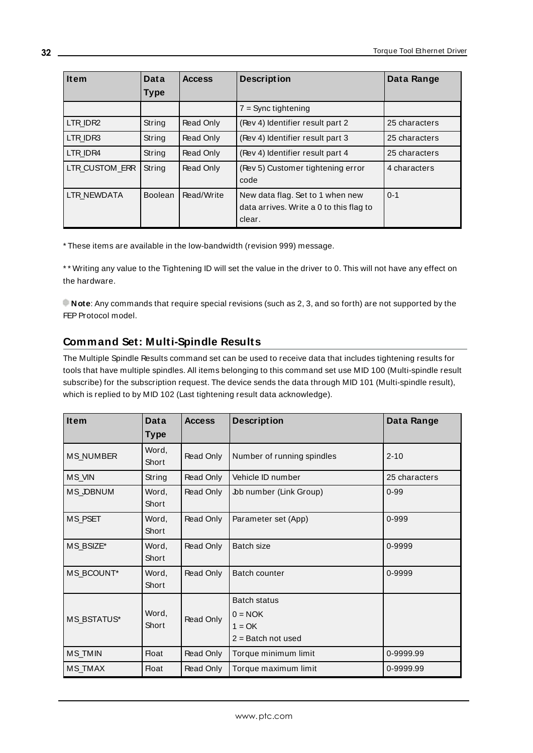<span id="page-31-4"></span><span id="page-31-3"></span><span id="page-31-2"></span><span id="page-31-1"></span>

| <b>Item</b>        | <b>Data</b>    | <b>Access</b> | <b>Description</b>                                                                    | Data Range    |
|--------------------|----------------|---------------|---------------------------------------------------------------------------------------|---------------|
|                    | <b>Type</b>    |               |                                                                                       |               |
|                    |                |               | $7 =$ Sync tightening                                                                 |               |
| LTR IDR2           | String         | Read Only     | (Rev 4) Identifier result part 2                                                      | 25 characters |
| LTR IDR3           | String         | Read Only     | (Rev 4) Identifier result part 3                                                      | 25 characters |
| LTR IDR4           | String         | Read Only     | (Rev 4) Identifier result part 4                                                      | 25 characters |
| LTR CUSTOM ERR     | String         | Read Only     | (Rev 5) Customer tightening error<br>code                                             | 4 characters  |
| <b>LTR NEWDATA</b> | <b>Boolean</b> | Read/Write    | New data flag. Set to 1 when new<br>data arrives. Write a 0 to this flag to<br>clear. | $0 - 1$       |

<span id="page-31-5"></span>\* These items are available in the low-bandwidth (revision 999) message.

\* \* Writing any value to the Tightening ID will set the value in the driver to 0. This will not have any effect on the hardware.

**Note**: Any commands that require special revisions (such as 2, 3, and so forth) are not supported by the FEP Protocol model.

# <span id="page-31-0"></span>**Command Set: Multi-Spindle Results**

The Multiple Spindle Results command set can be used to receive data that includes tightening results for tools that have multiple spindles. All items belonging to this command set use MID 100 (Multi-spindle result subscribe) for the subscription request. The device sends the data through MID 101 (Multi-spindle result), which is replied to by MID 102 (Last tightening result data acknowledge).

<span id="page-31-14"></span><span id="page-31-13"></span><span id="page-31-12"></span><span id="page-31-11"></span><span id="page-31-10"></span><span id="page-31-9"></span><span id="page-31-8"></span><span id="page-31-7"></span><span id="page-31-6"></span>

| Item               | Data<br><b>Type</b> | <b>Access</b> | <b>Description</b>                                                   | Data Range    |
|--------------------|---------------------|---------------|----------------------------------------------------------------------|---------------|
| <b>MS NUMBER</b>   | Word,<br>Short      | Read Only     | Number of running spindles                                           | $2 - 10$      |
| MS_VIN             | String              | Read Only     | Vehicle ID number                                                    | 25 characters |
| MS_OBNUM           | Word,<br>Short      | Read Only     | Job number (Link Group)                                              | $0 - 99$      |
| <b>MS PSET</b>     | Word,<br>Short      | Read Only     | Parameter set (App)                                                  | 0-999         |
| MS_BSIZE*          | Word,<br>Short      | Read Only     | Batch size                                                           | 0-9999        |
| MS_BCOUNT*         | Word,<br>Short      | Read Only     | <b>Batch counter</b>                                                 | 0-9999        |
| <b>MS BSTATUS*</b> | Word,<br>Short      | Read Only     | <b>Batch status</b><br>$0 = NOK$<br>$1 = OK$<br>$2 =$ Batch not used |               |
| <b>MS_TMIN</b>     | <b>Float</b>        | Read Only     | Torque minimum limit                                                 | 0-9999.99     |
| <b>MS_TMAX</b>     | <b>Float</b>        | Read Only     | Torque maximum limit                                                 | 0-9999.99     |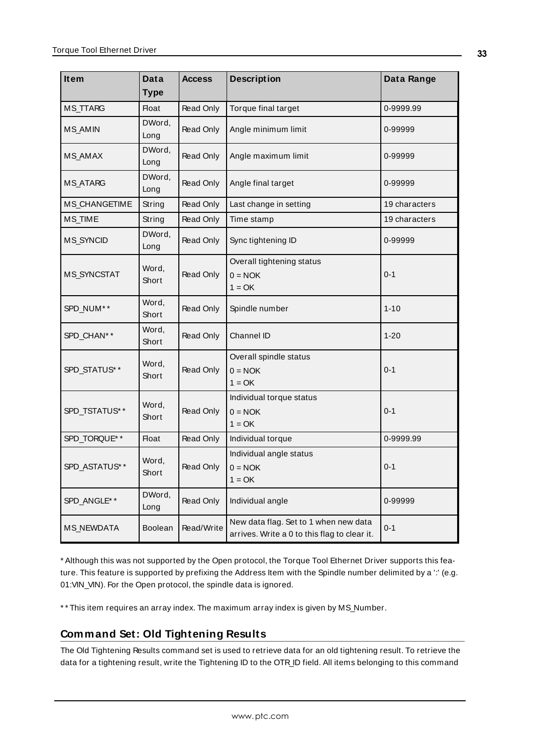<span id="page-32-13"></span><span id="page-32-9"></span><span id="page-32-8"></span><span id="page-32-7"></span><span id="page-32-6"></span><span id="page-32-4"></span><span id="page-32-3"></span><span id="page-32-2"></span><span id="page-32-1"></span>

| <b>Item</b>        | Data           | <b>Access</b>    | <b>Description</b>                                                                    | Data Range    |
|--------------------|----------------|------------------|---------------------------------------------------------------------------------------|---------------|
|                    | <b>Type</b>    |                  |                                                                                       |               |
| MS_TTARG           | <b>Float</b>   | Read Only        | Torque final target                                                                   | 0-9999.99     |
| <b>MS_AMIN</b>     | DWord,<br>Long | Read Only        | Angle minimum limit                                                                   | 0-99999       |
| <b>MS_AMAX</b>     | DWord,<br>Long | <b>Read Only</b> | Angle maximum limit                                                                   | 0-99999       |
| <b>MS_ATARG</b>    | DWord,<br>Long | Read Only        | Angle final target                                                                    | 0-99999       |
| MS_CHANGETIME      | String         | Read Only        | Last change in setting                                                                | 19 characters |
| <b>MS_TIME</b>     | String         | Read Only        | Time stamp                                                                            | 19 characters |
| MS_SYNCID          | DWord,<br>Long | <b>Read Only</b> | Sync tightening ID                                                                    | 0-99999       |
| <b>MS_SYNCSTAT</b> | Word,<br>Short | Read Only        | Overall tightening status<br>$0 = NOK$<br>$1 = OK$                                    | $0 - 1$       |
| SPD_NUM**          | Word,<br>Short | <b>Read Only</b> | Spindle number                                                                        | $1 - 10$      |
| SPD_CHAN**         | Word,<br>Short | <b>Read Only</b> | Channel ID                                                                            | $1 - 20$      |
| SPD_STATUS**       | Word,<br>Short | Read Only        | Overall spindle status<br>$0 = NOK$<br>$1 = OK$                                       | $0 - 1$       |
| SPD_TSTATUS**      | Word,<br>Short | <b>Read Only</b> | Individual torque status<br>$0 = NOK$<br>$1 = OK$                                     | $0 - 1$       |
| SPD_TORQUE**       | <b>Float</b>   | Read Only        | Individual torque                                                                     | 0-9999.99     |
| SPD_ASTATUS**      | Word,<br>Short | Read Only        | Individual angle status<br>$0 = NOK$<br>$1 = OK$                                      | $0 - 1$       |
| SPD_ANGLE* *       | DWord,<br>Long | Read Only        | Individual angle                                                                      | 0-99999       |
| <b>MS_NEWDATA</b>  | Boolean        | Read/Write       | New data flag. Set to 1 when new data<br>arrives. Write a 0 to this flag to clear it. | $0 - 1$       |

<span id="page-32-16"></span><span id="page-32-15"></span><span id="page-32-14"></span><span id="page-32-12"></span><span id="page-32-11"></span><span id="page-32-10"></span><span id="page-32-5"></span>\* Although this was not supported by the Open protocol, the Torque Tool Ethernet Driver supports this feature. This feature is supported by prefixing the Address Item with the Spindle number delimited by a ':' (e.g. 01:VIN\_VIN). For the Open protocol, the spindle data is ignored.

<span id="page-32-0"></span>\*\* This item requires an array index. The maximum array index is given by MS\_Number.

# **Command Set: Old Tightening Results**

The Old Tightening Results command set is used to retrieve data for an old tightening result. To retrieve the data for a tightening result, write the Tightening ID to the OTR\_ID field. All items belonging to this command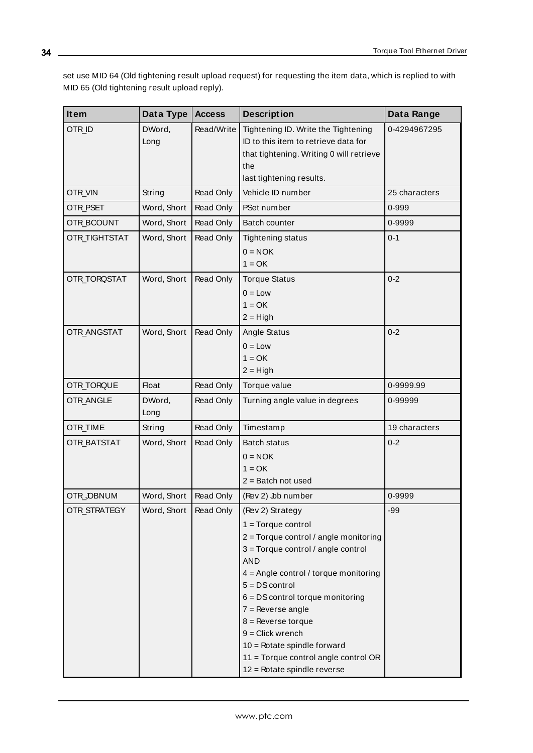set use MID 64 (Old tightening result upload request) for requesting the item data, which is replied to with MID 65 (Old tightening result upload reply).

<span id="page-33-12"></span><span id="page-33-11"></span><span id="page-33-10"></span><span id="page-33-9"></span><span id="page-33-8"></span><span id="page-33-7"></span><span id="page-33-6"></span><span id="page-33-5"></span><span id="page-33-4"></span><span id="page-33-3"></span><span id="page-33-2"></span><span id="page-33-1"></span><span id="page-33-0"></span>

| Item               | Data Type      | <b>Access</b> | <b>Description</b>                                                                                                                                                                                                                                                                                                                                                                                                        | Data Range    |
|--------------------|----------------|---------------|---------------------------------------------------------------------------------------------------------------------------------------------------------------------------------------------------------------------------------------------------------------------------------------------------------------------------------------------------------------------------------------------------------------------------|---------------|
| OTR_ID             | DWord,<br>Long | Read/Write    | Tightening ID. Write the Tightening<br>ID to this item to retrieve data for<br>that tightening. Writing 0 will retrieve<br>the<br>last tightening results.                                                                                                                                                                                                                                                                | 0-4294967295  |
| OTR_VIN            | String         | Read Only     | Vehicle ID number                                                                                                                                                                                                                                                                                                                                                                                                         | 25 characters |
| OTR_PSET           | Word, Short    | Read Only     | PSet number                                                                                                                                                                                                                                                                                                                                                                                                               | 0-999         |
| OTR_BCOUNT         | Word, Short    | Read Only     | Batch counter                                                                                                                                                                                                                                                                                                                                                                                                             | 0-9999        |
| OTR_TIGHTSTAT      | Word, Short    | Read Only     | <b>Tightening status</b><br>$0 = NOK$<br>$1 = OK$                                                                                                                                                                                                                                                                                                                                                                         | $0 - 1$       |
| OTR_TORQSTAT       | Word, Short    | Read Only     | <b>Torque Status</b><br>$0 = Low$<br>$1 = OK$<br>$2 = High$                                                                                                                                                                                                                                                                                                                                                               | $0 - 2$       |
| OTR_ANGSTAT        | Word, Short    | Read Only     | Angle Status<br>$0 = Low$<br>$1 = OK$<br>$2 = High$                                                                                                                                                                                                                                                                                                                                                                       | $0 - 2$       |
| OTR_TORQUE         | Float          | Read Only     | Torque value                                                                                                                                                                                                                                                                                                                                                                                                              | 0-9999.99     |
| OTR_ANGLE          | DWord,<br>Long | Read Only     | Turning angle value in degrees                                                                                                                                                                                                                                                                                                                                                                                            | 0-99999       |
| OTR_TIME           | String         | Read Only     | Timestamp                                                                                                                                                                                                                                                                                                                                                                                                                 | 19 characters |
| <b>OTR_BATSTAT</b> | Word, Short    | Read Only     | <b>Batch status</b><br>$0 = NOK$<br>$1 = OK$<br>$2 =$ Batch not used                                                                                                                                                                                                                                                                                                                                                      | $0 - 2$       |
| OTR_OBNUM          | Word, Short    | Read Only     | (Rev 2) Job number                                                                                                                                                                                                                                                                                                                                                                                                        | 0-9999        |
| OTR_STRATEGY       | Word, Short    | Read Only     | (Rev 2) Strategy<br>$1 = Torque control$<br>2 = Torque control / angle monitoring<br>$3 =$ Torque control / angle control<br><b>AND</b><br>$4 =$ Angle control / torque monitoring<br>$5 = DS control$<br>$6 = DS$ control torque monitoring<br>$7 =$ Reverse angle<br>$8$ = Reverse torque<br>$9 =$ Click wrench<br>10 = Rotate spindle forward<br>$11 =$ Torque control angle control OR<br>12 = Rotate spindle reverse | $-99$         |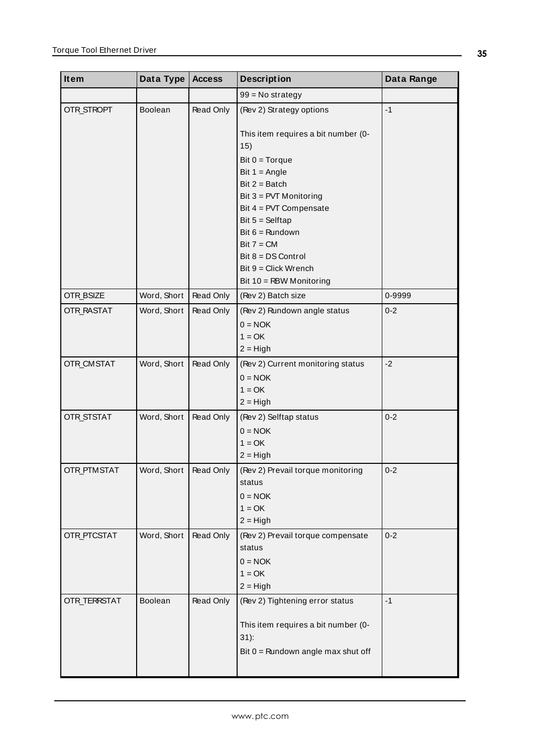<span id="page-34-7"></span><span id="page-34-6"></span><span id="page-34-5"></span><span id="page-34-4"></span><span id="page-34-3"></span><span id="page-34-2"></span><span id="page-34-1"></span><span id="page-34-0"></span>

| Data Type | <b>Access</b>                                                           | <b>Description</b>                                                                       | Data Range                                                                                                                                                                                                                                                                                                                                                                                                                                                                                                                                                                                     |
|-----------|-------------------------------------------------------------------------|------------------------------------------------------------------------------------------|------------------------------------------------------------------------------------------------------------------------------------------------------------------------------------------------------------------------------------------------------------------------------------------------------------------------------------------------------------------------------------------------------------------------------------------------------------------------------------------------------------------------------------------------------------------------------------------------|
|           |                                                                         | $99 = No$ strategy                                                                       |                                                                                                                                                                                                                                                                                                                                                                                                                                                                                                                                                                                                |
| Boolean   | Read Only                                                               | (Rev 2) Strategy options                                                                 | $-1$                                                                                                                                                                                                                                                                                                                                                                                                                                                                                                                                                                                           |
|           |                                                                         | This item requires a bit number (0-<br>15)                                               |                                                                                                                                                                                                                                                                                                                                                                                                                                                                                                                                                                                                |
|           |                                                                         | Bit $0 = Torque$                                                                         |                                                                                                                                                                                                                                                                                                                                                                                                                                                                                                                                                                                                |
|           |                                                                         | Bit $1 =$ Angle                                                                          |                                                                                                                                                                                                                                                                                                                                                                                                                                                                                                                                                                                                |
|           |                                                                         |                                                                                          |                                                                                                                                                                                                                                                                                                                                                                                                                                                                                                                                                                                                |
|           |                                                                         |                                                                                          |                                                                                                                                                                                                                                                                                                                                                                                                                                                                                                                                                                                                |
|           |                                                                         |                                                                                          |                                                                                                                                                                                                                                                                                                                                                                                                                                                                                                                                                                                                |
|           |                                                                         |                                                                                          |                                                                                                                                                                                                                                                                                                                                                                                                                                                                                                                                                                                                |
|           |                                                                         |                                                                                          |                                                                                                                                                                                                                                                                                                                                                                                                                                                                                                                                                                                                |
|           |                                                                         |                                                                                          |                                                                                                                                                                                                                                                                                                                                                                                                                                                                                                                                                                                                |
|           |                                                                         |                                                                                          |                                                                                                                                                                                                                                                                                                                                                                                                                                                                                                                                                                                                |
|           |                                                                         |                                                                                          |                                                                                                                                                                                                                                                                                                                                                                                                                                                                                                                                                                                                |
|           |                                                                         |                                                                                          | 0-9999                                                                                                                                                                                                                                                                                                                                                                                                                                                                                                                                                                                         |
|           |                                                                         |                                                                                          | $0 - 2$                                                                                                                                                                                                                                                                                                                                                                                                                                                                                                                                                                                        |
|           |                                                                         |                                                                                          |                                                                                                                                                                                                                                                                                                                                                                                                                                                                                                                                                                                                |
|           |                                                                         |                                                                                          |                                                                                                                                                                                                                                                                                                                                                                                                                                                                                                                                                                                                |
|           |                                                                         |                                                                                          |                                                                                                                                                                                                                                                                                                                                                                                                                                                                                                                                                                                                |
|           |                                                                         |                                                                                          | $-2$                                                                                                                                                                                                                                                                                                                                                                                                                                                                                                                                                                                           |
|           |                                                                         |                                                                                          |                                                                                                                                                                                                                                                                                                                                                                                                                                                                                                                                                                                                |
|           |                                                                         |                                                                                          |                                                                                                                                                                                                                                                                                                                                                                                                                                                                                                                                                                                                |
|           |                                                                         |                                                                                          |                                                                                                                                                                                                                                                                                                                                                                                                                                                                                                                                                                                                |
|           |                                                                         |                                                                                          | $0 - 2$                                                                                                                                                                                                                                                                                                                                                                                                                                                                                                                                                                                        |
|           |                                                                         |                                                                                          |                                                                                                                                                                                                                                                                                                                                                                                                                                                                                                                                                                                                |
|           |                                                                         |                                                                                          |                                                                                                                                                                                                                                                                                                                                                                                                                                                                                                                                                                                                |
|           |                                                                         |                                                                                          |                                                                                                                                                                                                                                                                                                                                                                                                                                                                                                                                                                                                |
|           |                                                                         |                                                                                          | $0 - 2$                                                                                                                                                                                                                                                                                                                                                                                                                                                                                                                                                                                        |
|           |                                                                         |                                                                                          |                                                                                                                                                                                                                                                                                                                                                                                                                                                                                                                                                                                                |
|           |                                                                         |                                                                                          |                                                                                                                                                                                                                                                                                                                                                                                                                                                                                                                                                                                                |
|           |                                                                         |                                                                                          |                                                                                                                                                                                                                                                                                                                                                                                                                                                                                                                                                                                                |
|           |                                                                         |                                                                                          |                                                                                                                                                                                                                                                                                                                                                                                                                                                                                                                                                                                                |
|           |                                                                         |                                                                                          | $0 - 2$                                                                                                                                                                                                                                                                                                                                                                                                                                                                                                                                                                                        |
|           |                                                                         | status                                                                                   |                                                                                                                                                                                                                                                                                                                                                                                                                                                                                                                                                                                                |
|           |                                                                         |                                                                                          |                                                                                                                                                                                                                                                                                                                                                                                                                                                                                                                                                                                                |
|           |                                                                         | $1 = OK$                                                                                 |                                                                                                                                                                                                                                                                                                                                                                                                                                                                                                                                                                                                |
|           |                                                                         | $2 = High$                                                                               |                                                                                                                                                                                                                                                                                                                                                                                                                                                                                                                                                                                                |
| Boolean   | Read Only                                                               | (Rev 2) Tightening error status                                                          | $-1$                                                                                                                                                                                                                                                                                                                                                                                                                                                                                                                                                                                           |
|           |                                                                         | This item requires a bit number (0-<br>$31)$ :                                           |                                                                                                                                                                                                                                                                                                                                                                                                                                                                                                                                                                                                |
|           |                                                                         | Bit $0 =$ Rundown angle max shut off                                                     |                                                                                                                                                                                                                                                                                                                                                                                                                                                                                                                                                                                                |
|           | Word, Short<br>Word, Short<br>Word, Short<br>Word, Short<br>Word, Short | Read Only<br>Read Only<br>Read Only<br>Read Only<br>Word, Short   Read Only<br>Read Only | Bit $2 =$ Batch<br>Bit 3 = PVT Monitoring<br>Bit $4 = PVT$ Compensate<br>Bit $5 =$ Selftap<br>Bit $6 =$ Rundown<br>$Bit 7 = CM$<br>$Bit 8 = DS Control$<br>$Bit 9 = Click Wrench$<br>Bit 10 = RBW Monitoring<br>(Rev 2) Batch size<br>(Rev 2) Rundown angle status<br>$0 = NOK$<br>$1 = OK$<br>$2 = High$<br>(Rev 2) Current monitoring status<br>$0 = NOK$<br>$1 = OK$<br>$2 = High$<br>(Rev 2) Selftap status<br>$0 = NOK$<br>$1 = OK$<br>$2 = High$<br>(Rev 2) Prevail torque monitoring<br>status<br>$0 = NOK$<br>$1 = OK$<br>$2 = High$<br>(Rev 2) Prevail torque compensate<br>$0 = NOK$ |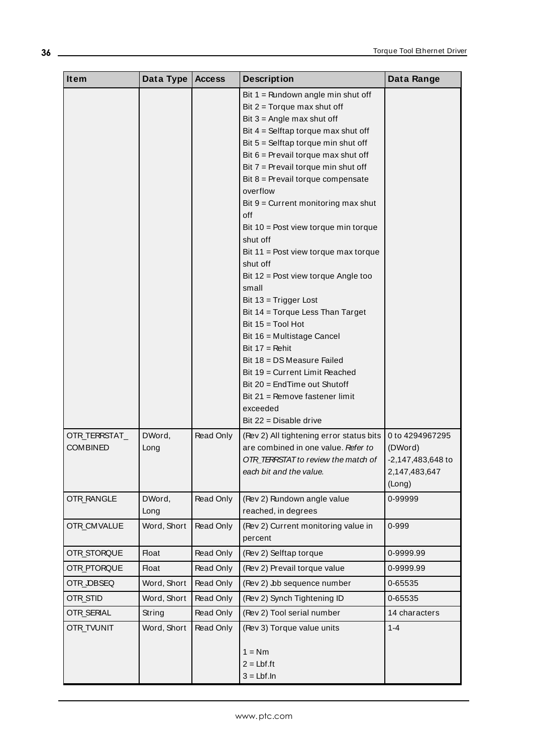<span id="page-35-8"></span><span id="page-35-7"></span><span id="page-35-6"></span><span id="page-35-5"></span><span id="page-35-4"></span><span id="page-35-3"></span><span id="page-35-2"></span><span id="page-35-1"></span><span id="page-35-0"></span>

| Item                             | Data Type      | <b>Access</b> | <b>Description</b>                                                                                                                                                                                                                                                                                                                                                                                                                                                                                                                                                                                                                                                                                                                                                                                                                                         | Data Range                                                                 |
|----------------------------------|----------------|---------------|------------------------------------------------------------------------------------------------------------------------------------------------------------------------------------------------------------------------------------------------------------------------------------------------------------------------------------------------------------------------------------------------------------------------------------------------------------------------------------------------------------------------------------------------------------------------------------------------------------------------------------------------------------------------------------------------------------------------------------------------------------------------------------------------------------------------------------------------------------|----------------------------------------------------------------------------|
|                                  |                |               | Bit $1 =$ Rundown angle min shut off<br>Bit $2 = Torque max$ shut off<br>Bit $3 =$ Angle max shut off<br>Bit $4 =$ Selftap torque max shut off<br>Bit $5 =$ Selftap torque min shut off<br>Bit 6 = Prevail torque max shut off<br>Bit $7$ = Prevail torque min shut off<br>Bit 8 = Prevail torque compensate<br>overflow<br>Bit $9$ = Current monitoring max shut<br>off<br>Bit $10 =$ Post view torque min torque<br>shut off<br>Bit $11 =$ Post view torque max torque<br>shut off<br>Bit 12 = Post view torque Angle too<br>small<br>Bit $13 = Trigger Lost$<br>Bit 14 = Torque Less Than Target<br>Bit $15 = Tool Hot$<br>Bit 16 = Multistage Cancel<br>Bit $17 =$ Rehit<br>Bit $18 = DS Measure$ Failed<br>Bit 19 = Current Limit Reached<br>Bit 20 = EndTime out Shutoff<br>Bit $21$ = Remove fastener limit<br>exceeded<br>Bit $22$ = Disable drive |                                                                            |
| OTR_TERRSTAT_<br><b>COMBINED</b> | DWord,<br>Long | Read Only     | (Rev 2) All tightening error status bits<br>are combined in one value. Refer to<br>OTR_TERSTAT to review the match of<br>each bit and the value.                                                                                                                                                                                                                                                                                                                                                                                                                                                                                                                                                                                                                                                                                                           | 0 to 4294967295<br>(DWord)<br>-2,147,483,648 to<br>2,147,483,647<br>(Long) |
| <b>OTR_RANGLE</b>                | DWord,<br>Long | Read Only     | (Rev 2) Rundown angle value<br>reached, in degrees                                                                                                                                                                                                                                                                                                                                                                                                                                                                                                                                                                                                                                                                                                                                                                                                         | 0-99999                                                                    |
| OTR_CMVALUE                      | Word, Short    | Read Only     | (Rev 2) Current monitoring value in<br>percent                                                                                                                                                                                                                                                                                                                                                                                                                                                                                                                                                                                                                                                                                                                                                                                                             | 0-999                                                                      |
| OTR_STORQUE                      | <b>Float</b>   | Read Only     | (Rev 2) Selftap torque                                                                                                                                                                                                                                                                                                                                                                                                                                                                                                                                                                                                                                                                                                                                                                                                                                     | 0-9999.99                                                                  |
| OTR_PTORQUE                      | Float          | Read Only     | (Rev 2) Prevail torque value                                                                                                                                                                                                                                                                                                                                                                                                                                                                                                                                                                                                                                                                                                                                                                                                                               | 0-9999.99                                                                  |
| OTR_OBSEQ                        | Word, Short    | Read Only     | (Rev 2) Jb sequence number                                                                                                                                                                                                                                                                                                                                                                                                                                                                                                                                                                                                                                                                                                                                                                                                                                 | 0-65535                                                                    |
| OTR_STID                         | Word, Short    | Read Only     | (Rev 2) Synch Tightening ID                                                                                                                                                                                                                                                                                                                                                                                                                                                                                                                                                                                                                                                                                                                                                                                                                                | 0-65535                                                                    |
| OTR_SERIAL                       | String         | Read Only     | (Rev 2) Tool serial number                                                                                                                                                                                                                                                                                                                                                                                                                                                                                                                                                                                                                                                                                                                                                                                                                                 | 14 characters                                                              |
| <b>OTR_TVUNIT</b>                | Word, Short    | Read Only     | (Rev 3) Torque value units<br>$1 = Nm$<br>$2 = Lbf f$ .ft<br>$3 = Lbf.ln$                                                                                                                                                                                                                                                                                                                                                                                                                                                                                                                                                                                                                                                                                                                                                                                  | $1 - 4$                                                                    |

<u> 1989 - Johann Barn, mars ann an t-Amhain Aonaich an t-Aonaich an t-Aonaich an t-Aonaich an t-Aonaich ann an t-</u>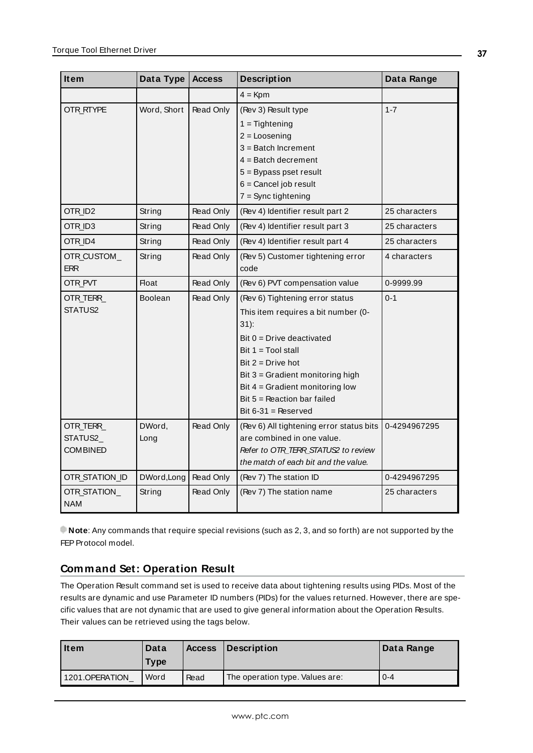<span id="page-36-10"></span><span id="page-36-7"></span><span id="page-36-6"></span><span id="page-36-5"></span><span id="page-36-4"></span><span id="page-36-3"></span><span id="page-36-2"></span>

| Item            | Data Type      | <b>Access</b> | <b>Description</b>                       | Data Range    |
|-----------------|----------------|---------------|------------------------------------------|---------------|
|                 |                |               | $4 =$ Kpm                                |               |
| OTR_RTYPE       | Word, Short    | Read Only     | (Rev 3) Result type                      | $1 - 7$       |
|                 |                |               | $1 =$ Tightening                         |               |
|                 |                |               | $2 = Loosening$                          |               |
|                 |                |               | $3 =$ Batch Increment                    |               |
|                 |                |               | $4 =$ Batch decrement                    |               |
|                 |                |               | $5 = Bypass$ pset result                 |               |
|                 |                |               | $6 =$ Cancel job result                  |               |
|                 |                |               | $7 =$ Sync tightening                    |               |
| OTR_ID2         | String         | Read Only     | (Rev 4) Identifier result part 2         | 25 characters |
| OTR_ID3         | String         | Read Only     | (Rev 4) Identifier result part 3         | 25 characters |
| OTR_ID4         | String         | Read Only     | (Rev 4) Identifier result part 4         | 25 characters |
| OTR_CUSTOM_     | String         | Read Only     | (Rev 5) Customer tightening error        | 4 characters  |
| <b>ERR</b>      |                |               | code                                     |               |
| OTR_PVT         | <b>Float</b>   | Read Only     | (Rev 6) PVT compensation value           | 0-9999.99     |
| OTR_TERR_       | <b>Boolean</b> | Read Only     | (Rev 6) Tightening error status          | $0 - 1$       |
| STATUS2         |                |               | This item requires a bit number (0-      |               |
|                 |                |               | $31)$ :                                  |               |
|                 |                |               | $Bit 0 = Drive$ deactivated              |               |
|                 |                |               | Bit $1 = \text{Total stall}$             |               |
|                 |                |               | Bit $2 = Drive hot$                      |               |
|                 |                |               | Bit 3 = Gradient monitoring high         |               |
|                 |                |               | Bit $4 =$ Gradient monitoring low        |               |
|                 |                |               | Bit $5 =$ Reaction bar failed            |               |
|                 |                |               | Bit $6-31$ = Reserved                    |               |
| OTR TERR        | DWord,         | Read Only     | (Rev 6) All tightening error status bits | 0-4294967295  |
| STATUS2         | Long           |               | are combined in one value.               |               |
| <b>COMBINED</b> |                |               | Refer to OTR TERR STATUS2 to review      |               |
|                 |                |               | the match of each bit and the value.     |               |
| OTR_STATION_ID  | DWord, Long    | Read Only     | (Rev 7) The station ID                   | 0-4294967295  |
| OTR_STATION_    | String         | Read Only     | (Rev 7) The station name                 | 25 characters |
| <b>NAM</b>      |                |               |                                          |               |

<span id="page-36-11"></span><span id="page-36-9"></span><span id="page-36-8"></span>**Note**: Any commands that require special revisions (such as 2, 3, and so forth) are not supported by the FEP Protocol model.

# <span id="page-36-0"></span>**Command Set: Operation Result**

The Operation Result command set is used to receive data about tightening results using PIDs. Most of the results are dynamic and use Parameter ID numbers (PIDs) for the values returned. However, there are specific values that are not dynamic that are used to give general information about the Operation Results. Their values can be retrieved using the tags below.

<span id="page-36-1"></span>

| <b>Item</b>    | Data<br><b>Type</b> | <b>Access</b> | Description                     | Data Range |
|----------------|---------------------|---------------|---------------------------------|------------|
| 1201.OPERATION | Word                | Read          | The operation type. Values are: | $0 - 4$    |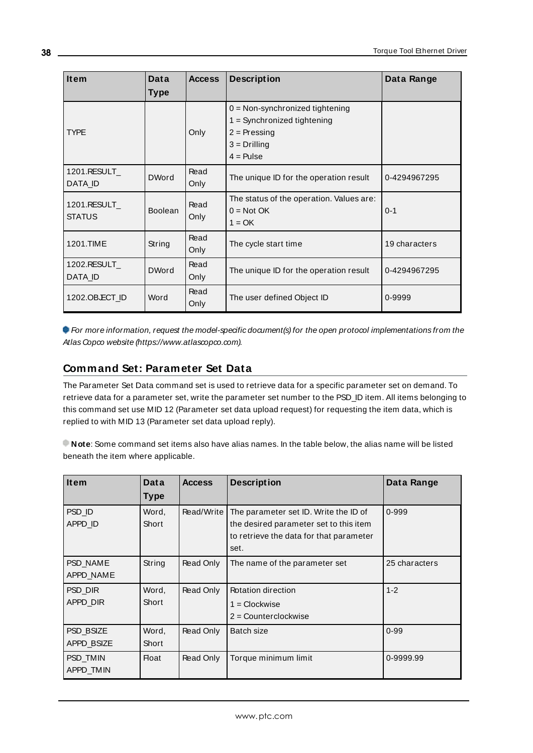<span id="page-37-2"></span><span id="page-37-1"></span>

| <b>Item</b>                   | Data           | <b>Access</b> | <b>Description</b>                                                   | Data Range    |
|-------------------------------|----------------|---------------|----------------------------------------------------------------------|---------------|
|                               | <b>Type</b>    |               |                                                                      |               |
|                               |                |               | $0 = Non-synchronized$ tightening                                    |               |
|                               |                |               | $1 =$ Synchronized tightening                                        |               |
| <b>TYPE</b>                   |                | Only          | $2 =$ Pressing                                                       |               |
|                               |                |               | $3 = Drilling$                                                       |               |
|                               |                |               | $4 =$ Pulse                                                          |               |
| 1201.RESULT<br>DATA ID        | <b>DWord</b>   | Read<br>Only  | The unique ID for the operation result                               | 0-4294967295  |
| 1201.RESULT_<br><b>STATUS</b> | <b>Boolean</b> | Read<br>Only  | The status of the operation. Values are:<br>$0 = Not OK$<br>$1 = OK$ | $0 - 1$       |
| 1201.TIME                     | String         | Read<br>Only  | The cycle start time                                                 | 19 characters |
| 1202.RESULT<br>DATA ID        | <b>DWord</b>   | Read<br>Only  | The unique ID for the operation result                               | 0-4294967295  |
| 1202.OB.ECT_ID                | Word           | Read<br>Only  | The user defined Object ID                                           | 0-9999        |

<span id="page-37-5"></span><span id="page-37-4"></span><span id="page-37-3"></span>For more information, request the model-specific document(s) for the open protocol implementations from the Atlas Copco website (https://www.atlascopco.com).

# <span id="page-37-0"></span>**Command Set: Parameter Set Data**

The Parameter Set Data command set is used to retrieve data for a specific parameter set on demand. To retrieve data for a parameter set, write the parameter set number to the PSD\_ID item. All items belonging to this command set use MID 12 (Parameter set data upload request) for requesting the item data, which is replied to with MID 13 (Parameter set data upload reply).

**Note**: Some command set items also have alias names. In the table below, the alias name will be listed beneath the item where applicable.

<span id="page-37-10"></span><span id="page-37-9"></span><span id="page-37-8"></span><span id="page-37-7"></span><span id="page-37-6"></span>

| <b>Item</b> | Data         | <b>Access</b> | <b>Description</b>                      | Data Range    |
|-------------|--------------|---------------|-----------------------------------------|---------------|
|             | <b>Type</b>  |               |                                         |               |
| PSD ID      | Word,        | Read/Write    | The parameter set ID. Write the ID of   | $0 - 999$     |
| APPD ID     | Short        |               | the desired parameter set to this item  |               |
|             |              |               | to retrieve the data for that parameter |               |
|             |              |               | set.                                    |               |
| PSD NAME    | String       | Read Only     | The name of the parameter set           | 25 characters |
| APPD NAME   |              |               |                                         |               |
| PSD DIR     | Word,        | Read Only     | Rotation direction                      | $1 - 2$       |
| APPD DIR    | Short        |               | $1 = \text{Clockwise}$                  |               |
|             |              |               | $2 =$ Counterclockwise                  |               |
| PSD BSIZE   | Word,        | Read Only     | Batch size                              | $0 - 99$      |
| APPD BSIZE  | Short        |               |                                         |               |
| PSD TMIN    | <b>Float</b> | Read Only     | Torque minimum limit                    | 0-9999.99     |
| APPD TMIN   |              |               |                                         |               |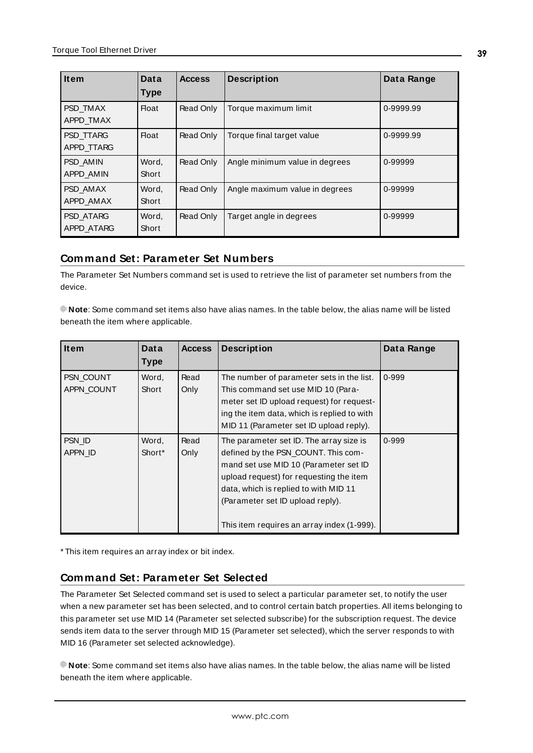<span id="page-38-6"></span><span id="page-38-5"></span><span id="page-38-3"></span>

| <b>Item</b>                    | Data           | <b>Access</b> | <b>Description</b>             | Data Range |
|--------------------------------|----------------|---------------|--------------------------------|------------|
|                                | <b>Type</b>    |               |                                |            |
| PSD TMAX<br>APPD TMAX          | <b>Float</b>   | Read Only     | Torque maximum limit           | 0-9999.99  |
| PSD TTARG<br>APPD TTARG        | <b>Float</b>   | Read Only     | Torque final target value      | 0-9999.99  |
| <b>PSD AMIN</b><br>APPD AMIN   | Word.<br>Short | Read Only     | Angle minimum value in degrees | 0-99999    |
| PSD AMAX<br>APPD AMAX          | Word,<br>Short | Read Only     | Angle maximum value in degrees | 0-99999    |
| <b>PSD ATARG</b><br>APPD ATARG | Word,<br>Short | Read Only     | Target angle in degrees        | 0-99999    |

# <span id="page-38-4"></span><span id="page-38-2"></span><span id="page-38-0"></span>**Command Set: Parameter Set Numbers**

The Parameter Set Numbers command set is used to retrieve the list of parameter set numbers from the device.

**Note**: Some command set items also have alias names. In the table below, the alias name will be listed beneath the item where applicable.

<span id="page-38-8"></span><span id="page-38-7"></span>

| <b>Item</b>             | Data                        | <b>Access</b> | <b>Description</b>                                                                                                                                                                                                                                                                            | Data Range |
|-------------------------|-----------------------------|---------------|-----------------------------------------------------------------------------------------------------------------------------------------------------------------------------------------------------------------------------------------------------------------------------------------------|------------|
|                         | <b>Type</b>                 |               |                                                                                                                                                                                                                                                                                               |            |
| PSN COUNT<br>APPN COUNT | Word,<br>Short              | Read<br>Only  | The number of parameter sets in the list.<br>This command set use MID 10 (Para-<br>meter set ID upload request) for request-<br>ing the item data, which is replied to with<br>MID 11 (Parameter set ID upload reply).                                                                        | $0 - 999$  |
| PSN ID<br>APPN ID       | Word,<br>Short <sup>*</sup> | Read<br>Only  | The parameter set ID. The array size is<br>defined by the PSN_COUNT. This com-<br>mand set use MID 10 (Parameter set ID<br>upload request) for requesting the item<br>data, which is replied to with MID 11<br>(Parameter set ID upload reply).<br>This item requires an array index (1-999). | 0-999      |

<span id="page-38-1"></span>\* This item requires an array index or bit index.

## **Command Set: Parameter Set Selected**

The Parameter Set Selected command set is used to select a particular parameter set, to notify the user when a new parameter set has been selected, and to control certain batch properties. All items belonging to this parameter set use MID 14 (Parameter set selected subscribe) for the subscription request. The device sends item data to the server through MID 15 (Parameter set selected), which the server responds to with MID 16 (Parameter set selected acknowledge).

**Note**: Some command set items also have alias names. In the table below, the alias name will be listed beneath the item where applicable.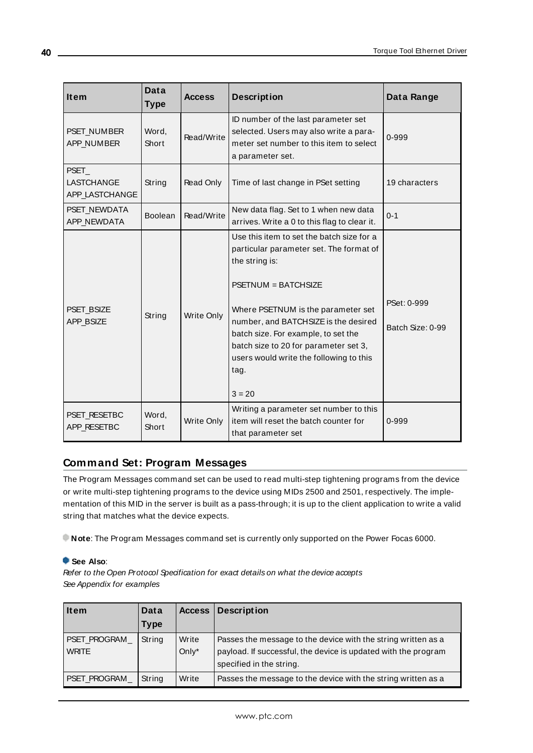<span id="page-39-4"></span><span id="page-39-3"></span><span id="page-39-2"></span>

| <b>Item</b>                           | <b>Data</b><br><b>Type</b> | <b>Access</b> | <b>Description</b>                                                                                                                                                                                                                                                                                                                                           | Data Range                      |
|---------------------------------------|----------------------------|---------------|--------------------------------------------------------------------------------------------------------------------------------------------------------------------------------------------------------------------------------------------------------------------------------------------------------------------------------------------------------------|---------------------------------|
| PSET_NUMBER<br>APP_NUMBER             | Word,<br>Short             | Read/Write    | ID number of the last parameter set<br>selected. Users may also write a para-<br>meter set number to this item to select<br>a parameter set.                                                                                                                                                                                                                 | 0-999                           |
| PSET_<br>LASTCHANGE<br>APP LASTCHANGE | String                     | Read Only     | Time of last change in PSet setting                                                                                                                                                                                                                                                                                                                          | 19 characters                   |
| PSET_NEWDATA<br>APP_NEWDATA           | Boolean                    | Read/Write    | New data flag. Set to 1 when new data<br>arrives. Write a 0 to this flag to clear it.                                                                                                                                                                                                                                                                        | $0 - 1$                         |
| <b>PSET BSIZE</b><br>APP_BSIZE        | String                     | Write Only    | Use this item to set the batch size for a<br>particular parameter set. The format of<br>the string is:<br>$PSETNUM = BATCHSIZE$<br>Where PSETNUM is the parameter set<br>number, and BATCHSIZE is the desired<br>batch size. For example, to set the<br>batch size to 20 for parameter set 3,<br>users would write the following to this<br>tag.<br>$3 = 20$ | PSet: 0-999<br>Batch Size: 0-99 |
| PSET RESETBC<br>APP_RESETBC           | Word,<br>Short             | Write Only    | Writing a parameter set number to this<br>item will reset the batch counter for<br>that parameter set                                                                                                                                                                                                                                                        | 0-999                           |

# <span id="page-39-5"></span><span id="page-39-1"></span><span id="page-39-0"></span>**Command Set: Program Messages**

The Program Messages command set can be used to read multi-step tightening programs from the device or write multi-step tightening programs to the device using MIDs 2500 and 2501, respectively. The implementation of this MID in the server is built as a pass-through; it is up to the client application to write a valid string that matches what the device expects.

**Note**: The Program Messages command set is currently only supported on the Power Focas 6000.

#### **See Also**:

Refer to the Open Protocol Specification for exact details on what the device accepts See Appendix for examples

<span id="page-39-7"></span><span id="page-39-6"></span>

| l Item                       | Data   | <b>Access</b>     | <b>Description</b>                                                                                                                                          |
|------------------------------|--------|-------------------|-------------------------------------------------------------------------------------------------------------------------------------------------------------|
|                              | Type   |                   |                                                                                                                                                             |
| PSET_PROGRAM<br><b>WRITE</b> | String | Write<br>Only $*$ | Passes the message to the device with the string written as a<br>payload. If successful, the device is updated with the program<br>specified in the string. |
| PSET_PROGRAM                 | String | Write             | Passes the message to the device with the string written as a                                                                                               |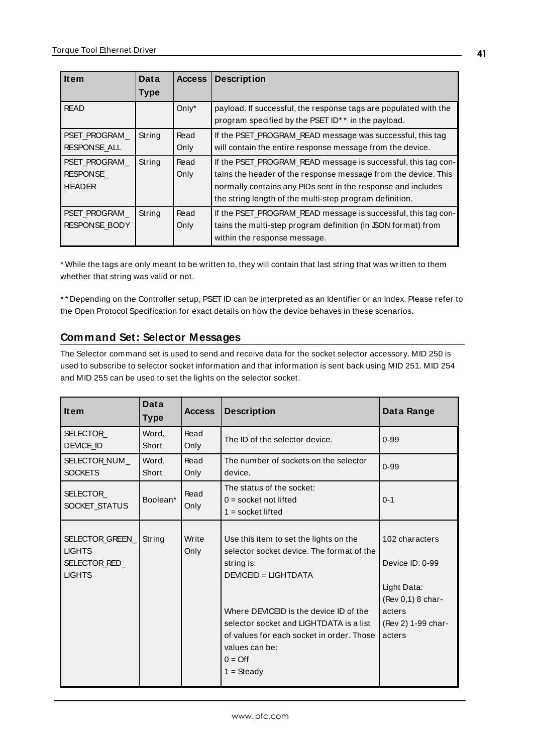<span id="page-40-3"></span><span id="page-40-1"></span>

| <b>Item</b>                                      | Data        | <b>Access</b> | <b>Description</b>                                                                                                                                                                                                                                         |
|--------------------------------------------------|-------------|---------------|------------------------------------------------------------------------------------------------------------------------------------------------------------------------------------------------------------------------------------------------------------|
|                                                  | <b>Type</b> |               |                                                                                                                                                                                                                                                            |
| <b>READ</b>                                      |             | Only $*$      | payload. If successful, the response tags are populated with the<br>program specified by the PSET ID <sup>*</sup> * in the payload.                                                                                                                        |
| PSET PROGRAM<br><b>RESPONSE ALL</b>              | String      | Read<br>Only  | If the PSET_PROGRAM_READ message was successful, this tag<br>will contain the entire response message from the device.                                                                                                                                     |
| PSET PROGRAM<br><b>RESPONSE</b><br><b>HEADER</b> | String      | Read<br>Only  | If the PSET_PROGRAM_READ message is successful, this tag con-<br>tains the header of the response message from the device. This<br>normally contains any PIDs sent in the response and includes<br>the string length of the multi-step program definition. |
| PSET PROGRAM<br><b>RESPONSE BODY</b>             | String      | Read<br>Only  | If the PSET_PROGRAM_READ message is successful, this tag con-<br>tains the multi-step program definition (in SON format) from<br>within the response message.                                                                                              |

<span id="page-40-2"></span>\* While the tags are only meant to be written to, they will contain that last string that was written to them whether that string was valid or not.

\* \* Depending on the Controller setup, PSET ID can be interpreted as an Identifier or an Index. Please refer to the Open Protocol Specification for exact details on how the device behaves in these scenarios.

# <span id="page-40-0"></span>**Command Set: Selector Messages**

The Selector command set is used to send and receive data for the socket selector accessory. MID 250 is used to subscribe to selector socket information and that information is sent back using MID 251. MID 254 and MID 255 can be used to set the lights on the selector socket.

<span id="page-40-7"></span><span id="page-40-6"></span><span id="page-40-5"></span><span id="page-40-4"></span>

| <b>Item</b>                                                        | Data<br><b>Type</b> | <b>Access</b> | <b>Description</b>                                                                                                                                                                                                                                                                                                         | Data Range                                                                                                      |
|--------------------------------------------------------------------|---------------------|---------------|----------------------------------------------------------------------------------------------------------------------------------------------------------------------------------------------------------------------------------------------------------------------------------------------------------------------------|-----------------------------------------------------------------------------------------------------------------|
| SELECTOR<br>DEVICE ID                                              | Word,<br>Short      | Read<br>Only  | The ID of the selector device.                                                                                                                                                                                                                                                                                             | $0 - 99$                                                                                                        |
| SELECTOR_NUM_<br><b>SOCKETS</b>                                    | Word,<br>Short      | Read<br>Only  | The number of sockets on the selector<br>device.                                                                                                                                                                                                                                                                           | $0 - 99$                                                                                                        |
| SELECTOR<br>SOCKET_STATUS                                          | Boolean*            | Read<br>Only  | The status of the socket:<br>$0 =$ socket not lifted<br>$1 =$ socket lifted                                                                                                                                                                                                                                                | $0 - 1$                                                                                                         |
| SELECTOR_GREEN_<br><b>LIGHTS</b><br>SELECTOR_RED_<br><b>LIGHTS</b> | String              | Write<br>Only | Use this item to set the lights on the<br>selector socket device. The format of the<br>string is:<br><b>DEVICEID = LIGHTDATA</b><br>Where DEVICEID is the device ID of the<br>selector socket and LIGHTDATA is a list<br>of values for each socket in order. Those I<br>values can be:<br>$0 = \text{Off}$<br>$1 = Steadv$ | 102 characters<br>Device ID: 0-99<br>Light Data:<br>(Rev 0,1) 8 char-<br>acters<br>(Rev 2) 1-99 char-<br>acters |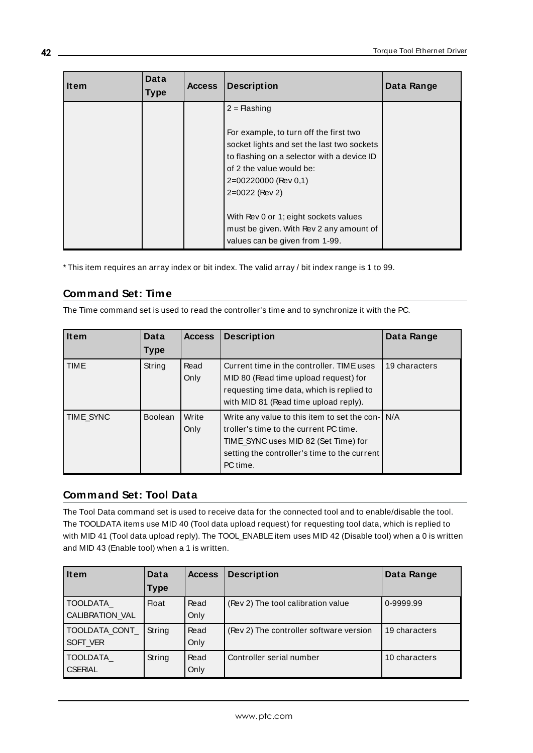| <b>Item</b> | Data<br><b>Type</b> | <b>Access</b> | <b>Description</b>                                                                                                                                                                                                                                                                                                                               | Data Range |
|-------------|---------------------|---------------|--------------------------------------------------------------------------------------------------------------------------------------------------------------------------------------------------------------------------------------------------------------------------------------------------------------------------------------------------|------------|
|             |                     |               | $2 =$ Flashing<br>For example, to turn off the first two<br>socket lights and set the last two sockets<br>to flashing on a selector with a device ID<br>of 2 the value would be:<br>2=00220000 (Rev 0,1)<br>2=0022 (Rev 2)<br>With Rev 0 or 1; eight sockets values<br>must be given. With Rev 2 any amount of<br>values can be given from 1-99. |            |

<span id="page-41-0"></span>\* This item requires an array index or bit index. The valid array / bit index range is 1 to 99.

# **Command Set: Time**

The Time command set is used to read the controller's time and to synchronize it with the PC.

<span id="page-41-3"></span><span id="page-41-2"></span>

| <b>Item</b> | Data           | <b>Access</b> | <b>Description</b>                                                                                                                                                                             | Data Range    |
|-------------|----------------|---------------|------------------------------------------------------------------------------------------------------------------------------------------------------------------------------------------------|---------------|
|             | <b>Type</b>    |               |                                                                                                                                                                                                |               |
| <b>TIME</b> | String         | Read<br>Only  | Current time in the controller. TIME uses<br>MID 80 (Read time upload request) for<br>requesting time data, which is replied to<br>with MID 81 (Read time upload reply).                       | 19 characters |
| TIME SYNC   | <b>Boolean</b> | Write<br>Only | Write any value to this item to set the con- N/A<br>troller's time to the current PC time.<br>TIME SYNC uses MID 82 (Set Time) for<br>setting the controller's time to the current<br>PC time. |               |

# <span id="page-41-1"></span>**Command Set: Tool Data**

The Tool Data command set is used to receive data for the connected tool and to enable/disable the tool. The TOOLDATA items use MID 40 (Tool data upload request) for requesting tool data, which is replied to with MID 41 (Tool data upload reply). The TOOL\_ENABLE item uses MID 42 (Disable tool) when a 0 is written and MID 43 (Enable tool) when a 1 is written.

<span id="page-41-6"></span><span id="page-41-5"></span><span id="page-41-4"></span>

| <b>Item</b>                 | Data        | <b>Access</b> | <b>Description</b>                      | Data Range    |
|-----------------------------|-------------|---------------|-----------------------------------------|---------------|
|                             | <b>Type</b> |               |                                         |               |
| TOOLDATA<br>CALIBRATION VAL | Float       | Read<br>Only  | (Rev 2) The tool calibration value      | 0-9999.99     |
| TOOLDATA CONT<br>SOFT VER   | String      | Read<br>Only  | (Rev 2) The controller software version | 19 characters |
| TOOLDATA<br><b>CSERIAL</b>  | String      | Read<br>Only  | Controller serial number                | 10 characters |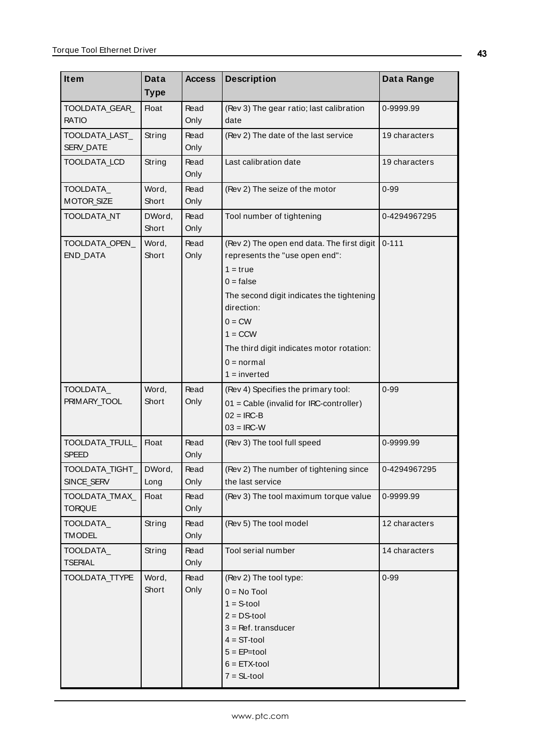<span id="page-42-12"></span><span id="page-42-11"></span><span id="page-42-10"></span><span id="page-42-9"></span><span id="page-42-8"></span><span id="page-42-7"></span><span id="page-42-6"></span><span id="page-42-5"></span><span id="page-42-4"></span><span id="page-42-3"></span><span id="page-42-2"></span><span id="page-42-1"></span><span id="page-42-0"></span>

| Item                            | Data            | <b>Access</b> | <b>Description</b>                                                                                                                                                                                                                                                           | Data Range    |
|---------------------------------|-----------------|---------------|------------------------------------------------------------------------------------------------------------------------------------------------------------------------------------------------------------------------------------------------------------------------------|---------------|
|                                 | <b>Type</b>     |               |                                                                                                                                                                                                                                                                              |               |
| TOOLDATA_GEAR_<br><b>RATIO</b>  | <b>Float</b>    | Read<br>Only  | (Rev 3) The gear ratio; last calibration<br>date                                                                                                                                                                                                                             | 0-9999.99     |
| TOOLDATA LAST<br>SERV_DATE      | String          | Read<br>Only  | (Rev 2) The date of the last service                                                                                                                                                                                                                                         | 19 characters |
| TOOLDATA_LCD                    | String          | Read<br>Only  | Last calibration date                                                                                                                                                                                                                                                        | 19 characters |
| TOOLDATA_<br><b>MOTOR SIZE</b>  | Word,<br>Short  | Read<br>Only  | (Rev 2) The seize of the motor                                                                                                                                                                                                                                               | $0 - 99$      |
| TOOLDATA_NT                     | DWord,<br>Short | Read<br>Only  | Tool number of tightening                                                                                                                                                                                                                                                    | 0-4294967295  |
| TOOLDATA_OPEN_<br>END_DATA      | Word,<br>Short  | Read<br>Only  | (Rev 2) The open end data. The first digit<br>represents the "use open end":<br>$1 = true$<br>$0 = false$<br>The second digit indicates the tightening<br>direction:<br>$0 = CW$<br>$1 = CCW$<br>The third digit indicates motor rotation:<br>$0 = normal$<br>$1 = inverted$ | $0 - 111$     |
| TOOLDATA_<br>PRIMARY_TOOL       | Word,<br>Short  | Read<br>Only  | (Rev 4) Specifies the primary tool:<br>01 = Cable (invalid for IRC-controller)<br>$02 = IRC-B$<br>$03 = IRC-W$                                                                                                                                                               | $0 - 99$      |
| TOOLDATA_TFULL_<br><b>SPEED</b> | <b>Float</b>    | Read<br>Only  | (Rev 3) The tool full speed                                                                                                                                                                                                                                                  | 0-9999.99     |
| TOOLDATA TIGHT<br>SINCE_SERV    | DWord.<br>Long  | Read<br>Only  | (Rev 2) The number of tightening since<br>the last service                                                                                                                                                                                                                   | 0-4294967295  |
| TOOLDATA_TMAX<br><b>TORQUE</b>  | <b>Float</b>    | Read<br>Only  | (Rev 3) The tool maximum torque value                                                                                                                                                                                                                                        | 0-9999.99     |
| TOOLDATA_<br><b>TMODEL</b>      | String          | Read<br>Only  | (Rev 5) The tool model                                                                                                                                                                                                                                                       | 12 characters |
| TOOLDATA<br><b>TSERIAL</b>      | String          | Read<br>Only  | Tool serial number                                                                                                                                                                                                                                                           | 14 characters |
| TOOLDATA_TTYPE                  | Word,<br>Short  | Read<br>Only  | (Rev 2) The tool type:<br>$0 = No$ Tool<br>$1 = S$ -tool<br>$2 = DS$ -tool<br>$3 = Ref.$ transducer<br>$4 = ST-tool$<br>$5 = EP = tool$<br>$6 = ETX-tool$<br>$7 = SL$ -tool                                                                                                  | $0 - 99$      |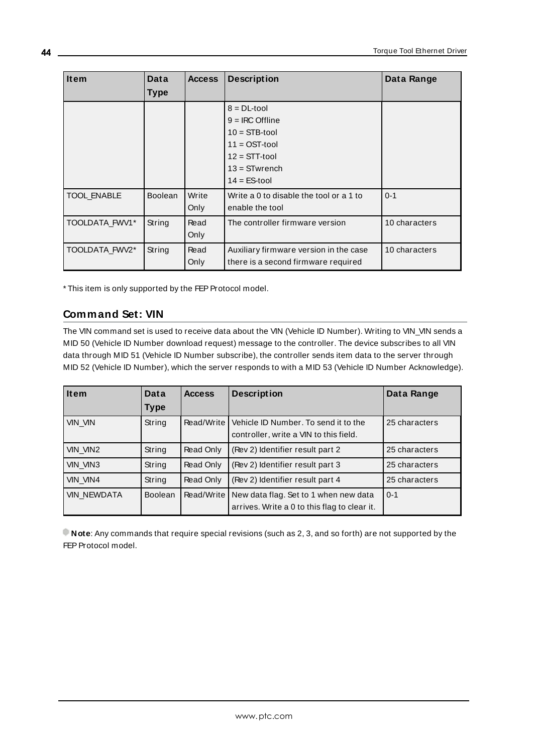| <b>Item</b>        | Data<br><b>Type</b> | <b>Access</b> | <b>Description</b>                                                                                                                   | Data Range    |
|--------------------|---------------------|---------------|--------------------------------------------------------------------------------------------------------------------------------------|---------------|
|                    |                     |               | $8 = DL$ -tool<br>$9 = IRC$ Offline<br>$10 = STB$ -tool<br>$11 =$ OST-tool<br>$12 = STT$ -tool<br>$13 =$ STwrench<br>$14 = ES$ -tool |               |
| <b>TOOL ENABLE</b> | <b>Boolean</b>      | Write<br>Only | Write a 0 to disable the tool or a 1 to<br>enable the tool                                                                           | $0 - 1$       |
| TOOLDATA_FWV1*     | String              | Read<br>Only  | The controller firmware version                                                                                                      | 10 characters |
| TOOLDATA FWV2*     | String              | Read<br>Only  | Auxiliary firmware version in the case<br>there is a second firmware required                                                        | 10 characters |

<span id="page-43-3"></span><span id="page-43-2"></span><span id="page-43-1"></span><span id="page-43-0"></span>\* This item is only supported by the FEP Protocol model.

# **Command Set: VIN**

The VIN command set is used to receive data about the VIN (Vehicle ID Number). Writing to VIN\_VIN sends a MID 50 (Vehicle ID Number download request) message to the controller. The device subscribes to all VIN data through MID 51 (Vehicle ID Number subscribe), the controller sends item data to the server through MID 52 (Vehicle ID Number), which the server responds to with a MID 53 (Vehicle ID Number Acknowledge).

<span id="page-43-7"></span><span id="page-43-6"></span><span id="page-43-5"></span>

| <b>Item</b>        | Data           | <b>Access</b> | <b>Description</b>                                                                    | Data Range    |
|--------------------|----------------|---------------|---------------------------------------------------------------------------------------|---------------|
|                    | <b>Type</b>    |               |                                                                                       |               |
| VIN_VIN            | String         | Read/Write    | Vehicle ID Number. To send it to the<br>controller, write a VIN to this field.        | 25 characters |
| VIN_VIN2           | String         | Read Only     | (Rev 2) Identifier result part 2                                                      | 25 characters |
| VIN_VIN3           | String         | Read Only     | (Rev 2) Identifier result part 3                                                      | 25 characters |
| VIN_VIN4           | String         | Read Only     | (Rev 2) Identifier result part 4                                                      | 25 characters |
| <b>VIN_NEWDATA</b> | <b>Boolean</b> | Read/Write    | New data flag. Set to 1 when new data<br>arrives. Write a 0 to this flag to clear it. | $0 - 1$       |

<span id="page-43-8"></span><span id="page-43-4"></span>**Note**: Any commands that require special revisions (such as 2, 3, and so forth) are not supported by the FEP Protocol model.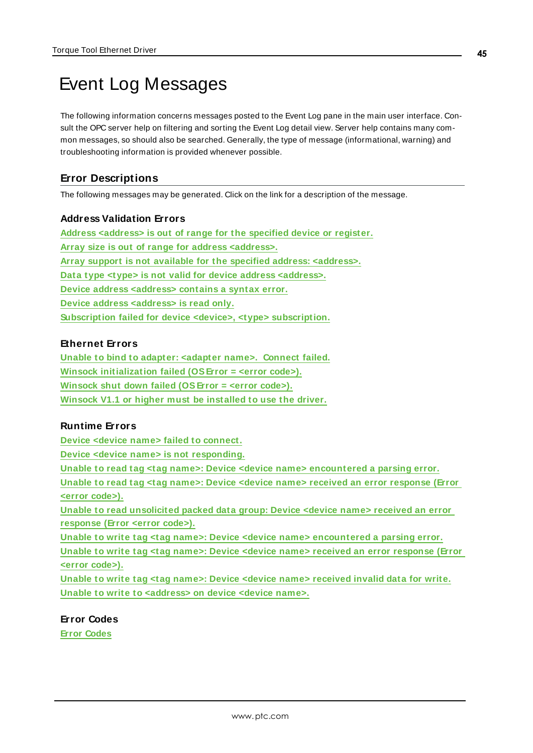# <span id="page-44-0"></span>Event Log Messages

The following information concerns messages posted to the Event Log pane in the main user interface. Consult the OPC server help on filtering and sorting the Event Log detail view. Server help contains many common messages, so should also be searched. Generally, the type of message (informational, warning) and troubleshooting information is provided whenever possible.

# <span id="page-44-1"></span>**Error Descriptions**

The following messages may be generated. Click on the link for a description of the message.

#### **Address Validation Errors**

**Address [<address>](#page-45-0) is out of range for the specified device or register. Array size is out of range for address [<address>.](#page-45-1) Array support is not available for the specified address: [<address>.](#page-45-2) Data type <type> is not valid for device address [<address>.](#page-45-3) Device address [<address>](#page-45-4) contains a syntax error. Device address [<address>](#page-46-0) is read only. Subscription failed for device <device>, <type> [subscription.](#page-46-1)**

#### **Ethernet Errors**

**Unable to bind to adapter: <adapter [name>. Connect](#page-46-2) failed. Winsock [initialization](#page-46-3) failed (OSError = <error code>). Winsock shut down failed [\(OSError](#page-47-0) = <error code>). Winsock V1.1 or higher must be [installed](#page-47-1) to use the driver.**

#### **Runtime Errors**

**Device <device name> failed to [connect.](#page-47-2)**

**Device <device name> is not [responding.](#page-47-3)**

**Unable to read tag <tag name>: Device <device name> [encountered](#page-48-0) a parsing error.**

**Unable to read tag <tag name>: Device <device name> received an error [response](#page-48-1) (Error <error [code>\).](#page-48-1)**

**Unable to read [unsolicited](#page-49-0) packed data group: Device <device name> received an error [response](#page-49-0) (Error <error code>).**

**Unable to write tag <tag name>: Device <device name> [encountered](#page-49-1) a parsing error. Unable to write tag <tag name>: Device <device name> received an error [response](#page-49-2) (Error**

**<error [code>\).](#page-49-2)**

**Unable to write tag <tag name>: Device <device name> [received](#page-50-0) invalid data for write. Unable to write to [<address>](#page-50-1) on device <device name>.**

**Error Codes Error [Codes](#page-50-2)**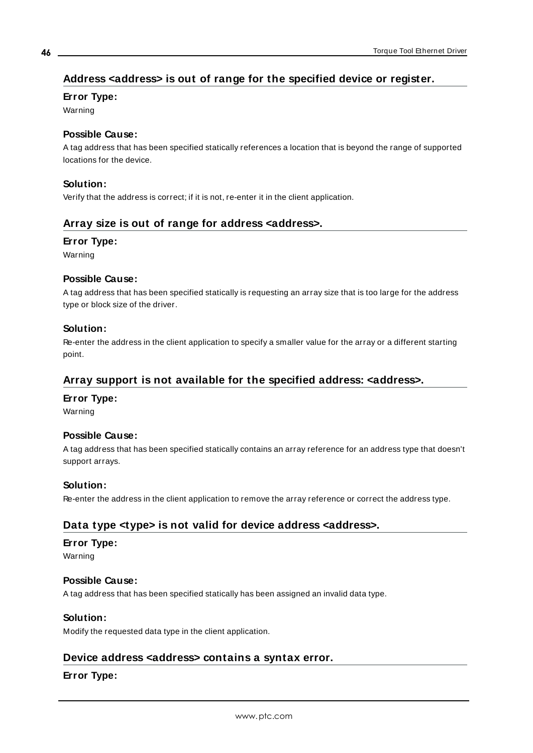# <span id="page-45-0"></span>**Address <address> is out of range for the specified device or register.**

## **Error Type:**

Warning

## **Possible Cause:**

A tag address that has been specified statically references a location that is beyond the range of supported locations for the device.

## **Solution:**

<span id="page-45-1"></span>Verify that the address is correct; if it is not, re-enter it in the client application.

## **Array size is out of range for address <address>.**

## **Error Type:**

Warning

## **Possible Cause:**

A tag address that has been specified statically is requesting an array size that is too large for the address type or block size of the driver.

## **Solution:**

Re-enter the address in the client application to specify a smaller value for the array or a different starting point.

# <span id="page-45-2"></span>**Array support is not available for the specified address: <address>.**

## **Error Type:**

Warning

## **Possible Cause:**

A tag address that has been specified statically contains an array reference for an address type that doesn't support arrays.

## **Solution:**

<span id="page-45-3"></span>Re-enter the address in the client application to remove the array reference or correct the address type.

## **Data type <type> is not valid for device address <address>.**

## **Error Type:**

Warning

## **Possible Cause:**

A tag address that has been specified statically has been assigned an invalid data type.

## **Solution:**

<span id="page-45-4"></span>Modify the requested data type in the client application.

## **Device address <address> contains a syntax error.**

## **Error Type:**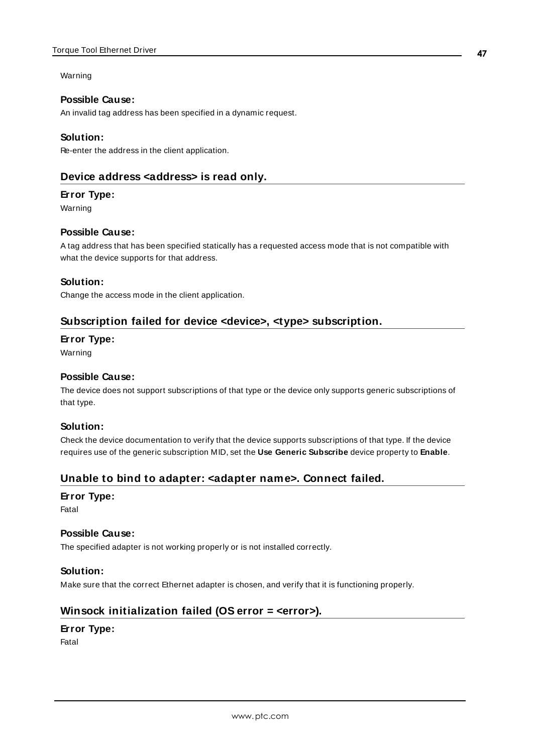### Warning

## **Possible Cause:**

An invalid tag address has been specified in a dynamic request.

## **Solution:**

<span id="page-46-0"></span>Re-enter the address in the client application.

## **Device address <address> is read only.**

## **Error Type:**

Warning

## **Possible Cause:**

A tag address that has been specified statically has a requested access mode that is not compatible with what the device supports for that address.

## **Solution:**

<span id="page-46-1"></span>Change the access mode in the client application.

# **Subscription failed for device <device>, <type> subscription.**

## **Error Type:**

Warning

## **Possible Cause:**

The device does not support subscriptions of that type or the device only supports generic subscriptions of that type.

## **Solution:**

Check the device documentation to verify that the device supports subscriptions of that type. If the device requires use of the generic subscription MID, set the **Use Generic Subscribe** device property to **Enable**.

# <span id="page-46-2"></span>**Unable to bind to adapter: <adapter name>. Connect failed.**

## **Error Type:**

Fatal

## **Possible Cause:**

The specified adapter is not working properly or is not installed correctly.

## **Solution:**

<span id="page-46-3"></span>Make sure that the correct Ethernet adapter is chosen, and verify that it is functioning properly.

# **Winsock initialization failed (OS error = <error>).**

## **Error Type:**

Fatal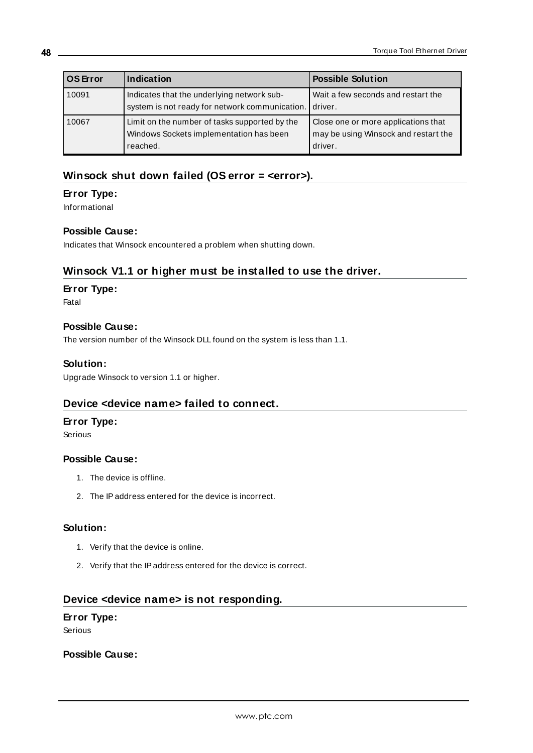| <b>OS</b> Error | Indication                                                                                           | <b>Possible Solution</b>                                                               |
|-----------------|------------------------------------------------------------------------------------------------------|----------------------------------------------------------------------------------------|
| 10091           | Indicates that the underlying network sub-<br>system is not ready for network communication.         | Wait a few seconds and restart the<br>driver.                                          |
| 10067           | Limit on the number of tasks supported by the<br>Windows Sockets implementation has been<br>reached. | Close one or more applications that<br>may be using Winsock and restart the<br>driver. |

# <span id="page-47-0"></span>**Winsock shut down failed (OS error = <error>).**

## **Error Type:**

Informational

## **Possible Cause:**

<span id="page-47-1"></span>Indicates that Winsock encountered a problem when shutting down.

# **Winsock V1.1 or higher must be installed to use the driver.**

## **Error Type:**

Fatal

## **Possible Cause:**

The version number of the Winsock DLL found on the system is less than 1.1.

## **Solution:**

<span id="page-47-2"></span>Upgrade Winsock to version 1.1 or higher.

# **Device <device name> failed to connect.**

## **Error Type:**

Serious

## **Possible Cause:**

- 1. The device is offline.
- 2. The IPaddress entered for the device is incorrect.

## **Solution:**

- 1. Verify that the device is online.
- 2. Verify that the IPaddress entered for the device is correct.

## <span id="page-47-3"></span>**Device <device name> is not responding.**

## **Error Type:**

Serious

## **Possible Cause:**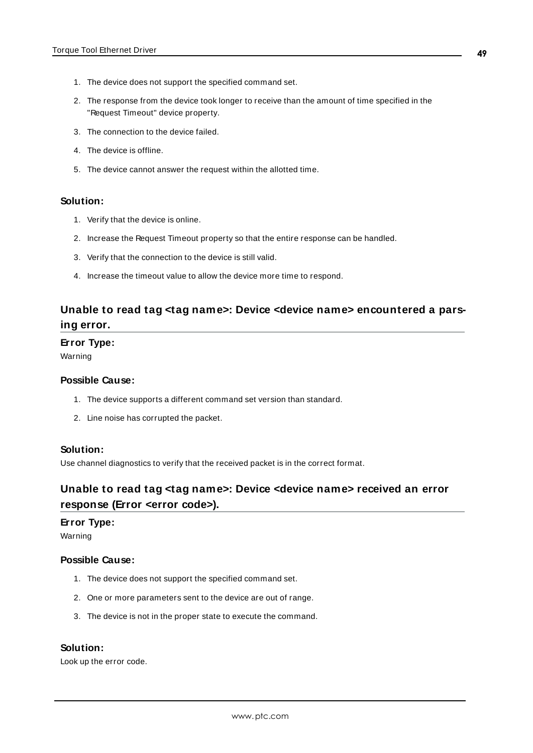- 1. The device does not support the specified command set.
- 2. The response from the device took longer to receive than the amount of time specified in the "Request Timeout" device property.
- 3. The connection to the device failed.
- 4. The device is offline.
- 5. The device cannot answer the request within the allotted time.

#### **Solution:**

- 1. Verify that the device is online.
- 2. Increase the Request Timeout property so that the entire response can be handled.
- 3. Verify that the connection to the device is still valid.
- 4. Increase the timeout value to allow the device more time to respond.

# <span id="page-48-0"></span>**Unable to read tag <tag name>: Device <device name> encountered a parsing error.**

#### **Error Type:**

Warning

#### **Possible Cause:**

- 1. The device supports a different command set version than standard.
- 2. Line noise has corrupted the packet.

#### **Solution:**

<span id="page-48-1"></span>Use channel diagnostics to verify that the received packet is in the correct format.

# **Unable to read tag <tag name>: Device <device name> received an error response (Error <error code>).**

#### **Error Type:**

Warning

#### **Possible Cause:**

- 1. The device does not support the specified command set.
- 2. One or more parameters sent to the device are out of range.
- 3. The device is not in the proper state to execute the command.

### **Solution:**

Look up the error code.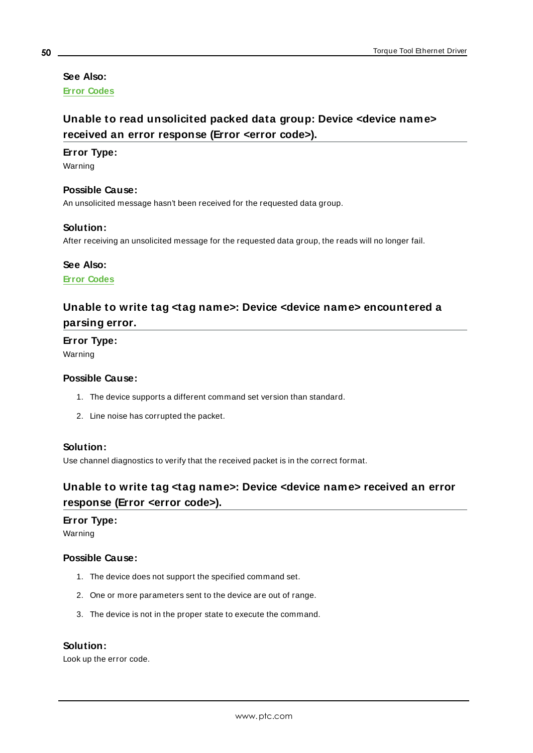# **See Also:**

<span id="page-49-0"></span>**Error [Codes](#page-50-2)**

# **Unable to read unsolicited packed data group: Device <device name> received an error response (Error <error code>).**

#### **Error Type:**

Warning

#### **Possible Cause:**

An unsolicited message hasn't been received for the requested data group.

#### **Solution:**

After receiving an unsolicited message for the requested data group, the reads will no longer fail.

#### **See Also:**

<span id="page-49-1"></span>**Error [Codes](#page-50-2)**

# **Unable to write tag <tag name>: Device <device name> encountered a parsing error.**

**Error Type:**

Warning

## **Possible Cause:**

- 1. The device supports a different command set version than standard.
- 2. Line noise has corrupted the packet.

#### **Solution:**

<span id="page-49-2"></span>Use channel diagnostics to verify that the received packet is in the correct format.

# **Unable to write tag <tag name>: Device <device name> received an error response (Error <error code>).**

#### **Error Type:**

Warning

#### **Possible Cause:**

- 1. The device does not support the specified command set.
- 2. One or more parameters sent to the device are out of range.
- 3. The device is not in the proper state to execute the command.

#### **Solution:**

Look up the error code.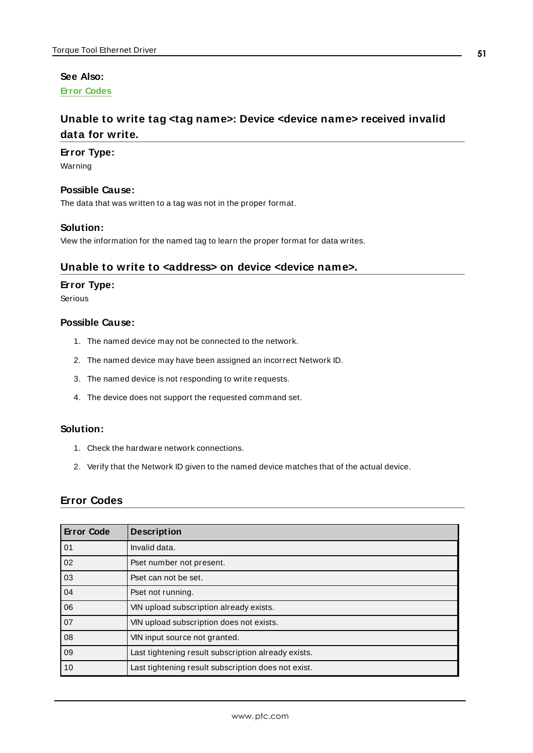## **See Also:**

<span id="page-50-0"></span>**Error [Codes](#page-50-2)**

# **Unable to write tag <tag name>: Device <device name> received invalid data for write.**

#### **Error Type:**

Warning

## **Possible Cause:**

The data that was written to a tag was not in the proper format.

#### **Solution:**

<span id="page-50-1"></span>View the information for the named tag to learn the proper format for data writes.

#### **Unable to write to <address> on device <device name>.**

#### **Error Type:**

Serious

## **Possible Cause:**

- 1. The named device may not be connected to the network.
- 2. The named device may have been assigned an incorrect Network ID.
- 3. The named device is not responding to write requests.
- 4. The device does not support the requested command set.

## **Solution:**

- 1. Check the hardware network connections.
- 2. Verify that the Network ID given to the named device matches that of the actual device.

## <span id="page-50-2"></span>**Error Codes**

| <b>Error Code</b> | <b>Description</b>                                  |
|-------------------|-----------------------------------------------------|
| 01                | Invalid data.                                       |
| 02                | Pset number not present.                            |
| 03                | Pset can not be set.                                |
| 04                | Pset not running.                                   |
| 06                | VIN upload subscription already exists.             |
| 07                | VIN upload subscription does not exists.            |
| 08                | VIN input source not granted.                       |
| 09                | Last tightening result subscription already exists. |
| 10                | Last tightening result subscription does not exist. |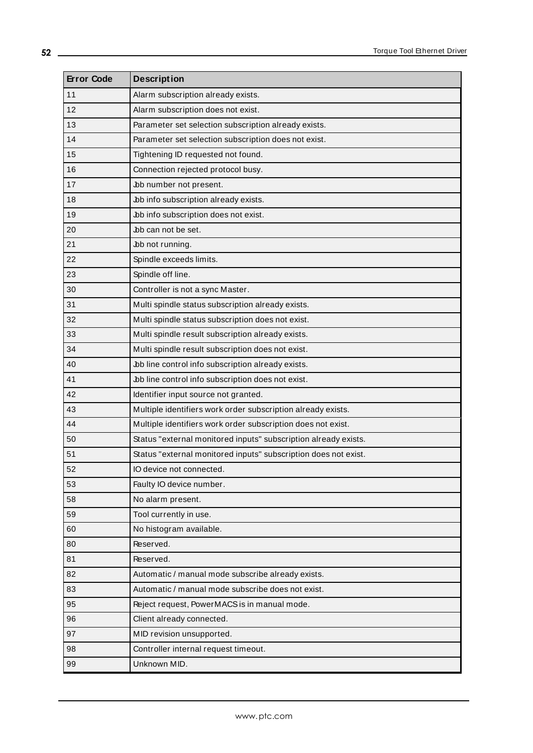<span id="page-51-0"></span>

| <b>Error Code</b> | <b>Description</b>                                              |  |  |  |
|-------------------|-----------------------------------------------------------------|--|--|--|
| 11                | Alarm subscription already exists.                              |  |  |  |
| 12                | Alarm subscription does not exist.                              |  |  |  |
| 13                | Parameter set selection subscription already exists.            |  |  |  |
| 14                | Parameter set selection subscription does not exist.            |  |  |  |
| 15                | Tightening ID requested not found.                              |  |  |  |
| 16                | Connection rejected protocol busy.                              |  |  |  |
| 17                | Job number not present.                                         |  |  |  |
| 18                | Job info subscription already exists.                           |  |  |  |
| 19                | Job info subscription does not exist.                           |  |  |  |
| 20                | Job can not be set.                                             |  |  |  |
| 21                | Job not running.                                                |  |  |  |
| 22                | Spindle exceeds limits.                                         |  |  |  |
| 23                | Spindle off line.                                               |  |  |  |
| 30                | Controller is not a sync Master.                                |  |  |  |
| 31                | Multi spindle status subscription already exists.               |  |  |  |
| 32                | Multi spindle status subscription does not exist.               |  |  |  |
| 33                | Multi spindle result subscription already exists.               |  |  |  |
| 34                | Multi spindle result subscription does not exist.               |  |  |  |
| 40                | Job line control info subscription already exists.              |  |  |  |
| 41                | Job line control info subscription does not exist.              |  |  |  |
| 42                | Identifier input source not granted.                            |  |  |  |
| 43                | Multiple identifiers work order subscription already exists.    |  |  |  |
| 44                | Multiple identifiers work order subscription does not exist.    |  |  |  |
| 50                | Status "external monitored inputs" subscription already exists. |  |  |  |
| 51                | Status "external monitored inputs" subscription does not exist. |  |  |  |
| 52                | IO device not connected.                                        |  |  |  |
| 53                | Faulty IO device number.                                        |  |  |  |
| 58                | No alarm present.                                               |  |  |  |
| 59                | Tool currently in use.                                          |  |  |  |
| 60                | No histogram available.                                         |  |  |  |
| 80                | Reserved.                                                       |  |  |  |
| 81                | Reserved.                                                       |  |  |  |
| 82                | Automatic / manual mode subscribe already exists.               |  |  |  |
| 83                | Automatic / manual mode subscribe does not exist.               |  |  |  |
| 95                | Reject request, PowerMACS is in manual mode.                    |  |  |  |
| 96                | Client already connected.                                       |  |  |  |
| 97                | MID revision unsupported.                                       |  |  |  |
| 98                | Controller internal request timeout.                            |  |  |  |
| 99                | Unknown MID.                                                    |  |  |  |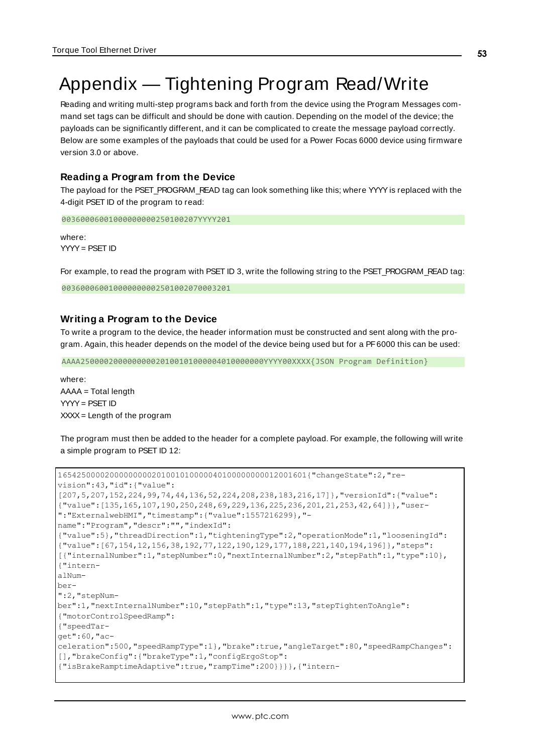# <span id="page-52-1"></span><span id="page-52-0"></span>Appendix — Tightening Program Read/Write

Reading and writing multi-step programs back and forth from the device using the Program Messages command set tags can be difficult and should be done with caution. Depending on the model of the device; the payloads can be significantly different, and it can be complicated to create the message payload correctly. Below are some examples of the payloads that could be used for a Power Focas 6000 device using firmware version 3.0 or above.

## <span id="page-52-2"></span>**Reading a Program from the Device**

The payload for the PSET\_PROGRAM\_READ tag can look something like this; where YYYY is replaced with the 4-digit PSET ID of the program to read:

00360006001000000000250100207YYYY201

where: YYYY= PSET ID

For example, to read the program with PSET ID 3, write the following string to the PSET\_PROGRAM\_READ tag:

003600060010000000002501002070003201

## **Writing a Program to the Device**

To write a program to the device, the header information must be constructed and sent along with the program. Again, this header depends on the model of the device being used but for a PF6000 this can be used:

AAAA250000200000000020100101000004010000000YYYY00XXXX{JSON Program Definition}

where: AAAA = Total length YYYY= PSET ID  $XXX =$  Length of the program

The program must then be added to the header for a complete payload. For example, the following will write a simple program to PSET ID 12:

```
16542500002000000000201001010000040100000000012001601{"changeState":2,"re-
vision":43,"id":{"value":
[207,5,207,152,224,99,74,44,136,52,224,208,238,183,216,17]},"versionId":{"value":
{"value":[135,165,107,190,250,248,69,229,136,225,236,201,21,253,42,64]}},"user-
":"ExternalwebHMI","timestamp":{"value":1557216299},"-
name":"Program","descr":"","indexId":
{"value":5},"threadDirection":1,"tighteningType":2,"operationMode":1,"looseningId":
{"value":[67,154,12,156,38,192,77,122,190,129,177,188,221,140,194,196]},"steps":
[{"internalNumber":1,"stepNumber":0,"nextInternalNumber":2,"stepPath":1,"type":10},
{"intern-
alNum-
ber-
":2,"stepNum-
ber":1,"nextInternalNumber":10,"stepPath":1,"type":13,"stepTightenToAngle":
{"motorControlSpeedRamp":
{"speedTar-
get":60,"ac-
celeration":500,"speedRampType":1},"brake":true,"angleTarget":80,"speedRampChanges":
[],"brakeConfig":{"brakeType":1,"configErgoStop":
{"isBrakeRamptimeAdaptive":true,"rampTime":200}}}},{"intern-
```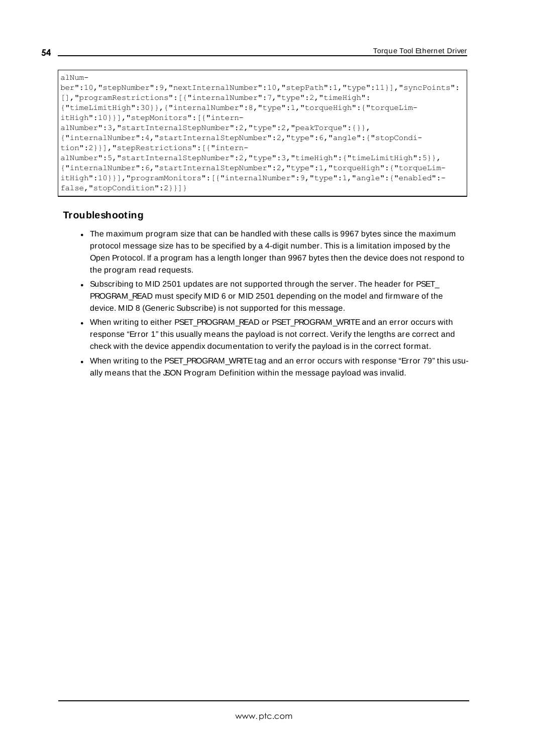```
alNum-
ber":10,"stepNumber":9,"nextInternalNumber":10,"stepPath":1,"type":11}],"syncPoints":
[],"programRestrictions":[{"internalNumber":7,"type":2,"timeHigh":
{"timeLimitHigh":30}},{"internalNumber":8,"type":1,"torqueHigh":{"torqueLim-
itHigh":10}}],"stepMonitors":[{"intern-
alNumber":3, "startInternalStepNumber":2, "type":2, "peakTorque":{}},
{"internalNumber":4,"startInternalStepNumber":2,"type":6,"angle":{"stopCondi-
tion":2}}],"stepRestrictions":[{"intern-
alNumber":5,"startInternalStepNumber":2,"type":3,"timeHigh":{"timeLimitHigh":5}},
{"internalNumber":6,"startInternalStepNumber":2,"type":1,"torqueHigh":{"torqueLim-
itHigh":10}}],"programMonitors":[{"internalNumber":9,"type":1,"angle":{"enabled":-
false,"stopCondition":2}}]}
```
# **Troubleshooting**

- The maximum program size that can be handled with these calls is 9967 bytes since the maximum protocol message size has to be specified by a 4-digit number. This is a limitation imposed by the Open Protocol. If a program has a length longer than 9967 bytes then the device does not respond to the program read requests.
- <span id="page-53-0"></span>• Subscribing to MID 2501 updates are not supported through the server. The header for PSET\_ PROGRAM\_READ must specify MID 6 or MID 2501 depending on the model and firmware of the device. MID 8 (Generic Subscribe) is not supported for this message.
- . When writing to either PSET\_PROGRAM\_READ or PSET\_PROGRAM\_WRITE and an error occurs with response "Error 1" this usually means the payload is not correct. Verify the lengths are correct and check with the device appendix documentation to verify the payload is in the correct format.
- When writing to the PSET\_PROGRAM\_WRITE tag and an error occurs with response "Error 79" this usually means that the SON Program Definition within the message payload was invalid.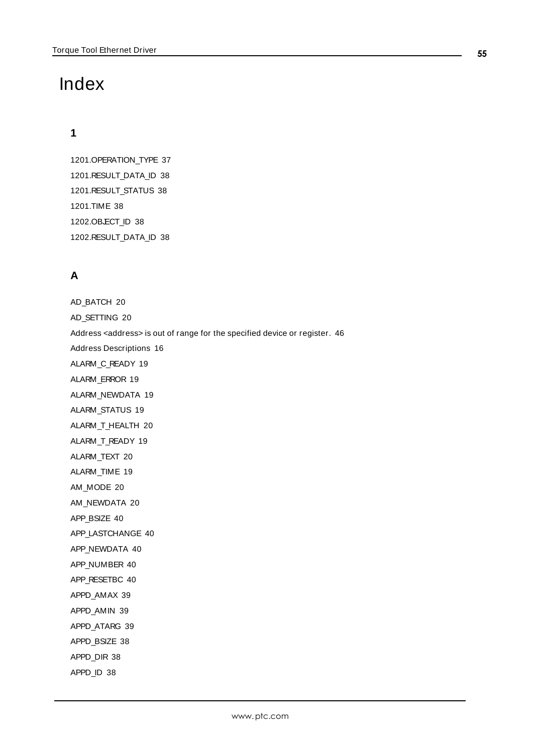# <span id="page-54-0"></span>Index

# **1**

1201.OPERATION\_TYPE [37](#page-36-1) 1201.RESULT\_DATA\_ID [38](#page-37-1) 1201.RESULT\_STATUS [38](#page-37-2) 1201.TIME [38](#page-37-3) 1202.OBJECT\_ID [38](#page-37-4) 1202.RESULT\_DATA\_ID [38](#page-37-5)

# **A**

AD\_BATCH [20](#page-19-2) AD\_SETTING [20](#page-19-3) Address <address> is out of range for the specified device or register. [46](#page-45-0) Address Descriptions [16](#page-15-0) ALARM\_C\_READY [19](#page-18-1) ALARM\_ERROR [19](#page-18-2) ALARM\_NEWDATA [19](#page-18-3) ALARM\_STATUS [19](#page-18-4) ALARM\_T\_HEALTH [20](#page-19-4) ALARM\_T\_READY [19](#page-18-5) ALARM\_TEXT [20](#page-19-5) ALARM\_TIME [19](#page-18-6) AM\_MODE [20](#page-19-6) AM\_NEWDATA [20](#page-19-7) APP\_BSIZE [40](#page-39-1) APP\_LASTCHANGE [40](#page-39-2) APP\_NEWDATA [40](#page-39-3) APP\_NUMBER [40](#page-39-4) APP\_RESETBC [40](#page-39-5) APPD\_AMAX [39](#page-38-2) APPD\_AMIN [39](#page-38-3) APPD\_ATARG [39](#page-38-4) APPD\_BSIZE [38](#page-37-6) APPD\_DIR [38](#page-37-7) APPD\_ID [38](#page-37-8)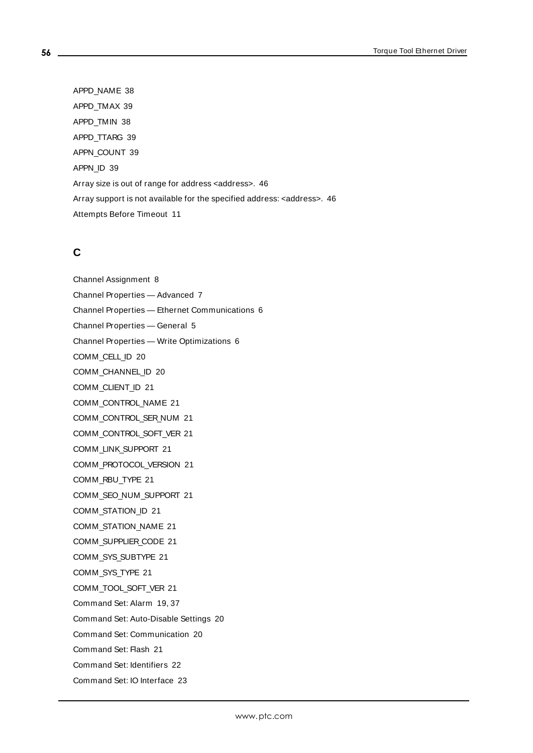APPD\_NAME [38](#page-37-9) APPD\_TMAX [39](#page-38-5) APPD\_TMIN [38](#page-37-10) APPD\_TTARG [39](#page-38-6) APPN\_COUNT [39](#page-38-7) APPN\_ID [39](#page-38-8) Array size is out of range for address <address>. [46](#page-45-1) Array support is not available for the specified address: <address>. [46](#page-45-2) Attempts Before Timeout [11](#page-10-1)

# **C**

Channel Assignment [8](#page-7-1) Channel Properties — Advanced [7](#page-6-0) Channel Properties — Ethernet Communications [6](#page-5-0) Channel Properties — General [5](#page-4-0) Channel Properties — Write Optimizations [6](#page-5-2) COMM\_CELL\_ID [20](#page-19-8) COMM\_CHANNEL\_ID [20](#page-19-9) COMM\_CLIENT\_ID [21](#page-20-1) COMM\_CONTROL\_NAME [21](#page-20-2) COMM\_CONTROL\_SER\_NUM [21](#page-20-3) COMM\_CONTROL\_SOFT\_VER [21](#page-20-4) COMM\_LINK\_SUPPORT [21](#page-20-5) COMM\_PROTOCOL\_VERSION [21](#page-20-6) COMM\_RBU\_TYPE [21](#page-20-7) COMM\_SEO\_NUM\_SUPPORT [21](#page-20-8) COMM\_STATION\_ID [21](#page-20-9) COMM\_STATION\_NAME [21](#page-20-10) COMM\_SUPPLIER\_CODE [21](#page-20-11) COMM\_SYS\_SUBTYPE [21](#page-20-12) COMM\_SYS\_TYPE [21](#page-20-13) COMM\_TOOL\_SOFT\_VER [21](#page-20-14) Command Set: Alarm [19](#page-18-0), [37](#page-36-0) Command Set: Auto-Disable Settings [20](#page-19-0) Command Set: Communication [20](#page-19-1) Command Set: Flash [21](#page-20-0) Command Set: Identifiers [22](#page-21-0) Command Set: IO Interface [23](#page-22-0)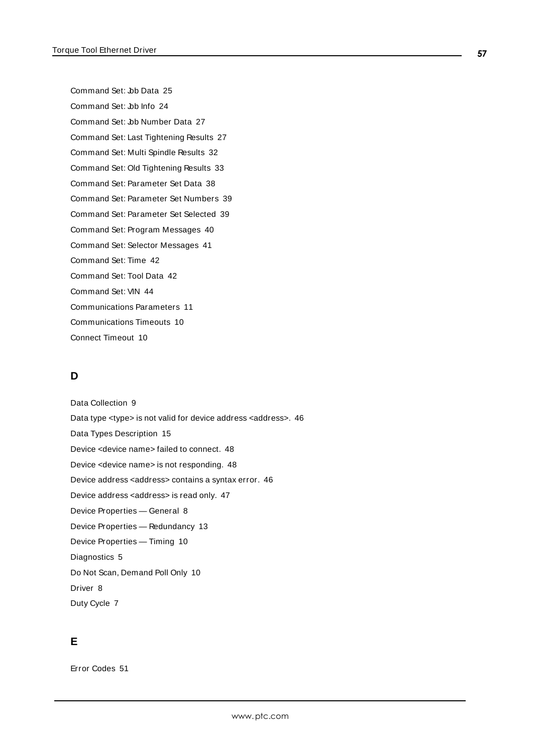Command Set: Job Data [25](#page-24-0) Command Set: Job Info [24](#page-23-0) Command Set: Job Number Data [27](#page-26-0) Command Set: Last Tightening Results [27](#page-26-1) Command Set: Multi Spindle Results [32](#page-31-0) Command Set: Old Tightening Results [33](#page-32-0) Command Set: Parameter Set Data [38](#page-37-0) Command Set: Parameter Set Numbers [39](#page-38-0) Command Set: Parameter Set Selected [39](#page-38-1) Command Set: Program Messages [40](#page-39-0) Command Set: Selector Messages [41](#page-40-0) Command Set: Time [42](#page-41-0) Command Set: Tool Data [42](#page-41-1) Command Set: VIN [44](#page-43-0) Communications Parameters [11](#page-10-0) Communications Timeouts [10](#page-9-1) Connect Timeout [10](#page-9-2)

# **D**

Data Collection [9](#page-8-3) Data type <type> is not valid for device address <address>. [46](#page-45-3) Data Types Description [15](#page-14-0) Device <device name> failed to connect. [48](#page-47-2) Device <device name> is not responding. [48](#page-47-3) Device address <address> contains a syntax error. [46](#page-45-4) Device address <address> is read only. [47](#page-46-0) Device Properties — General [8](#page-7-0) Device Properties — Redundancy [13](#page-12-0) Device Properties — Timing [10](#page-9-0) Diagnostics [5](#page-4-2) Do Not Scan, Demand Poll Only [10](#page-9-3) Driver [8](#page-7-2) Duty Cycle [7](#page-6-1)

# **E**

Error Codes [51](#page-50-2)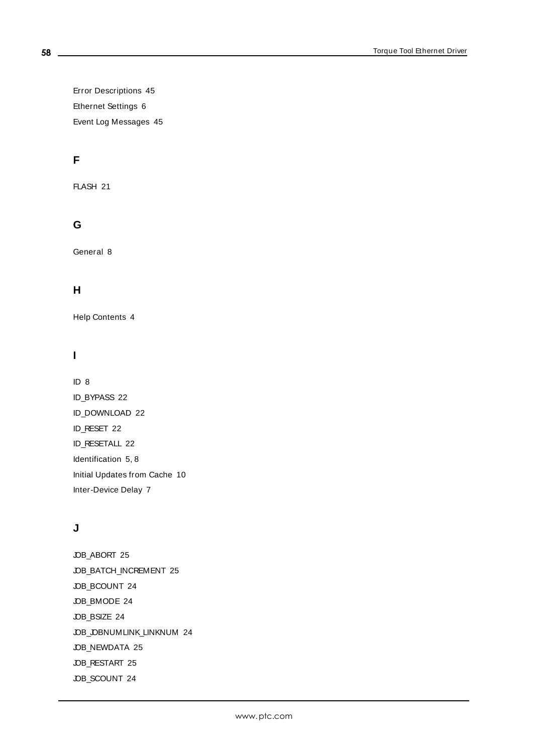Error Descriptions [45](#page-44-1) Ethernet Settings [6](#page-5-3) Event Log Messages [45](#page-44-0)

# **F**

FLASH [21](#page-20-15)

# **G**

General [8](#page-7-0)

# **H**

Help Contents [4](#page-3-0)

# **I**

ID [8](#page-7-3) ID\_BYPASS [22](#page-21-1) ID\_DOWNLOAD [22](#page-21-2) ID\_RESET [22](#page-21-3) ID\_RESETALL [22](#page-21-4) Identification [5,](#page-4-3) [8](#page-7-4) Initial Updates from Cache [10](#page-9-4) Inter-Device Delay [7](#page-6-2)

# **J**

JOB\_ABORT [25](#page-24-1) JOB\_BATCH\_INCREMENT [25](#page-24-2) JOB\_BCOUNT [24](#page-23-1) JOB\_BMODE [24](#page-23-2) JOB\_BSIZE [24](#page-23-3) JOB\_JOBNUMLINK\_LINKNUM [24](#page-23-4) JOB\_NEWDATA [25](#page-24-3) JOB\_RESTART [25](#page-24-4) JOB\_SCOUNT [24](#page-23-5)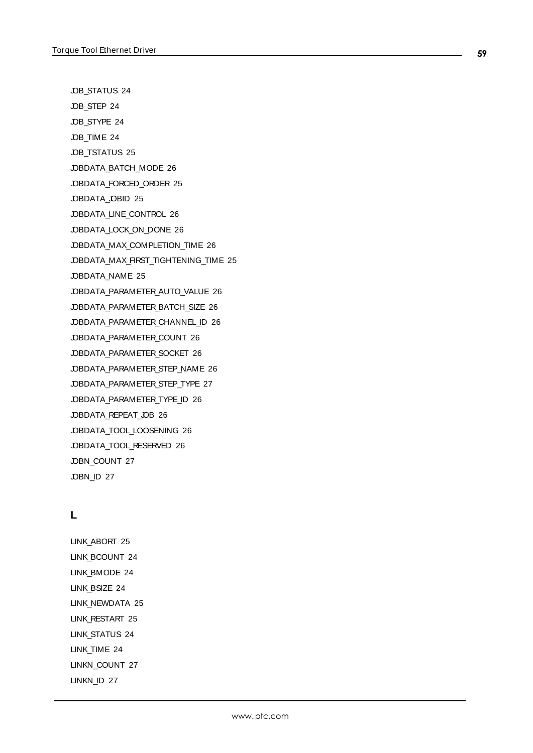JOB\_STATUS [24](#page-23-6)

JOB\_STEP [24](#page-23-7)

JOB\_STYPE [24](#page-23-8)

JOB\_TIME [24](#page-23-9)

JOB TSTATUS [25](#page-24-5)

JOBDATA\_BATCH\_MODE [26](#page-25-0)

JOBDATA\_FORCED\_ORDER [25](#page-24-6)

JOBDATA\_JOBID [25](#page-24-7)

JOBDATA\_LINE\_CONTROL [26](#page-25-1)

JOBDATA\_LOCK\_ON\_DONE [26](#page-25-2)

JOBDATA\_MAX\_COMPLETION\_TIME [26](#page-25-3)

JOBDATA\_MAX\_FIRST\_TIGHTENING\_TIME [25](#page-24-8)

JOBDATA\_NAME [25](#page-24-9)

JOBDATA\_PARAMETER\_AUTO\_VALUE [26](#page-25-4)

JOBDATA\_PARAMETER\_BATCH\_SIZE [26](#page-25-5)

JOBDATA\_PARAMETER\_CHANNEL\_ID [26](#page-25-6)

JOBDATA\_PARAMETER\_COUNT [26](#page-25-7)

JOBDATA\_PARAMETER\_SOCKET [26](#page-25-8)

JOBDATA\_PARAMETER\_STEP\_NAME [26](#page-25-9)

JOBDATA\_PARAMETER\_STEP\_TYPE [27](#page-26-2)

JOBDATA\_PARAMETER\_TYPE\_ID [26](#page-25-10)

JOBDATA\_REPEAT\_JOB [26](#page-25-11)

JOBDATA\_TOOL\_LOOSENING [26](#page-25-12) JOBDATA\_TOOL\_RESERVED [26](#page-25-13)

JOBN\_COUNT [27](#page-26-3)

JOBN ID [27](#page-26-4)

# **L**

LINK\_ABORT [25](#page-24-1) LINK BCOUNT [24](#page-23-1) LINK\_BMODE [24](#page-23-2) LINK BSIZE [24](#page-23-3) LINK\_NEWDATA [25](#page-24-3) LINK\_RESTART [25](#page-24-4) LINK\_STATUS [24](#page-23-6) LINK\_TIME [24](#page-23-9) LINKN\_COUNT [27](#page-26-3) LINKN\_ID [27](#page-26-4)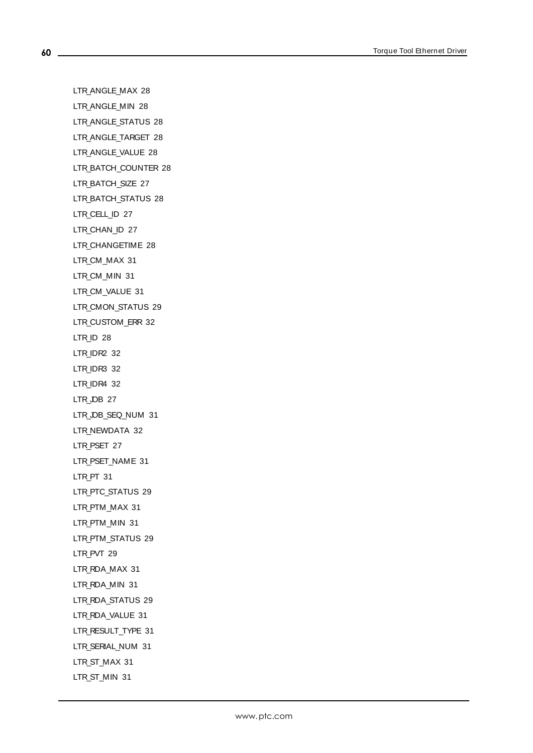**60**

LTR\_ANGLE\_MAX [28](#page-27-0) LTR\_ANGLE\_MIN [28](#page-27-1) LTR\_ANGLE\_STATUS [28](#page-27-2) LTR\_ANGLE\_TARGET [28](#page-27-3) LTR ANGLE VALUE [28](#page-27-4) LTR\_BATCH\_COUNTER [28](#page-27-5) LTR\_BATCH\_SIZE [27](#page-26-5) LTR\_BATCH\_STATUS [28](#page-27-6) LTR\_CELL\_ID [27](#page-26-6) LTR\_CHAN\_ID [27](#page-26-7) LTR\_CHANGETIME [28](#page-27-7) LTR CM\_MAX [31](#page-30-0) LTR\_CM\_MIN [31](#page-30-1) LTR\_CM\_VALUE [31](#page-30-2) LTR\_CMON\_STATUS [29](#page-28-0) LTR\_CUSTOM\_ERR [32](#page-31-1) LTR\_ID [28](#page-27-8) LTR\_IDR2 [32](#page-31-2) LTR\_IDR3 [32](#page-31-3) LTR\_IDR4 [32](#page-31-4) LTR JOB [27](#page-26-8) LTR\_OB\_SEQ\_NUM [31](#page-30-3) LTR\_NEWDATA [32](#page-31-5) LTR\_PSET [27](#page-26-9) LTR\_PSET\_NAME [31](#page-30-4) LTR PT [31](#page-30-5) LTR\_PTC\_STATUS [29](#page-28-1) LTR\_PTM\_MAX [31](#page-30-6) LTR\_PTM\_MIN [31](#page-30-7) LTR\_PTM\_STATUS [29](#page-28-2) LTR PVT [29](#page-28-3) LTR\_RDA\_MAX [31](#page-30-8) LTR\_RDA\_MIN [31](#page-30-9) LTR\_RDA\_STATUS [29](#page-28-4) LTR\_RDA\_VALUE [31](#page-30-10) LTR\_RESULT\_TYPE [31](#page-30-11) LTR\_SERIAL\_NUM [31](#page-30-12) LTR\_ST\_MAX [31](#page-30-13) LTR ST\_MIN [31](#page-30-14)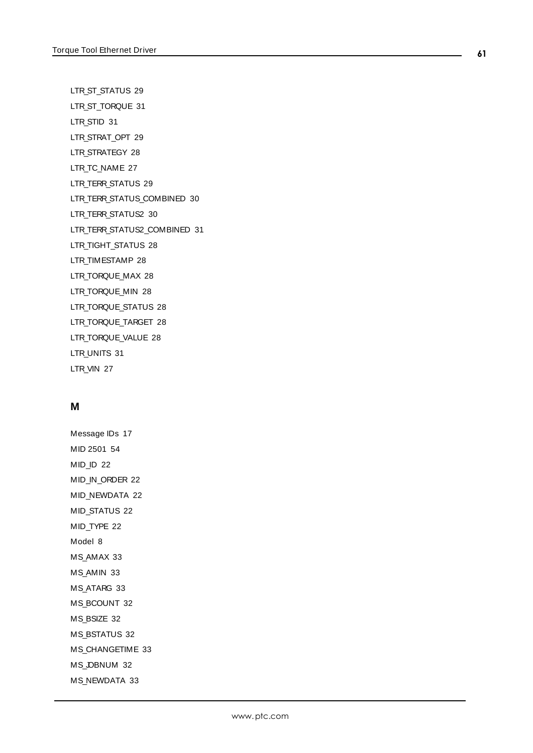LTR\_ST\_STATUS [29](#page-28-5)

LTR\_ST\_TORQUE [31](#page-30-15)

LTR\_STID [31](#page-30-16)

LTR\_STRAT\_OPT [29](#page-28-6)

LTR STRATEGY [28](#page-27-9)

LTR\_TC\_NAME [27](#page-26-10)

LTR\_TERR\_STATUS [29](#page-28-7)

LTR\_TERR\_STATUS\_COMBINED [30](#page-29-0)

LTR\_TERR\_STATUS2 [30](#page-29-1)

LTR\_TERR\_STATUS2\_COMBINED [31](#page-30-17)

LTR\_TIGHT\_STATUS [28](#page-27-10)

LTR\_TIMESTAMP [28](#page-27-11)

LTR\_TORQUE\_MAX [28](#page-27-12)

LTR\_TORQUE\_MIN [28](#page-27-13)

LTR\_TORQUE\_STATUS [28](#page-27-14)

LTR\_TORQUE\_TARGET [28](#page-27-15)

LTR\_TORQUE\_VALUE [28](#page-27-16)

LTR\_UNITS [31](#page-30-18)

LTR\_VIN [27](#page-26-11)

# **M**

Message IDs [17](#page-16-0) MID 2501 [54](#page-53-0) MID\_ID [22](#page-21-5) MID\_IN\_ORDER [22](#page-21-6) MID\_NEWDATA [22](#page-21-7) MID\_STATUS [22](#page-21-8) MID\_TYPE [22](#page-21-9) Model [8](#page-7-5) MS\_AMAX [33](#page-32-1) MS\_AMIN [33](#page-32-2) MS\_ATARG [33](#page-32-3) MS\_BCOUNT [32](#page-31-6) MS\_BSIZE [32](#page-31-7) MS\_BSTATUS [32](#page-31-8) MS\_CHANGETIME [33](#page-32-4) MS\_OBNUM [32](#page-31-9) MS\_NEWDATA [33](#page-32-5)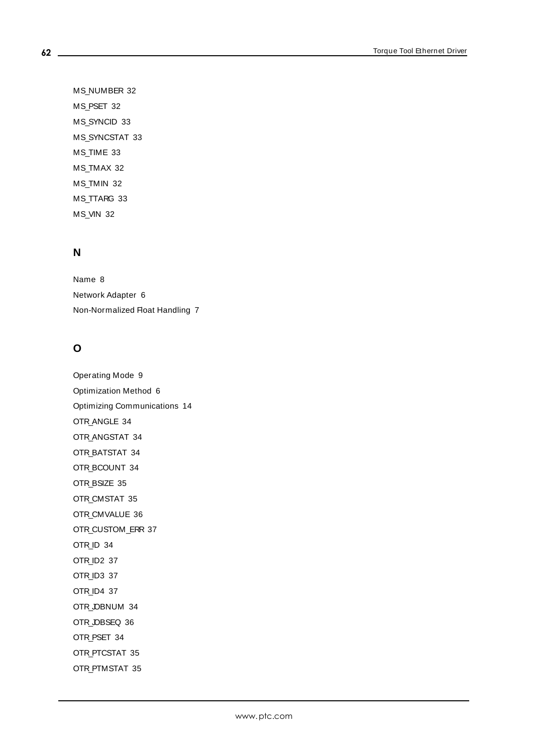MS\_NUMBER [32](#page-31-10) MS\_PSET [32](#page-31-11) MS\_SYNCID [33](#page-32-6) MS\_SYNCSTAT [33](#page-32-7) MS\_TIME [33](#page-32-8) MS\_TMAX [32](#page-31-12) MS\_TMIN [32](#page-31-13) MS\_TTARG [33](#page-32-9) MS\_VIN [32](#page-31-14)

# **N**

Name [8](#page-7-6) Network Adapter [6](#page-5-4) Non-Normalized Float Handling [7](#page-6-3)

# **O**

Operating Mode [9](#page-8-0) Optimization Method [6](#page-5-5) Optimizing Communications [14](#page-13-0) OTR\_ANGLE [34](#page-33-0) OTR\_ANGSTAT [34](#page-33-1) OTR\_BATSTAT [34](#page-33-2) OTR\_BCOUNT [34](#page-33-3) OTR\_BSIZE [35](#page-34-0) OTR\_CMSTAT [35](#page-34-1) OTR CMVALUE [36](#page-35-0) OTR\_CUSTOM\_ERR [37](#page-36-2) OTR\_ID [34](#page-33-4) OTR\_ID2 [37](#page-36-3) OTR\_ID3 [37](#page-36-4) OTR\_ID4 [37](#page-36-5) OTR\_JOBNUM [34](#page-33-5) OTR\_JOBSEQ [36](#page-35-1) OTR\_PSET [34](#page-33-6) OTR\_PTCSTAT [35](#page-34-2) OTR\_PTMSTAT [35](#page-34-3)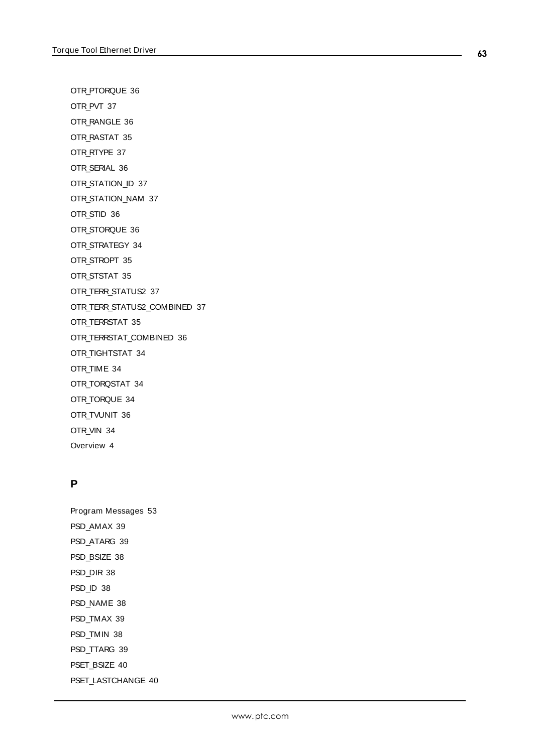OTR\_PTORQUE [36](#page-35-2)

OTR\_PVT [37](#page-36-6)

OTR\_RANGLE [36](#page-35-3)

OTR\_RASTAT [35](#page-34-4)

OTR RTYPE [37](#page-36-7)

OTR\_SERIAL [36](#page-35-4)

OTR\_STATION\_ID [37](#page-36-8)

OTR\_STATION\_NAM [37](#page-36-9)

OTR\_STID [36](#page-35-5)

OTR\_STORQUE [36](#page-35-6)

OTR\_STRATEGY [34](#page-33-7)

OTR\_STROPT [35](#page-34-5)

OTR\_STSTAT [35](#page-34-6)

OTR\_TERR\_STATUS2 [37](#page-36-10)

OTR\_TERR\_STATUS2\_COMBINED [37](#page-36-11)

OTR\_TERRSTAT [35](#page-34-7)

OTR\_TERRSTAT\_COMBINED [36](#page-35-7)

OTR\_TIGHTSTAT [34](#page-33-8)

OTR\_TIME [34](#page-33-9)

OTR\_TORQSTAT [34](#page-33-10) OTR\_TORQUE [34](#page-33-11)

OTR\_TVUNIT [36](#page-35-8)

OTR\_VIN [34](#page-33-12)

Overview [4](#page-3-1)

## **P**

Program Messages [53](#page-52-1) PSD\_AMAX [39](#page-38-2) PSD\_ATARG [39](#page-38-4) PSD\_BSIZE [38](#page-37-6) PSD\_DIR [38](#page-37-7) PSD\_ID [38](#page-37-8) PSD\_NAME [38](#page-37-9) PSD\_TMAX [39](#page-38-5) PSD\_TMIN [38](#page-37-10) PSD\_TTARG [39](#page-38-6) PSET\_BSIZE [40](#page-39-1) PSET\_LASTCHANGE [40](#page-39-2)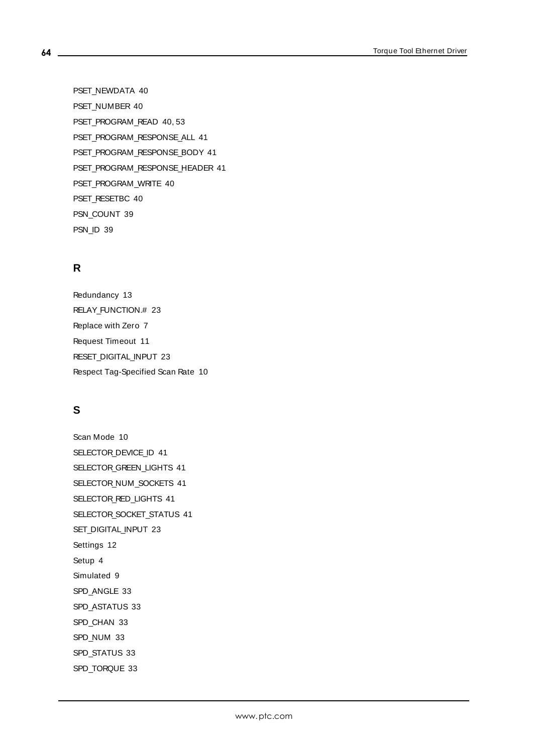PSET\_NEWDATA [40](#page-39-3) PSET\_NUMBER [40](#page-39-4) PSET\_PROGRAM\_READ [40](#page-39-6), [53](#page-52-2) PSET\_PROGRAM\_RESPONSE\_ALL [41](#page-40-1) PSET\_PROGRAM\_RESPONSE\_BODY [41](#page-40-2) PSET\_PROGRAM\_RESPONSE\_HEADER [41](#page-40-3) PSET\_PROGRAM\_WRITE [40](#page-39-7) PSET\_RESETBC [40](#page-39-5) PSN\_COUNT [39](#page-38-7) PSN\_ID [39](#page-38-8)

# **R**

Redundancy [13](#page-12-0) RELAY\_FUNCTION.# [23](#page-22-1) Replace with Zero [7](#page-6-4) Request Timeout [11](#page-10-2) RESET\_DIGITAL\_INPUT [23](#page-22-2) Respect Tag-Specified Scan Rate [10](#page-9-5)

# **S**

Scan Mode [10](#page-9-6) SELECTOR\_DEVICE\_ID [41](#page-40-4) SELECTOR\_GREEN\_LIGHTS [41](#page-40-5) SELECTOR\_NUM\_SOCKETS [41](#page-40-6) SELECTOR\_RED\_LIGHTS [41](#page-40-5) SELECTOR\_SOCKET\_STATUS [41](#page-40-7) SET\_DIGITAL\_INPUT [23](#page-22-3) Settings [12](#page-11-0) Setup [4](#page-3-2) Simulated [9](#page-8-4) SPD\_ANGLE [33](#page-32-10) SPD\_ASTATUS [33](#page-32-11) SPD CHAN [33](#page-32-12) SPD\_NUM [33](#page-32-13) SPD\_STATUS [33](#page-32-14) SPD\_TORQUE [33](#page-32-15)

**64**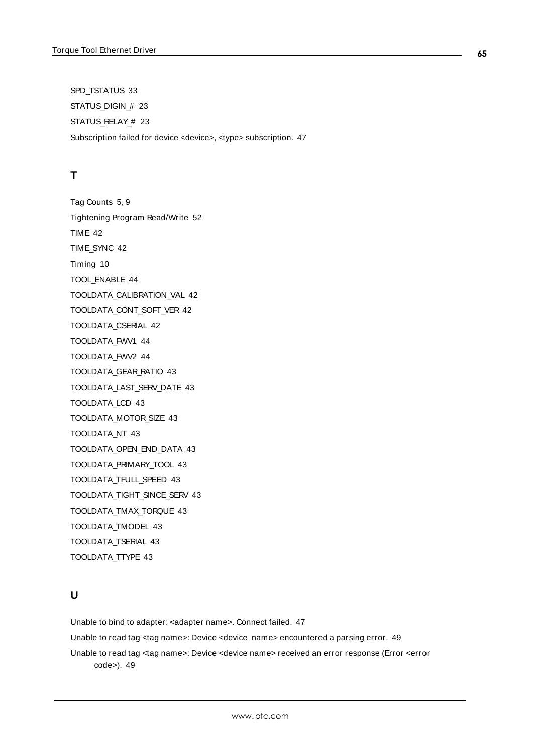SPD\_TSTATUS [33](#page-32-16) STATUS\_DIGIN\_# [23](#page-22-4) STATUS\_RELAY\_# [23](#page-22-5) Subscription failed for device <device>, <type> subscription. [47](#page-46-1)

# **T**

Tag Counts [5,](#page-4-1) [9](#page-8-1) Tightening Program Read/Write [52](#page-51-0) TIME [42](#page-41-2) TIME\_SYNC [42](#page-41-3) Timing [10](#page-9-0) TOOL\_ENABLE [44](#page-43-1) TOOLDATA\_CALIBRATION\_VAL [42](#page-41-4) TOOLDATA\_CONT\_SOFT\_VER [42](#page-41-5) TOOLDATA\_CSERIAL [42](#page-41-6) TOOLDATA\_FWV1 [44](#page-43-2) TOOLDATA\_FWV2 [44](#page-43-3) TOOLDATA\_GEAR\_RATIO [43](#page-42-0) TOOLDATA\_LAST\_SERV\_DATE [43](#page-42-1) TOOLDATA\_LCD [43](#page-42-2) TOOLDATA\_MOTOR\_SIZE [43](#page-42-3) TOOLDATA\_NT [43](#page-42-4) TOOLDATA\_OPEN\_END\_DATA [43](#page-42-5) TOOLDATA\_PRIMARY\_TOOL [43](#page-42-6) TOOLDATA\_TFULL\_SPEED [43](#page-42-7) TOOLDATA\_TIGHT\_SINCE\_SERV [43](#page-42-8) TOOLDATA\_TMAX\_TORQUE [43](#page-42-9) TOOLDATA\_TMODEL [43](#page-42-10) TOOLDATA\_TSERIAL [43](#page-42-11) TOOLDATA\_TTYPE [43](#page-42-12)

# **U**

Unable to bind to adapter: <adapter name>. Connect failed. [47](#page-46-2) Unable to read tag <tag name>: Device <device name> encountered a parsing error. [49](#page-48-0) Unable to read tag <tag name>: Device <device name> received an error response (Error <error code>). [49](#page-48-1)